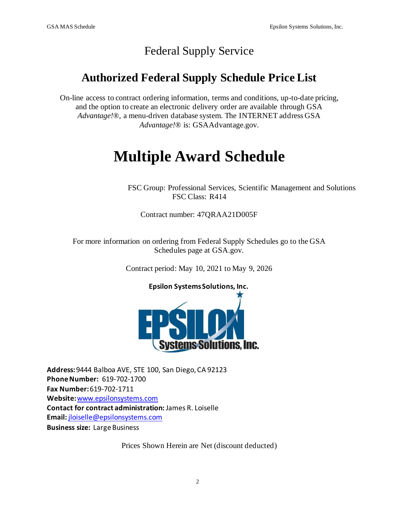## Federal Supply Service

## **Authorized Federal Supply Schedule Price List**

On-line access to contract ordering information, terms and conditions, up-to-date pricing, and the option to create an electronic delivery order are available through GSA *Advantage!*®, a menu-driven database system. The INTERNET address GSA *Advantage!*® is: GSAAdvantage.gov.

# **Multiple Award Schedule**

FSC Group: Professional Services, Scientific Management and Solutions FSC Class: R414

Contract number: 47QRAA21D005F

For more information on ordering from Federal Supply Schedules go to the GSA Schedules page at GSA.gov.

Contract period: May 10, 2021 to May 9, 2026



**Address:**9444 Balboa AVE, STE 100, San Diego, CA 92123 **PhoneNumber:** 619-702-1700 **Fax Number:**619-702-1711 **Website:**[www.epsilonsystems.com](http://www.epsilonsystems.com/) **Contact for contract administration:** James R. Loiselle **Email:** [jloiselle@epsilonsystems.com](mailto:jloiselle@epsilonsystems.com) **Business size:** Large Business

Prices Shown Herein are Net (discount deducted)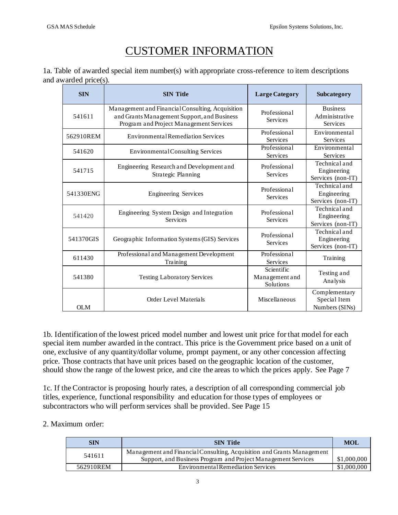## CUSTOMER INFORMATION

|                       | 1a. Table of awarded special item number(s) with appropriate cross-reference to item descriptions |  |  |
|-----------------------|---------------------------------------------------------------------------------------------------|--|--|
| and awarded price(s). |                                                                                                   |  |  |

| <b>SIN</b> | <b>SIN Title</b>                                                                                                                           | <b>Large Category</b>                     | Subcategory                                          |
|------------|--------------------------------------------------------------------------------------------------------------------------------------------|-------------------------------------------|------------------------------------------------------|
| 541611     | Management and Financial Consulting, Acquisition<br>and Grants Management Support, and Business<br>Program and Project Management Services | Professional<br>Services                  | <b>Business</b><br>Administrative<br><b>Services</b> |
| 562910REM  | <b>Environmental Remediation Services</b>                                                                                                  | Professional<br><b>Services</b>           | Environmental<br><b>Services</b>                     |
| 541620     | <b>Environmental Consulting Services</b>                                                                                                   | Professional<br><b>Services</b>           | Environmental<br><b>Services</b>                     |
| 541715     | Engineering Research and Development and<br><b>Strategic Planning</b>                                                                      | Professional<br>Services                  | Technical and<br>Engineering<br>Services (non-IT)    |
| 541330ENG  | <b>Engineering Services</b>                                                                                                                | Professional<br>Services                  | Technical and<br>Engineering<br>Services (non-IT)    |
| 541420     | Engineering System Design and Integration<br><b>Services</b>                                                                               | Professional<br>Services                  | Technical and<br>Engineering<br>Services (non-IT)    |
| 541370GIS  | Geographic Information Systems (GIS) Services                                                                                              | Professional<br>Services                  | Technical and<br>Engineering<br>Services (non-IT)    |
| 611430     | Professional and Management Development<br>Training                                                                                        | Professional<br>Services                  | Training                                             |
| 541380     | <b>Testing Laboratory Services</b>                                                                                                         | Scientific<br>Management and<br>Solutions | Testing and<br>Analysis                              |
| <b>OLM</b> | Order Level Materials                                                                                                                      | Miscellaneous                             | Complementary<br>Special Item<br>Numbers (SINs)      |

1b. Identification of the lowest priced model number and lowest unit price for that model for each special item number awarded in the contract. This price is the Government price based on a unit of one, exclusive of any quantity/dollar volume, prompt payment, or any other concession affecting price. Those contracts that have unit prices based on the geographic location of the customer, should show the range of the lowest price, and cite the areas to which the prices apply. See Page 7

1c. If the Contractor is proposing hourly rates, a description of all corresponding commercial job titles, experience, functional responsibility and education for those types of employees or subcontractors who will perform services shall be provided. See Page 15

#### 2. Maximum order:

| <b>SIN</b> | <b>SIN Title</b>                                                       | <b>MOL</b>  |
|------------|------------------------------------------------------------------------|-------------|
| 541611     | Management and Financial Consulting, Acquisition and Grants Management |             |
|            | Support, and Business Program and Project Management Services          | \$1,000,000 |
| 562910REM  | Environmental Remediation Services                                     | \$1,000,000 |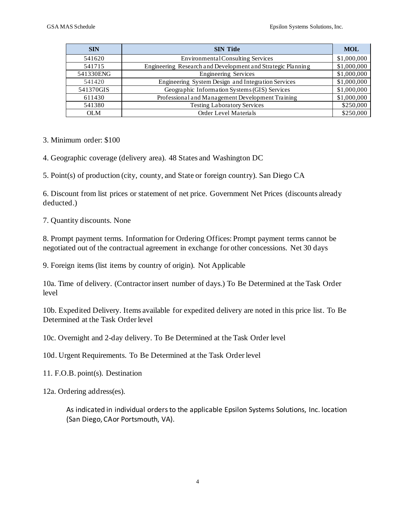| <b>SIN</b> | <b>SIN Title</b>                                            | <b>MOL</b>  |
|------------|-------------------------------------------------------------|-------------|
| 541620     | Environmental Consulting Services                           | \$1,000,000 |
| 541715     | Engineering Research and Development and Strategic Planning | \$1,000,000 |
| 541330ENG  | <b>Engineering Services</b>                                 | \$1,000,000 |
| 541420     | Engineering System Design and Integration Services          | \$1,000,000 |
| 541370GIS  | Geographic Information Systems (GIS) Services               | \$1,000,000 |
| 611430     | Professional and Management Development Training            | \$1,000,000 |
| 541380     | <b>Testing Laboratory Services</b>                          | \$250,000   |
| <b>OLM</b> | Order Level Materials                                       | \$250,000   |

- 3. Minimum order: \$100
- 4. Geographic coverage (delivery area). 48 States and Washington DC
- 5. Point(s) of production (city, county, and State or foreign country). San Diego CA

6. Discount from list prices or statement of net price. Government Net Prices (discounts already deducted.)

7. Quantity discounts. None

8. Prompt payment terms. Information for Ordering Offices: Prompt payment terms cannot be negotiated out of the contractual agreement in exchange for other concessions. Net 30 days

9. Foreign items (list items by country of origin). Not Applicable

10a. Time of delivery. (Contractor insert number of days.) To Be Determined at the Task Order level

10b. Expedited Delivery. Items available for expedited delivery are noted in this price list. To Be Determined at the Task Order level

10c. Overnight and 2-day delivery. To Be Determined at the Task Order level

10d. Urgent Requirements. To Be Determined at the Task Order level

11. F.O.B. point(s). Destination

12a. Ordering address(es).

As indicated in individual ordersto the applicable Epsilon Systems Solutions, Inc. location (San Diego, CAor Portsmouth, VA).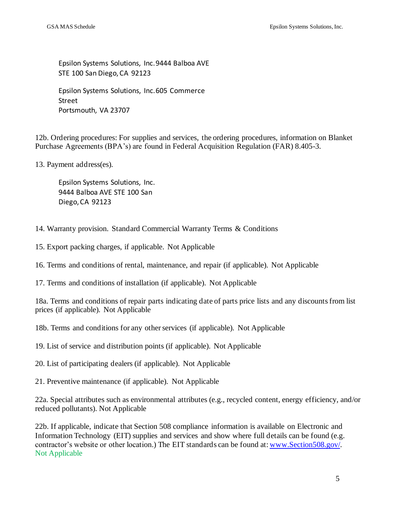Epsilon Systems Solutions, Inc.9444 Balboa AVE STE 100 San Diego,CA 92123

Epsilon Systems Solutions, Inc.605 Commerce Street Portsmouth, VA 23707

12b. Ordering procedures: For supplies and services, the ordering procedures, information on Blanket Purchase Agreements (BPA's) are found in Federal Acquisition Regulation (FAR) 8.405-3.

13. Payment address(es).

Epsilon Systems Solutions, Inc. 9444 Balboa AVE STE 100 San Diego,CA 92123

14. Warranty provision. Standard Commercial Warranty Terms & Conditions

15. Export packing charges, if applicable. Not Applicable

16. Terms and conditions of rental, maintenance, and repair (if applicable). Not Applicable

17. Terms and conditions of installation (if applicable). Not Applicable

18a. Terms and conditions of repair parts indicating date of parts price lists and any discounts from list prices (if applicable). Not Applicable

18b. Terms and conditions for any other services (if applicable). Not Applicable

19. List of service and distribution points (if applicable). Not Applicable

20. List of participating dealers (if applicable). Not Applicable

21. Preventive maintenance (if applicable). Not Applicable

22a. Special attributes such as environmental attributes (e.g., recycled content, energy efficiency, and/or reduced pollutants). Not Applicable

22b. If applicable, indicate that Section 508 compliance information is available on Electronic and Information Technology (EIT) supplies and services and show where full details can be found (e.g. contractor's website or other location.) The EIT standards can be found at[: www.Section508.gov/.](http://www.section508.gov/) Not Applicable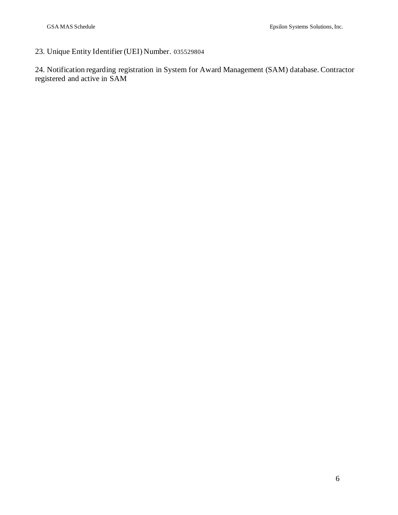### 23. Unique Entity Identifier (UEI) Number. 035529804

24. Notification regarding registration in System for Award Management (SAM) database. Contractor registered and active in SAM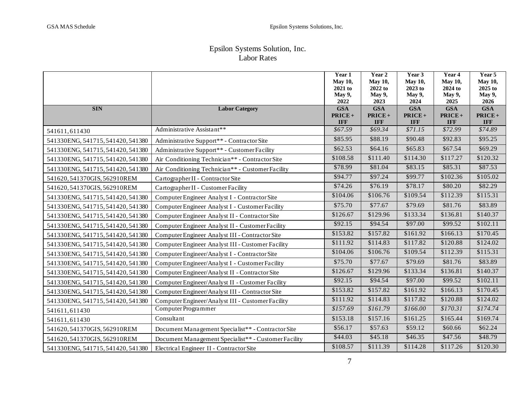#### Epsilon Systems Solution, Inc. Labor Rates

|                                   |                                                      | Year 1                  | Year 2             | Year 3             | Year 4                  | Year 5             |
|-----------------------------------|------------------------------------------------------|-------------------------|--------------------|--------------------|-------------------------|--------------------|
|                                   |                                                      | <b>May 10,</b>          | <b>May 10,</b>     | <b>May 10,</b>     | May 10,                 | <b>May 10,</b>     |
|                                   |                                                      | 2021 to                 | 2022 to            | 2023 to            | 2024 to                 | $2025$ to          |
|                                   |                                                      | May 9,                  | May 9,             | May 9,             | May 9,                  | May 9,             |
| <b>SIN</b>                        |                                                      | 2022                    | 2023<br><b>GSA</b> | 2024<br><b>GSA</b> | 2025                    | 2026<br><b>GSA</b> |
|                                   | <b>Labor Category</b>                                | <b>GSA</b><br>$PRICE +$ | $PRICE +$          | $PRICE +$          | <b>GSA</b><br>$PRICE +$ | $PRICE +$          |
|                                   |                                                      | <b>IFF</b>              | <b>IFF</b>         | <b>IFF</b>         | <b>IFF</b>              | <b>IFF</b>         |
| 541611,611430                     | Administrative Assistant**                           | \$67.59                 | \$69.34            | \$71.15            | \$72.99                 | \$74.89            |
| 541330ENG, 541715, 541420, 541380 | Administrative Support** - Contractor Site           | \$85.95                 | \$88.19            | \$90.48            | \$92.83                 | \$95.25            |
| 541330ENG, 541715, 541420, 541380 | Administrative Support** - Customer Facility         | \$62.53                 | \$64.16            | \$65.83            | \$67.54                 | \$69.29            |
| 541330ENG, 541715, 541420, 541380 | Air Conditioning Technician** - Contractor Site      | \$108.58                | \$111.40           | \$114.30           | \$117.27                | \$120.32           |
| 541330ENG, 541715, 541420, 541380 | Air Conditioning Technician** - Customer Facility    | \$78.99                 | \$81.04            | \$83.15            | \$85.31                 | \$87.53            |
| 541620, 541370GIS, 562910REM      | Cartographer II - Contractor Site                    | \$94.77                 | \$97.24            | \$99.77            | \$102.36                | \$105.02           |
| 541620, 541370GIS, 562910REM      | Cartographer II - Customer Facility                  | \$74.26                 | \$76.19            | \$78.17            | \$80.20                 | \$82.29            |
| 541330ENG, 541715, 541420, 541380 | Computer Engineer Analyst I - Contractor Site        | \$104.06                | \$106.76           | \$109.54           | \$112.39                | \$115.31           |
| 541330ENG, 541715, 541420, 541380 | Computer Engineer Analyst I - Customer Facility      | \$75.70                 | \$77.67            | \$79.69            | \$81.76                 | \$83.89            |
| 541330ENG, 541715, 541420, 541380 | Computer Engineer Analyst II - Contractor Site       | \$126.67                | \$129.96           | \$133.34           | \$136.81                | \$140.37           |
| 541330ENG, 541715, 541420, 541380 | Computer Engineer Analyst II - Customer Facility     | \$92.15                 | \$94.54            | \$97.00            | \$99.52                 | \$102.11           |
| 541330ENG, 541715, 541420, 541380 | Computer Engineer Analyst III - Contractor Site      | \$153.82                | \$157.82           | \$161.92           | \$166.13                | \$170.45           |
| 541330ENG, 541715, 541420, 541380 | Computer Engineer Analyst III - Customer Facility    | \$111.92                | \$114.83           | \$117.82           | \$120.88                | \$124.02           |
| 541330ENG, 541715, 541420, 541380 | Computer Engineer/Analyst I - Contractor Site        | \$104.06                | \$106.76           | \$109.54           | \$112.39                | \$115.31           |
| 541330ENG, 541715, 541420, 541380 | Computer Engineer/Analyst I - Customer Facility      | \$75.70                 | \$77.67            | \$79.69            | \$81.76                 | \$83.89            |
| 541330ENG, 541715, 541420, 541380 | Computer Engineer/Analyst II - Contractor Site       | \$126.67                | \$129.96           | \$133.34           | \$136.81                | \$140.37           |
| 541330ENG, 541715, 541420, 541380 | Computer Engineer/Analyst II - Customer Facility     | \$92.15                 | \$94.54            | \$97.00            | \$99.52                 | \$102.11           |
| 541330ENG, 541715, 541420, 541380 | Computer Engineer/Analyst III - Contractor Site      | \$153.82                | \$157.82           | \$161.92           | \$166.13                | \$170.45           |
| 541330ENG, 541715, 541420, 541380 | Computer Engineer/Analyst III - Customer Facility    | \$111.92                | \$114.83           | \$117.82           | \$120.88                | \$124.02           |
| 541611,611430                     | Computer Programmer                                  | \$157.69                | \$161.79           | \$166.00           | \$170.31                | \$174.74           |
| 541611,611430                     | Consultant                                           | \$153.18                | \$157.16           | \$161.25           | \$165.44                | \$169.74           |
| 541620, 541370GIS, 562910REM      | Document Management Specialist** - Contractor Site   | \$56.17                 | \$57.63            | \$59.12            | \$60.66                 | \$62.24            |
| 541620, 541370GIS, 562910REM      | Document Management Specialist** - Customer Facility | \$44.03                 | \$45.18            | \$46.35            | \$47.56                 | \$48.79            |
| 541330ENG, 541715, 541420, 541380 | Electrical Engineer II - Contractor Site             | \$108.57                | \$111.39           | \$114.28           | \$117.26                | \$120.30           |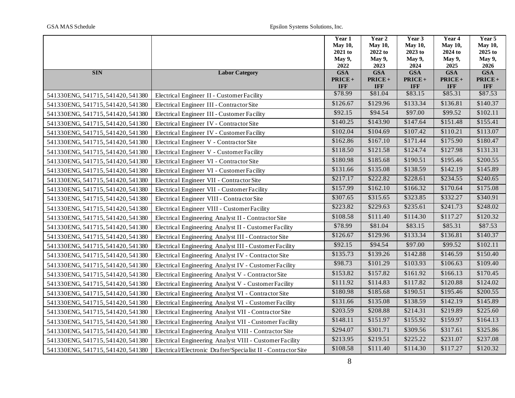|                                   |                                                               | Year 1             | Year <sub>2</sub>  | Year 3             | Year 4             | Year 5             |
|-----------------------------------|---------------------------------------------------------------|--------------------|--------------------|--------------------|--------------------|--------------------|
|                                   |                                                               | <b>May 10,</b>     | <b>May 10,</b>     | <b>May 10,</b>     | May 10,            | <b>May 10,</b>     |
|                                   |                                                               | 2021 to            | 2022 to            | 2023 to            | 2024 to            | 2025 to            |
|                                   |                                                               | <b>May 9,</b>      | May 9,             | May 9,             | May 9,             | May 9,             |
| <b>SIN</b>                        | <b>Labor Category</b>                                         | 2022<br><b>GSA</b> | 2023<br><b>GSA</b> | 2024<br><b>GSA</b> | 2025<br><b>GSA</b> | 2026<br><b>GSA</b> |
|                                   |                                                               | $PRICE +$          | $PRICE +$          | $PRICE +$          | PRICE+             | $PRICE +$          |
|                                   |                                                               | <b>IFF</b>         | <b>IFF</b>         | <b>IFF</b>         | <b>IFF</b>         | <b>IFF</b>         |
| 541330ENG, 541715, 541420, 541380 | Electrical Engineer II - Customer Facility                    | \$78.99            | \$81.04            | \$83.15            | \$85.31            | \$87.53            |
| 541330ENG, 541715, 541420, 541380 | Electrical Engineer III - Contractor Site                     | \$126.67           | \$129.96           | \$133.34           | \$136.81           | \$140.37           |
| 541330ENG, 541715, 541420, 541380 | Electrical Engineer III - Customer Facility                   | \$92.15            | \$94.54            | \$97.00            | \$99.52            | \$102.11           |
| 541330ENG, 541715, 541420, 541380 | Electrical Engineer IV - Contractor Site                      | \$140.25           | \$143.90           | \$147.64           | \$151.48           | \$155.41           |
| 541330ENG, 541715, 541420, 541380 | Electrical Engineer IV - Customer Facility                    | \$102.04           | \$104.69           | \$107.42           | \$110.21           | \$113.07           |
| 541330ENG, 541715, 541420, 541380 | Electrical Engineer V - Contractor Site                       | \$162.86           | \$167.10           | \$171.44           | \$175.90           | \$180.47           |
| 541330ENG, 541715, 541420, 541380 | Electrical Engineer V - Customer Facility                     | \$118.50           | \$121.58           | \$124.74           | \$127.98           | \$131.31           |
| 541330ENG, 541715, 541420, 541380 | Electrical Engineer VI - Contractor Site                      | \$180.98           | \$185.68           | \$190.51           | \$195.46           | \$200.55           |
| 541330ENG, 541715, 541420, 541380 | Electrical Engineer VI - Customer Facility                    | \$131.66           | \$135.08           | \$138.59           | \$142.19           | \$145.89           |
| 541330ENG, 541715, 541420, 541380 | Electrical Engineer VII - Contractor Site                     | \$217.17           | \$222.82           | \$228.61           | \$234.55           | \$240.65           |
| 541330ENG, 541715, 541420, 541380 | Electrical Engineer VII - Customer Facility                   | \$157.99           | \$162.10           | \$166.32           | \$170.64           | \$175.08           |
| 541330ENG, 541715, 541420, 541380 | Electrical Engineer VIII - Contractor Site                    | \$307.65           | \$315.65           | \$323.85           | \$332.27           | \$340.91           |
| 541330ENG, 541715, 541420, 541380 | Electrical Engineer VIII - Customer Facility                  | \$223.82           | \$229.63           | \$235.61           | \$241.73           | \$248.02           |
| 541330ENG, 541715, 541420, 541380 | Electrical Engineering Analyst II - Contractor Site           | \$108.58           | \$111.40           | \$114.30           | \$117.27           | \$120.32           |
| 541330ENG, 541715, 541420, 541380 | Electrical Engineering Analyst II - Customer Facility         | \$78.99            | \$81.04            | \$83.15            | \$85.31            | \$87.53            |
| 541330ENG, 541715, 541420, 541380 | Electrical Engineering Analyst III - Contractor Site          | \$126.67           | \$129.96           | \$133.34           | \$136.81           | \$140.37           |
| 541330ENG, 541715, 541420, 541380 | Electrical Engineering Analyst III - Customer Facility        | \$92.15            | \$94.54            | \$97.00            | \$99.52            | \$102.11           |
| 541330ENG, 541715, 541420, 541380 | Electrical Engineering Analyst IV - Contractor Site           | \$135.73           | \$139.26           | \$142.88           | \$146.59           | \$150.40           |
| 541330ENG, 541715, 541420, 541380 | Electrical Engineering Analyst IV - Customer Facility         | \$98.73            | \$101.29           | \$103.93           | \$106.63           | \$109.40           |
| 541330ENG, 541715, 541420, 541380 | Electrical Engineering Analyst V - Contractor Site            | \$153.82           | \$157.82           | \$161.92           | \$166.13           | \$170.45           |
| 541330ENG, 541715, 541420, 541380 | Electrical Engineering Analyst V - Customer Facility          | \$111.92           | \$114.83           | \$117.82           | \$120.88           | \$124.02           |
| 541330ENG, 541715, 541420, 541380 | Electrical Engineering Analyst VI - Contractor Site           | \$180.98           | \$185.68           | \$190.51           | \$195.46           | \$200.55           |
| 541330ENG, 541715, 541420, 541380 | Electrical Engineering Analyst VI - Customer Facility         | \$131.66           | \$135.08           | \$138.59           | \$142.19           | \$145.89           |
| 541330ENG, 541715, 541420, 541380 | Electrical Engineering Analyst VII - Contractor Site          | \$203.59           | \$208.88           | \$214.31           | \$219.89           | \$225.60           |
| 541330ENG, 541715, 541420, 541380 | Electrical Engineering Analyst VII - Customer Facility        | \$148.11           | \$151.97           | \$155.92           | \$159.97           | \$164.13           |
| 541330ENG, 541715, 541420, 541380 | Electrical Engineering Analyst VIII - Contractor Site         | \$294.07           | \$301.71           | \$309.56           | \$317.61           | \$325.86           |
| 541330ENG, 541715, 541420, 541380 | Electrical Engineering Analyst VIII - Customer Facility       | \$213.95           | \$219.51           | \$225.22           | \$231.07           | \$237.08           |
| 541330ENG, 541715, 541420, 541380 | Electrical/Electronic Drafter/Specialist II - Contractor Site | \$108.58           | \$111.40           | \$114.30           | \$117.27           | \$120.32           |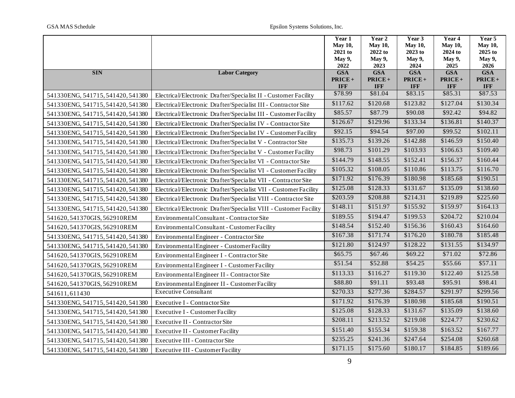|                                   |                                                                   | Year 1             | Year 2             | Year 3             | Year 4             | Year 5             |
|-----------------------------------|-------------------------------------------------------------------|--------------------|--------------------|--------------------|--------------------|--------------------|
|                                   |                                                                   | <b>May 10,</b>     | <b>May 10,</b>     | <b>May 10,</b>     | <b>May 10,</b>     | May 10,            |
|                                   |                                                                   | 2021 to            | 2022 to            | 2023 to            | 2024 to            | 2025 to            |
|                                   |                                                                   | May 9,             | May 9,             | May 9,             | May 9,             | May 9,             |
| <b>SIN</b>                        | <b>Labor Category</b>                                             | 2022<br><b>GSA</b> | 2023<br><b>GSA</b> | 2024<br><b>GSA</b> | 2025<br><b>GSA</b> | 2026<br><b>GSA</b> |
|                                   |                                                                   | $PRICE +$          | $PRICE +$          | $PRICE +$          | $PRICE +$          | PRICE+             |
|                                   |                                                                   | <b>IFF</b>         | <b>IFF</b>         | <b>IFF</b>         | <b>IFF</b>         | <b>IFF</b>         |
| 541330ENG, 541715, 541420, 541380 | Electrical/Electronic Drafter/Specialist II - Customer Facility   | \$78.99            | \$81.04            | \$83.15            | \$85.31            | \$87.53            |
| 541330ENG, 541715, 541420, 541380 | Electrical/Electronic Drafter/Specialist III - Contractor Site    | \$117.62           | \$120.68           | \$123.82           | \$127.04           | \$130.34           |
| 541330ENG, 541715, 541420, 541380 | Electrical/Electronic Drafter/Specialist III - Customer Facility  | \$85.57            | \$87.79            | \$90.08            | \$92.42            | \$94.82            |
| 541330ENG, 541715, 541420, 541380 | Electrical/Electronic Drafter/Specialist IV - Contractor Site     | \$126.67           | \$129.96           | \$133.34           | \$136.81           | \$140.37           |
| 541330ENG, 541715, 541420, 541380 | Electrical/Electronic Drafter/Specialist IV - Customer Facility   | \$92.15            | \$94.54            | \$97.00            | \$99.52            | \$102.11           |
| 541330ENG, 541715, 541420, 541380 | Electrical/Electronic Drafter/Specialist V - Contractor Site      | \$135.73           | \$139.26           | \$142.88           | \$146.59           | \$150.40           |
| 541330ENG, 541715, 541420, 541380 | Electrical/Electronic Drafter/Specialist V - Customer Facility    | \$98.73            | \$101.29           | \$103.93           | \$106.63           | \$109.40           |
| 541330ENG, 541715, 541420, 541380 | Electrical/Electronic Drafter/Specialist VI - Contractor Site     | \$144.79           | \$148.55           | \$152.41           | \$156.37           | \$160.44           |
| 541330ENG, 541715, 541420, 541380 | Electrical/Electronic Drafter/Specialist VI - Customer Facility   | \$105.32           | \$108.05           | \$110.86           | \$113.75           | \$116.70           |
| 541330ENG, 541715, 541420, 541380 | Electrical/Electronic Drafter/Specialist VII - Contractor Site    | \$171.92           | \$176.39           | \$180.98           | \$185.68           | \$190.51           |
| 541330ENG, 541715, 541420, 541380 | Electrical/Electronic Drafter/Specialist VII - Customer Facility  | \$125.08           | \$128.33           | \$131.67           | \$135.09           | \$138.60           |
| 541330ENG, 541715, 541420, 541380 | Electrical/Electronic Drafter/Specialist VIII - Contractor Site   | \$203.59           | \$208.88           | \$214.31           | \$219.89           | \$225.60           |
| 541330ENG, 541715, 541420, 541380 | Electrical/Electronic Drafter/Specialist VIII - Customer Facility | \$148.11           | \$151.97           | \$155.92           | \$159.97           | \$164.13           |
| 541620, 541370GIS, 562910REM      | EnvironmentalConsultant - Contractor Site                         | \$189.55           | \$194.47           | \$199.53           | \$204.72           | \$210.04           |
| 541620, 541370GIS, 562910REM      | Environmental Consultant - Customer Facility                      | \$148.54           | \$152.40           | \$156.36           | \$160.43           | \$164.60           |
| 541330ENG, 541715, 541420, 541380 | Environmental Engineer - Contractor Site                          | \$167.38           | \$171.74           | \$176.20           | \$180.78           | \$185.48           |
| 541330ENG, 541715, 541420, 541380 | Environmental Engineer - Customer Facility                        | \$121.80           | \$124.97           | \$128.22           | \$131.55           | \$134.97           |
| 541620, 541370GIS, 562910REM      | EnvironmentalEngineer I - Contractor Site                         | \$65.75            | \$67.46            | \$69.22            | \$71.02            | \$72.86            |
| 541620, 541370GIS, 562910REM      | Environmental Engineer I - Customer Facility                      | \$51.54            | \$52.88            | \$54.25            | \$55.66            | \$57.11            |
| 541620, 541370GIS, 562910REM      | Environmental Engineer II - Contractor Site                       | \$113.33           | \$116.27           | \$119.30           | \$122.40           | \$125.58           |
| 541620, 541370GIS, 562910REM      | Environmental Engineer II - Customer Facility                     | \$88.80            | \$91.11            | \$93.48            | \$95.91            | \$98.41            |
| 541611,611430                     | <b>Executive Consultant</b>                                       | \$270.33           | \$277.36           | \$284.57           | \$291.97           | \$299.56           |
| 541330ENG, 541715, 541420, 541380 | Executive I - Contractor Site                                     | \$171.92           | \$176.39           | \$180.98           | \$185.68           | \$190.51           |
| 541330ENG, 541715, 541420, 541380 | <b>Executive I - Customer Facility</b>                            | \$125.08           | \$128.33           | \$131.67           | \$135.09           | \$138.60           |
| 541330ENG, 541715, 541420, 541380 | Executive II - Contractor Site                                    | \$208.11           | \$213.52           | \$219.08           | \$224.77           | \$230.62           |
| 541330ENG, 541715, 541420, 541380 | Executive II - Customer Facility                                  | \$151.40           | \$155.34           | \$159.38           | \$163.52           | \$167.77           |
| 541330ENG, 541715, 541420, 541380 | Executive III - Contractor Site                                   | \$235.25           | \$241.36           | \$247.64           | \$254.08           | \$260.68           |
| 541330ENG, 541715, 541420, 541380 | Executive III - Customer Facility                                 | \$171.15           | \$175.60           | \$180.17           | \$184.85           | \$189.66           |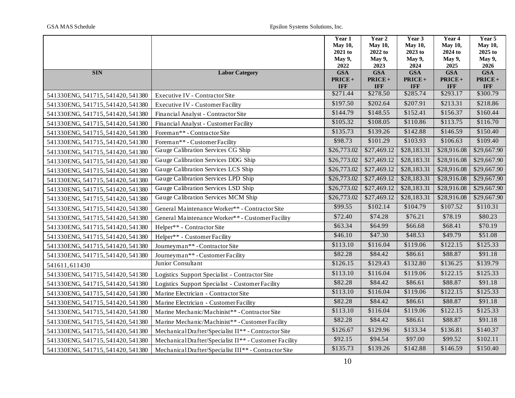|                                   |                                                        | Year 1             | Year 2             | Year 3             | Year 4             | Year 5             |
|-----------------------------------|--------------------------------------------------------|--------------------|--------------------|--------------------|--------------------|--------------------|
|                                   |                                                        | <b>May 10,</b>     | <b>May 10,</b>     | <b>May 10,</b>     | <b>May 10,</b>     | <b>May 10,</b>     |
|                                   |                                                        | 2021 to            | 2022 to            | 2023 to            | 2024 to            | 2025 to            |
|                                   |                                                        | May 9,             | May 9,             | May 9,             | May 9,             | May 9,             |
| <b>SIN</b>                        | <b>Labor Category</b>                                  | 2022<br><b>GSA</b> | 2023<br><b>GSA</b> | 2024<br><b>GSA</b> | 2025<br><b>GSA</b> | 2026<br><b>GSA</b> |
|                                   |                                                        | PRICE+             | PRICE+             | $PRICE +$          | PRICE+             | PRICE+             |
|                                   |                                                        | <b>IFF</b>         | <b>IFF</b>         | <b>IFF</b>         | <b>IFF</b>         | <b>IFF</b>         |
| 541330ENG, 541715, 541420, 541380 | Executive IV - Contractor Site                         | \$271.44           | \$278.50           | \$285.74           | \$293.17           | \$300.79           |
| 541330ENG, 541715, 541420, 541380 | Executive IV - Customer Facility                       | \$197.50           | \$202.64           | \$207.91           | \$213.31           | \$218.86           |
| 541330ENG, 541715, 541420, 541380 | Financial Analyst - Contractor Site                    | \$144.79           | \$148.55           | \$152.41           | \$156.37           | \$160.44           |
| 541330ENG, 541715, 541420, 541380 | Financial Analyst - Customer Facility                  | \$105.32           | \$108.05           | \$110.86           | \$113.75           | \$116.70           |
| 541330ENG, 541715, 541420, 541380 | Foreman** - Contractor Site                            | \$135.73           | \$139.26           | \$142.88           | \$146.59           | \$150.40           |
| 541330ENG, 541715, 541420, 541380 | Foreman** - Customer Facility                          | \$98.73            | \$101.29           | \$103.93           | \$106.63           | \$109.40           |
| 541330ENG, 541715, 541420, 541380 | Gauge Calibration Services CG Ship                     | \$26,773.02        | \$27,469.12        | \$28,183.31        | \$28,916.08        | \$29,667.90        |
| 541330ENG, 541715, 541420, 541380 | Gauge Calibration Services DDG Ship                    | \$26,773.02        | \$27,469.12        | \$28,183.31        | \$28,916.08        | \$29,667.90        |
| 541330ENG, 541715, 541420, 541380 | Gauge Calibration Services LCS Ship                    | \$26,773.02        | \$27,469.12        | \$28,183.31        | \$28,916.08        | \$29,667.90        |
| 541330ENG, 541715, 541420, 541380 | Gauge Calibration Services LPD Ship                    | \$26,773.02        | \$27,469.12        | \$28,183.31        | \$28,916.08        | \$29,667.90        |
| 541330ENG, 541715, 541420, 541380 | Gauge Calibration Services LSD Ship                    | \$26,773.02        | \$27,469.12        | \$28,183.31        | \$28,916.08        | \$29,667.90        |
| 541330ENG, 541715, 541420, 541380 | Gauge Calibration Services MCM Ship                    | \$26,773.02        | \$27,469.12        | \$28,183.31        | \$28,916.08        | \$29,667.90        |
| 541330ENG, 541715, 541420, 541380 | General Maintenance Worker** - Contractor Site         | \$99.55            | \$102.14           | \$104.79           | \$107.52           | \$110.31           |
| 541330ENG, 541715, 541420, 541380 | General Maintenance Worker** - Customer Facility       | \$72.40            | \$74.28            | \$76.21            | \$78.19            | \$80.23            |
| 541330ENG, 541715, 541420, 541380 | Helper** - Contractor Site                             | \$63.34            | \$64.99            | \$66.68            | \$68.41            | \$70.19            |
| 541330ENG, 541715, 541420, 541380 | Helper** - Customer Facility                           | \$46.10            | \$47.30            | \$48.53            | \$49.79            | \$51.08            |
| 541330ENG, 541715, 541420, 541380 | Journeyman** - Contractor Site                         | \$113.10           | \$116.04           | \$119.06           | \$122.15           | \$125.33           |
| 541330ENG, 541715, 541420, 541380 | Journeyman**-CustomerFacility                          | \$82.28            | \$84.42            | \$86.61            | \$88.87            | \$91.18            |
| 541611,611430                     | Junior Consultant                                      | \$126.15           | \$129.43           | \$132.80           | \$136.25           | \$139.79           |
| 541330ENG, 541715, 541420, 541380 | Logistics Support Specialist - Contractor Site         | \$113.10           | \$116.04           | \$119.06           | \$122.15           | \$125.33           |
| 541330ENG, 541715, 541420, 541380 | Logistics Support Specialist - Customer Facility       | \$82.28            | \$84.42            | \$86.61            | \$88.87            | \$91.18            |
| 541330ENG, 541715, 541420, 541380 | Marine Electrician - Contractor Site                   | \$113.10           | \$116.04           | \$119.06           | \$122.15           | \$125.33           |
| 541330ENG, 541715, 541420, 541380 | Marine Electrician - Customer Facility                 | \$82.28            | \$84.42            | \$86.61            | \$88.87            | \$91.18            |
| 541330ENG, 541715, 541420, 541380 | Marine Mechanic/Machinist** - Contractor Site          | \$113.10           | \$116.04           | \$119.06           | \$122.15           | \$125.33           |
| 541330ENG, 541715, 541420, 541380 | Marine Mechanic/Machinist** - Customer Facility        | \$82.28            | \$84.42            | \$86.61            | \$88.87            | \$91.18            |
| 541330ENG, 541715, 541420, 541380 | Mechanical Drafter/Specialist II** - Contractor Site   | \$126.67           | \$129.96           | \$133.34           | \$136.81           | \$140.37           |
| 541330ENG, 541715, 541420, 541380 | Mechanical Drafter/Specialist II** - Customer Facility | \$92.15            | \$94.54            | \$97.00            | \$99.52            | \$102.11           |
| 541330ENG, 541715, 541420, 541380 | Mechanical Drafter/Specialist III** - Contractor Site  | \$135.73           | \$139.26           | \$142.88           | \$146.59           | \$150.40           |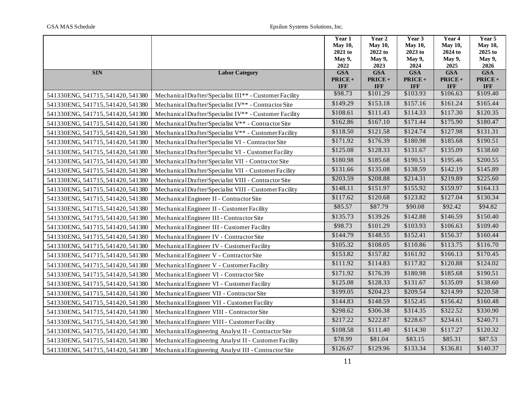|                                   |                                                         | Year 1             | Year 2             | Year 3             | Year 4             | Year 5             |
|-----------------------------------|---------------------------------------------------------|--------------------|--------------------|--------------------|--------------------|--------------------|
|                                   |                                                         | <b>May 10,</b>     | <b>May 10,</b>     | <b>May 10,</b>     | <b>May 10,</b>     | <b>May 10,</b>     |
|                                   |                                                         | 2021 to            | 2022 to            | 2023 to            | 2024 to            | 2025 to            |
|                                   |                                                         | <b>May 9,</b>      | May 9,             | May 9,             | May 9,             | May 9,             |
| <b>SIN</b>                        | <b>Labor Category</b>                                   | 2022<br><b>GSA</b> | 2023<br><b>GSA</b> | 2024<br><b>GSA</b> | 2025<br><b>GSA</b> | 2026<br><b>GSA</b> |
|                                   |                                                         | $PRICE +$          | $PRICE +$          | $PRICE +$          | PRICE+             | PRICE+             |
|                                   |                                                         | <b>IFF</b>         | <b>IFF</b>         | <b>IFF</b>         | <b>IFF</b>         | <b>IFF</b>         |
| 541330ENG, 541715, 541420, 541380 | Mechanical Drafter/Specialist III** - Customer Facility | \$98.73            | \$101.29           | \$103.93           | \$106.63           | \$109.40           |
| 541330ENG, 541715, 541420, 541380 | Mechanical Drafter/Specialist IV** - Contractor Site    | \$149.29           | \$153.18           | \$157.16           | \$161.24           | \$165.44           |
| 541330ENG, 541715, 541420, 541380 | Mechanical Drafter/Specialist IV** - Customer Facility  | \$108.61           | \$111.43           | \$114.33           | \$117.30           | \$120.35           |
| 541330ENG, 541715, 541420, 541380 | Mechanical Drafter/Specialist V** - Contractor Site     | \$162.86           | \$167.10           | \$171.44           | \$175.90           | \$180.47           |
| 541330ENG, 541715, 541420, 541380 | Mechanical Drafter/Specialist V** - Customer Facility   | \$118.50           | \$121.58           | \$124.74           | \$127.98           | \$131.31           |
| 541330ENG, 541715, 541420, 541380 | Mechanical Drafter/Specialist VI - Contractor Site      | \$171.92           | \$176.39           | \$180.98           | \$185.68           | \$190.51           |
| 541330ENG, 541715, 541420, 541380 | Mechanical Drafter/Specialist VI - Customer Facility    | \$125.08           | \$128.33           | \$131.67           | \$135.09           | \$138.60           |
| 541330ENG, 541715, 541420, 541380 | Mechanical Drafter/Specialist VII - Contractor Site     | \$180.98           | \$185.68           | \$190.51           | \$195.46           | \$200.55           |
| 541330ENG, 541715, 541420, 541380 | Mechanical Drafter/Specialist VII - Customer Facility   | \$131.66           | \$135.08           | \$138.59           | \$142.19           | \$145.89           |
| 541330ENG, 541715, 541420, 541380 | Mechanical Drafter/Specialist VIII - Contractor Site    | \$203.59           | \$208.88           | \$214.31           | \$219.89           | \$225.60           |
| 541330ENG, 541715, 541420, 541380 | MechanicalDrafter/Specialist VIII - Customer Facility   | \$148.11           | \$151.97           | \$155.92           | \$159.97           | \$164.13           |
| 541330ENG, 541715, 541420, 541380 | Mechanical Engineer II - Contractor Site                | \$117.62           | \$120.68           | \$123.82           | \$127.04           | \$130.34           |
| 541330ENG, 541715, 541420, 541380 | Mechanical Engineer II - Customer Facility              | \$85.57            | \$87.79            | \$90.08            | \$92.42            | \$94.82            |
| 541330ENG, 541715, 541420, 541380 | Mechanical Engineer III - Contractor Site               | \$135.73           | \$139.26           | \$142.88           | \$146.59           | \$150.40           |
| 541330ENG, 541715, 541420, 541380 | Mechanical Engineer III - Customer Facility             | \$98.73            | \$101.29           | \$103.93           | \$106.63           | \$109.40           |
| 541330ENG, 541715, 541420, 541380 | Mechanical Engineer IV - Contractor Site                | \$144.79           | \$148.55           | \$152.41           | \$156.37           | \$160.44           |
| 541330ENG, 541715, 541420, 541380 | Mechanical Engineer IV - Customer Facility              | \$105.32           | \$108.05           | \$110.86           | \$113.75           | \$116.70           |
| 541330ENG, 541715, 541420, 541380 | Mechanical Engineer V - Contractor Site                 | \$153.82           | \$157.82           | \$161.92           | \$166.13           | \$170.45           |
| 541330ENG, 541715, 541420, 541380 | Mechanical Engineer V - Customer Facility               | \$111.92           | \$114.83           | \$117.82           | \$120.88           | \$124.02           |
| 541330ENG, 541715, 541420, 541380 | Mechanical Engineer VI - Contractor Site                | \$171.92           | \$176.39           | \$180.98           | \$185.68           | \$190.51           |
| 541330ENG, 541715, 541420, 541380 | Mechanical Engineer VI - Customer Facility              | \$125.08           | \$128.33           | \$131.67           | \$135.09           | \$138.60           |
| 541330ENG, 541715, 541420, 541380 | Mechanical Engineer VII - Contractor Site               | \$199.05           | \$204.23           | \$209.54           | \$214.99           | \$220.58           |
| 541330ENG, 541715, 541420, 541380 | Mechanical Engineer VII - Customer Facility             | \$144.83           | \$148.59           | \$152.45           | \$156.42           | \$160.48           |
| 541330ENG, 541715, 541420, 541380 | Mechanical Engineer VIII - Contractor Site              | \$298.62           | \$306.38           | \$314.35           | \$322.52           | \$330.90           |
| 541330ENG, 541715, 541420, 541380 | Mechanical Engineer VIII - Customer Facility            | \$217.22           | \$222.87           | \$228.67           | \$234.61           | \$240.71           |
| 541330ENG, 541715, 541420, 541380 | Mechanical Engineering Analyst II - Contractor Site     | \$108.58           | \$111.40           | \$114.30           | \$117.27           | \$120.32           |
| 541330ENG, 541715, 541420, 541380 | Mechanical Engineering Analyst II - Customer Facility   | \$78.99            | \$81.04            | \$83.15            | \$85.31            | \$87.53            |
| 541330ENG, 541715, 541420, 541380 | Mechanical Engineering Analyst III - Contractor Site    | \$126.67           | \$129.96           | \$133.34           | \$136.81           | \$140.37           |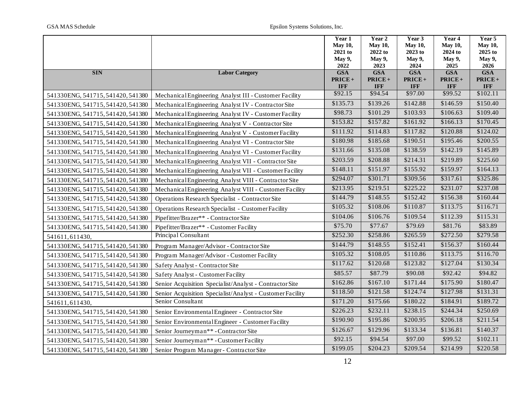|                                   |                                                           | Year 1             | Year 2             | Year 3             | Year 4             | Year 5                |
|-----------------------------------|-----------------------------------------------------------|--------------------|--------------------|--------------------|--------------------|-----------------------|
|                                   |                                                           | <b>May 10,</b>     | <b>May 10,</b>     | <b>May 10,</b>     | <b>May 10,</b>     | <b>May 10,</b>        |
|                                   |                                                           | 2021 to            | 2022 to            | 2023 to            | 2024 to            | 2025 to               |
|                                   |                                                           | May 9,             | May 9,             | <b>May 9,</b>      | <b>May 9,</b>      | <b>May 9,</b><br>2026 |
| <b>SIN</b>                        | <b>Labor Category</b>                                     | 2022<br><b>GSA</b> | 2023<br><b>GSA</b> | 2024<br><b>GSA</b> | 2025<br><b>GSA</b> | <b>GSA</b>            |
|                                   |                                                           | $PRICE +$          | $PRICE +$          | $PRICE +$          | PRICE+             | $PRICE +$             |
|                                   |                                                           | <b>IFF</b>         | <b>IFF</b>         | <b>IFF</b>         | <b>IFF</b>         | <b>IFF</b>            |
| 541330ENG, 541715, 541420, 541380 | Mechanical Engineering Analyst III - Customer Facility    | \$92.15            | \$94.54            | \$97.00            | \$99.52            | \$102.11              |
| 541330ENG, 541715, 541420, 541380 | Mechanical Engineering Analyst IV - Contractor Site       | \$135.73           | \$139.26           | \$142.88           | \$146.59           | \$150.40              |
| 541330ENG, 541715, 541420, 541380 | Mechanical Engineering Analyst IV - Customer Facility     | \$98.73            | \$101.29           | \$103.93           | \$106.63           | \$109.40              |
| 541330ENG, 541715, 541420, 541380 | Mechanical Engineering Analyst V - Contractor Site        | \$153.82           | \$157.82           | \$161.92           | \$166.13           | \$170.45              |
| 541330ENG, 541715, 541420, 541380 | Mechanical Engineering Analyst V - Customer Facility      | \$111.92           | \$114.83           | \$117.82           | \$120.88           | \$124.02              |
| 541330ENG, 541715, 541420, 541380 | Mechanical Engineering Analyst VI - Contractor Site       | \$180.98           | \$185.68           | \$190.51           | \$195.46           | \$200.55              |
| 541330ENG, 541715, 541420, 541380 | Mechanical Engineering Analyst VI - Customer Facility     | \$131.66           | \$135.08           | \$138.59           | \$142.19           | \$145.89              |
| 541330ENG, 541715, 541420, 541380 | Mechanical Engineering Analyst VII - Contractor Site      | \$203.59           | \$208.88           | \$214.31           | \$219.89           | \$225.60              |
| 541330ENG, 541715, 541420, 541380 | Mechanical Engineering Analyst VII - Customer Facility    | \$148.11           | \$151.97           | \$155.92           | \$159.97           | \$164.13              |
| 541330ENG, 541715, 541420, 541380 | Mechanical Engineering Analyst VIII - Contractor Site     | \$294.07           | \$301.71           | \$309.56           | \$317.61           | \$325.86              |
| 541330ENG, 541715, 541420, 541380 | Mechanical Engineering Analyst VIII - Customer Facility   | \$213.95           | \$219.51           | \$225.22           | \$231.07           | \$237.08              |
| 541330ENG, 541715, 541420, 541380 | Operations Research Specialist - Contractor Site          | \$144.79           | \$148.55           | \$152.42           | \$156.38           | \$160.44              |
| 541330ENG, 541715, 541420, 541380 | <b>Operations Research Specialist - Customer Facility</b> | \$105.32           | \$108.06           | \$110.87           | \$113.75           | \$116.71              |
| 541330ENG, 541715, 541420, 541380 | Pipefitter/Brazer** - Contractor Site                     | \$104.06           | \$106.76           | \$109.54           | \$112.39           | \$115.31              |
| 541330ENG, 541715, 541420, 541380 | Pipefitter/Brazer** - Customer Facility                   | \$75.70            | \$77.67            | \$79.69            | \$81.76            | \$83.89               |
| 541611,611430,                    | Principal Consultant                                      | \$252.30           | \$258.86           | \$265.59           | \$272.50           | \$279.58              |
| 541330ENG, 541715, 541420, 541380 | Program Manager/Advisor - Contractor Site                 | \$144.79           | \$148.55           | \$152.41           | \$156.37           | \$160.44              |
| 541330ENG, 541715, 541420, 541380 | Program Manager/Advisor - Customer Facility               | \$105.32           | \$108.05           | \$110.86           | \$113.75           | \$116.70              |
| 541330ENG, 541715, 541420, 541380 | Safety Analyst - Contractor Site                          | \$117.62           | \$120.68           | \$123.82           | \$127.04           | \$130.34              |
| 541330ENG, 541715, 541420, 541380 | Safety Analyst - Customer Facility                        | \$85.57            | \$87.79            | \$90.08            | \$92.42            | \$94.82               |
| 541330ENG, 541715, 541420, 541380 | Senior Acquisition Specialist/Analyst - Contractor Site   | \$162.86           | \$167.10           | \$171.44           | \$175.90           | \$180.47              |
| 541330ENG, 541715, 541420, 541380 | Senior Acquisition Specialist/Analyst - Customer Facility | \$118.50           | \$121.58           | \$124.74           | \$127.98           | \$131.31              |
| 541611,611430,                    | Senior Consultant                                         | \$171.20           | \$175.66           | \$180.22           | \$184.91           | \$189.72              |
| 541330ENG, 541715, 541420, 541380 | Senior Environmental Engineer - Contractor Site           | \$226.23           | \$232.11           | \$238.15           | \$244.34           | \$250.69              |
| 541330ENG, 541715, 541420, 541380 | Senior Environmental Engineer - Customer Facility         | \$190.90           | \$195.86           | \$200.95           | \$206.18           | \$211.54              |
| 541330ENG, 541715, 541420, 541380 | Senior Journeyman** - Contractor Site                     | \$126.67           | \$129.96           | \$133.34           | \$136.81           | \$140.37              |
| 541330ENG, 541715, 541420, 541380 | Senior Journeyman** - Customer Facility                   | \$92.15            | \$94.54            | \$97.00            | \$99.52            | \$102.11              |
| 541330ENG, 541715, 541420, 541380 | Senior Program Manager - Contractor Site                  | \$199.05           | \$204.23           | \$209.54           | \$214.99           | \$220.58              |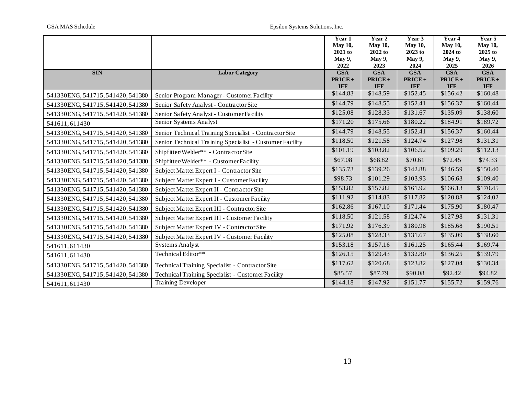|                                   |                                                          | Year 1                  | Year 2                  | Year 3               | Year 4                  | Year 5                  |
|-----------------------------------|----------------------------------------------------------|-------------------------|-------------------------|----------------------|-------------------------|-------------------------|
|                                   |                                                          | <b>May 10,</b>          | <b>May 10,</b>          | <b>May 10,</b>       | <b>May 10,</b>          | <b>May 10,</b>          |
|                                   |                                                          | $2021$ to               | 2022 to                 | 2023 to              | 2024 to                 | 2025 to                 |
|                                   |                                                          | May 9,                  | May 9,                  | May 9,               | May 9,                  | May 9,                  |
|                                   |                                                          | 2022                    | 2023                    | 2024                 | 2025                    | 2026                    |
| <b>SIN</b>                        | <b>Labor Category</b>                                    | <b>GSA</b>              | <b>GSA</b>              | <b>GSA</b>           | <b>GSA</b>              | <b>GSA</b>              |
|                                   |                                                          | $PRICE +$<br><b>IFF</b> | $PRICE +$<br><b>IFF</b> | PRICE+<br><b>IFF</b> | $PRICE +$<br><b>IFF</b> | $PRICE +$<br><b>IFF</b> |
|                                   |                                                          | \$144.83                | \$148.59                | \$152.45             | \$156.42                | \$160.48                |
| 541330ENG, 541715, 541420, 541380 | Senior Program Manager - Customer Facility               |                         |                         |                      |                         |                         |
| 541330ENG, 541715, 541420, 541380 | Senior Safety Analyst - Contractor Site                  | \$144.79                | \$148.55                | \$152.41             | \$156.37                | \$160.44                |
| 541330ENG, 541715, 541420, 541380 | Senior Safety Analyst - Customer Facility                | \$125.08                | \$128.33                | \$131.67             | \$135.09                | \$138.60                |
| 541611,611430                     | Senior Systems Analyst                                   | \$171.20                | \$175.66                | \$180.22             | \$184.91                | \$189.72                |
| 541330ENG, 541715, 541420, 541380 | Senior Technical Training Specialist - Contractor Site   | \$144.79                | \$148.55                | \$152.41             | \$156.37                | \$160.44                |
| 541330ENG, 541715, 541420, 541380 | Senior Technical Training Specialist - Customer Facility | \$118.50                | \$121.58                | \$124.74             | \$127.98                | \$131.31                |
| 541330ENG, 541715, 541420, 541380 | Shipfitter/Welder** - Contractor Site                    | \$101.19                | \$103.82                | \$106.52             | \$109.29                | \$112.13                |
| 541330ENG, 541715, 541420, 541380 | Shipfitter/Welder** - Customer Facility                  | \$67.08                 | \$68.82                 | \$70.61              | \$72.45                 | \$74.33                 |
| 541330ENG, 541715, 541420, 541380 | Subject Matter Expert I - Contractor Site                | \$135.73                | \$139.26                | \$142.88             | \$146.59                | \$150.40                |
| 541330ENG, 541715, 541420, 541380 | Subject Matter Expert I - Customer Facility              | \$98.73                 | \$101.29                | \$103.93             | \$106.63                | \$109.40                |
| 541330ENG, 541715, 541420, 541380 | Subject Matter Expert II - Contractor Site               | \$153.82                | \$157.82                | \$161.92             | \$166.13                | \$170.45                |
| 541330ENG, 541715, 541420, 541380 | Subject Matter Expert II - Customer Facility             | \$111.92                | \$114.83                | \$117.82             | \$120.88                | \$124.02                |
| 541330ENG, 541715, 541420, 541380 | Subject Matter Expert III - Contractor Site              | \$162.86                | \$167.10                | \$171.44             | \$175.90                | \$180.47                |
| 541330ENG, 541715, 541420, 541380 | Subject Matter Expert III - Customer Facility            | \$118.50                | \$121.58                | \$124.74             | \$127.98                | \$131.31                |
| 541330ENG, 541715, 541420, 541380 | Subject Matter Expert IV - Contractor Site               | \$171.92                | \$176.39                | \$180.98             | \$185.68                | \$190.51                |
| 541330ENG, 541715, 541420, 541380 | Subject Matter Expert IV - Customer Facility             | \$125.08                | \$128.33                | \$131.67             | \$135.09                | \$138.60                |
| 541611,611430                     | <b>Systems Analyst</b>                                   | \$153.18                | \$157.16                | \$161.25             | \$165.44                | \$169.74                |
| 541611,611430                     | Technical Editor**                                       | \$126.15                | \$129.43                | \$132.80             | \$136.25                | \$139.79                |
| 541330ENG, 541715, 541420, 541380 | Technical Training Specialist - Contractor Site          | \$117.62                | \$120.68                | \$123.82             | \$127.04                | \$130.34                |
| 541330ENG, 541715, 541420, 541380 | Technical Training Specialist - Customer Facility        | \$85.57                 | \$87.79                 | \$90.08              | \$92.42                 | \$94.82                 |
| 541611,611430                     | <b>Training Developer</b>                                | \$144.18                | \$147.92                | \$151.77             | \$155.72                | \$159.76                |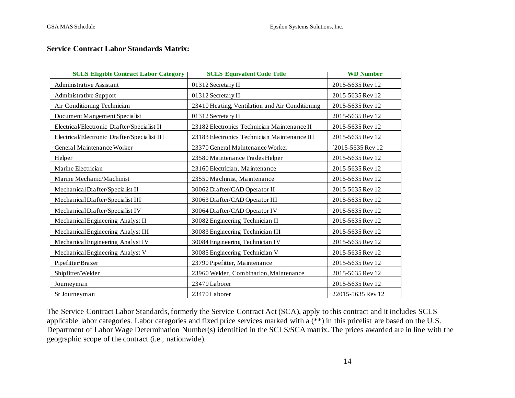### **Service Contract Labor Standards Matrix:**

| <b>SCLS Eligible Contract Labor Category</b> | <b>SCLS Equivalent Code Title</b>               | <b>WD Number</b>  |
|----------------------------------------------|-------------------------------------------------|-------------------|
| <b>Administrative Assistant</b>              | 01312 Secretary II                              | 2015-5635 Rev 12  |
| <b>Administrative Support</b>                | 01312 Secretary II                              | 2015-5635 Rev 12  |
| Air Conditioning Technician                  | 23410 Heating, Ventilation and Air Conditioning | 2015-5635 Rev 12  |
| Document Mangement Specialist                | 01312 Secretary II                              | 2015-5635 Rev 12  |
| Electrical/Electronic Drafter/Specialist II  | 23182 Electronics Technician Maintenance II     | 2015-5635 Rev 12  |
| Electrical/Electronic Drafter/Specialist III | 23183 Electronics Technician Maintenance III    | 2015-5635 Rev 12  |
| General Maintenance Worker                   | 23370 General Maintenance Worker                | 2015-5635 Rev 12  |
| Helper                                       | 23580 Maintenance Trades Helper                 | 2015-5635 Rev 12  |
| Marine Electrician                           | 23160 Electrician, Maintenance                  | 2015-5635 Rev 12  |
| Marine Mechanic/Machinist                    | 23550 Machinist, Maintenance                    | 2015-5635 Rev 12  |
| Mechanical Drafter/Specialist II             | 30062 Drafter/CAD Operator II                   | 2015-5635 Rev 12  |
| Mechanical Drafter/Specialist III            | 30063 Drafter/CAD Operator III                  | 2015-5635 Rev 12  |
| Mechanical Drafter/Specialist IV             | 30064 Drafter/CAD Operator IV                   | 2015-5635 Rev 12  |
| Mechanical Engineering Analyst II            | 30082 Engineering Technician II                 | 2015-5635 Rev 12  |
| Mechanical Engineering Analyst III           | 30083 Engineering Technician III                | 2015-5635 Rev 12  |
| Mechanical Engineering Analyst IV            | 30084 Engineering Technician IV                 | 2015-5635 Rev 12  |
| Mechanical Engineering Analyst V             | 30085 Engineering Technician V                  | 2015-5635 Rev 12  |
| Pipefitter/Brazer                            | 23790 Pipefitter, Maintenance                   | 2015-5635 Rev 12  |
| Shipfitter/Welder                            | 23960 Welder, Combination, Maintenance          | 2015-5635 Rev 12  |
| Journeyman                                   | 23470 Laborer                                   | 2015-5635 Rev 12  |
| Sr Journeyman                                | 23470 Laborer                                   | 22015-5635 Rev 12 |

The Service Contract Labor Standards, formerly the Service Contract Act (SCA), apply to this contract and it includes SCLS applicable labor categories. Labor categories and fixed price services marked with a (\*\*) in this pricelist are based on the U.S. Department of Labor Wage Determination Number(s) identified in the SCLS/SCA matrix. The prices awarded are in line with the geographic scope of the contract (i.e., nationwide).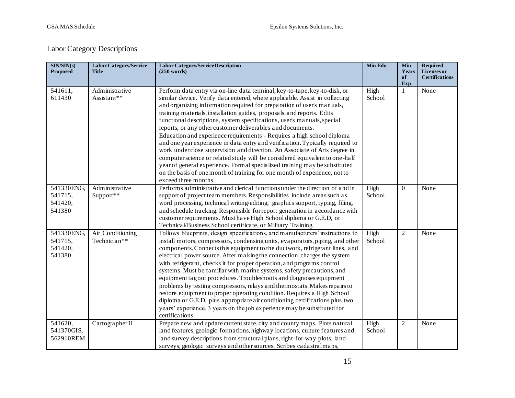## Labor Category Descriptions

| SIN/SIN(s)<br><b>Proposed</b>              | <b>Labor Category/Service</b><br><b>Title</b> | <b>Labor Category/Service Description</b><br>$(250 \text{ words})$                                                                                                                                                                                                                                                                                                                                                                                                                                                                                                                                                                                                                                                                                                                                                                                                                                                                                                | <b>Min Edu</b> | <b>Min</b><br>Years<br>of<br>Exp | <b>Required</b><br>Licenses or<br><b>Certifications</b> |
|--------------------------------------------|-----------------------------------------------|-------------------------------------------------------------------------------------------------------------------------------------------------------------------------------------------------------------------------------------------------------------------------------------------------------------------------------------------------------------------------------------------------------------------------------------------------------------------------------------------------------------------------------------------------------------------------------------------------------------------------------------------------------------------------------------------------------------------------------------------------------------------------------------------------------------------------------------------------------------------------------------------------------------------------------------------------------------------|----------------|----------------------------------|---------------------------------------------------------|
| 541611,<br>611430                          | Administrative<br>Assistant**                 | Perform data entry via on-line data terminal, key-to-tape, key-to-disk, or<br>similar device. Verify data entered, where applicable. Assist in collecting<br>and organizing information required for preparation of user's manuals,<br>training materials, installation guides, proposals, and reports. Edits<br>functional descriptions, system specifications, user's manuals, special<br>reports, or any other customer deliverables and documents.<br>Education and experience requirements - Requires a high school diploma<br>and one year experience in data entry and verification. Typically required to<br>work under close supervision and direction. An Associate of Arts degree in<br>computer science or related study will be considered equivalent to one-half<br>year of general experience. Formal specialized training may be substituted<br>on the basis of one month of training for one month of experience, not to<br>exceed three months. | High<br>School | 1                                | None                                                    |
| 541330ENG,<br>541715,<br>541420,<br>541380 | Administrative<br>Support**                   | Performs administrative and clerical functions under the direction of and in<br>support of project team members. Responsibilities include areas such as<br>word processing, technical writing/editing, graphics support, typing, filing,<br>and schedule tracking. Responsible for report generation in accordance with<br>customer requirements. Must have High School diploma or G.E.D, or<br>Technical/Business School certificate, or Military Training.                                                                                                                                                                                                                                                                                                                                                                                                                                                                                                      | High<br>School | $\Omega$                         | None                                                    |
| 541330ENG,<br>541715,<br>541420,<br>541380 | Air Conditioning<br>Technician**              | Follows blueprints, design specifications, and manufacturers' instructions to<br>install motors, compressors, condensing units, evaporators, piping, and other<br>components. Connects this equipment to the ductwork, refrigerant lines, and<br>electrical power source. After making the connection, charges the system<br>with refrigerant, checks it for proper operation, and programs control<br>systems. Must be familiar with marine systems, safety precautions, and<br>equipment tag out procedures. Troubleshoots and diagnoses equipment<br>problems by testing compressors, relays and thermostats. Makes repairs to<br>restore equipment to proper operating condition. Requires a High School<br>diploma or G.E.D. plus appropriate air conditioning certifications plus two<br>years' experience. 3 years on the job experience may be substituted for<br>certifications.                                                                         | High<br>School | $\overline{2}$                   | None                                                    |
| 541620,<br>541370GIS,<br>562910REM         | CartographerII                                | Prepare new and update current state, city and county maps. Plots natural<br>land features, geologic formations, highway locations, culture features and<br>land survey descriptions from structural plans, right-for-way plots, land<br>surveys, geologic surveys and other sources. Scribes cadastralmaps,                                                                                                                                                                                                                                                                                                                                                                                                                                                                                                                                                                                                                                                      | High<br>School | $\overline{2}$                   | None                                                    |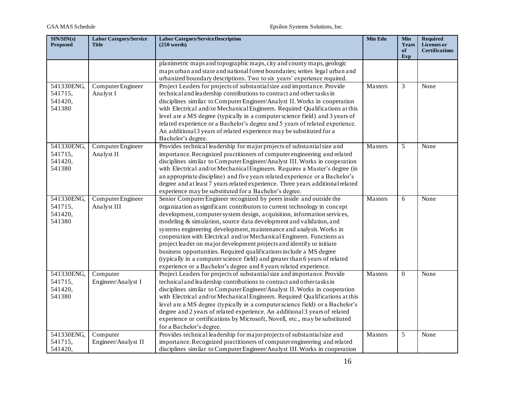| SIN/SIN(s)<br>Proposed                     | <b>Labor Category/Service</b><br><b>Title</b> | <b>Labor Category/Service Description</b><br>$(250 \text{ words})$                                                                                                                                                                                                                                                                                                                                                                                                                                                                                                                                                                                                                                                                                    | Min Edu | <b>Min</b><br>Years<br>of<br>Exp | <b>Required</b><br>Licenses or<br><b>Certifications</b> |
|--------------------------------------------|-----------------------------------------------|-------------------------------------------------------------------------------------------------------------------------------------------------------------------------------------------------------------------------------------------------------------------------------------------------------------------------------------------------------------------------------------------------------------------------------------------------------------------------------------------------------------------------------------------------------------------------------------------------------------------------------------------------------------------------------------------------------------------------------------------------------|---------|----------------------------------|---------------------------------------------------------|
|                                            |                                               | planimetric maps and topographic maps, city and county maps, geologic<br>maps urban and state and national forest boundaries; writes legal urban and<br>urbanized boundary descriptions. Two to six years' experience required.                                                                                                                                                                                                                                                                                                                                                                                                                                                                                                                       |         |                                  |                                                         |
| 541330ENG,<br>541715,<br>541420,<br>541380 | Computer Engineer<br>Analyst I                | Project Leaders for projects of substantial size and importance. Provide<br>technical and leadership contributions to contract and other tasks in<br>disciplines similar to Computer Engineer/Analyst II. Works in cooperation<br>with Electrical and/or Mechanical Engineers. Required Qualifications at this<br>level are a MS degree (typically in a computer science field) and 3 years of<br>related experience or a Bachelor's degree and 5 years of related experience.<br>An additional 3 years of related experience may be substituted for a<br>Bachelor's degree.                                                                                                                                                                          | Masters | 3                                | None                                                    |
| 541330ENG,<br>541715,<br>541420,<br>541380 | Computer Engineer<br>Analyst II               | Provides technical leadership for major projects of substantial size and<br>importance. Recognized practitioners of computer engineering and related<br>disciplines similar to Computer Engineer/Analyst III. Works in cooperation<br>with Electrical and/or Mechanical Engineers. Requires a Master's degree (in<br>an appropriate discipline) and five years related experience or a Bachelor's<br>degree and at least 7 years related experience. Three years additional related<br>experience may be substituted for a Bachelor's degree.                                                                                                                                                                                                         | Masters | 5                                | None                                                    |
| 541330ENG,<br>541715,<br>541420,<br>541380 | Computer Engineer<br>Analyst III              | Senior Computer Engineer recognized by peers inside and outside the<br>organization as significant contributors to current technology in concept<br>development, computer system design, acquisition, information services,<br>modeling & simulation, source data development and validation, and<br>systems engineering development, maintenance and analysis. Works in<br>cooperation with Electrical and/or Mechanical Engineers. Functions as<br>project leader on major development projects and identify or initiate<br>business opportunities. Required qualifications include a MS degree<br>(typically in a computer science field) and greater than 6 years of related<br>experience or a Bachelor's degree and 8 years related experience. | Masters | 6                                | None                                                    |
| 541330ENG,<br>541715,<br>541420,<br>541380 | Computer<br>Engineer/Analyst I                | Project Leaders for projects of substantial size and importance. Provide<br>technical and leadership contributions to contract and other tasks in<br>disciplines similar to Computer Engineer/Analyst II. Works in cooperation<br>with Electrical and/or Mechanical Engineers. Required Qualifications at this<br>level are a MS degree (typically in a computer science field) or a Bachelor's<br>degree and 2 years of related experience. An additional 3 years of related<br>experience or certifications by Microsoft, Novell, etc., may be substituted<br>for a Bachelor's degree.                                                                                                                                                              | Masters | $\overline{0}$                   | None                                                    |
| 541330ENG,<br>541715,<br>541420,           | Computer<br>Engineer/Analyst II               | Provides technical leadership for major projects of substantial size and<br>importance. Recognized practitioners of computer engineering and related<br>disciplines similar to Computer Engineer/Analyst III. Works in cooperation                                                                                                                                                                                                                                                                                                                                                                                                                                                                                                                    | Masters | 5                                | None                                                    |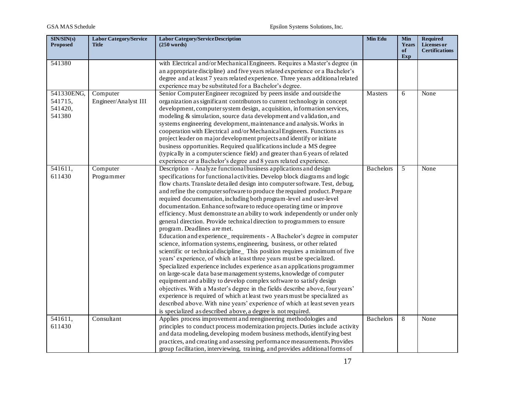| SIN/SIN(s)<br><b>Proposed</b>              | <b>Labor Category/Service</b><br><b>Title</b> | <b>Labor Category/Service Description</b><br>$(250 \text{ words})$                                                                                                                                                                                                                                                                                                                                                                                                                                                                                                                                                                                                                                                                                                                                                                                                                                                                                                                                                                                                                                                                                                                                                                                                                                                                                                                                                                                                                                  | Min Edu          | <b>Min</b><br>Years<br>of<br>Exp | <b>Required</b><br>Licenses or<br><b>Certifications</b> |
|--------------------------------------------|-----------------------------------------------|-----------------------------------------------------------------------------------------------------------------------------------------------------------------------------------------------------------------------------------------------------------------------------------------------------------------------------------------------------------------------------------------------------------------------------------------------------------------------------------------------------------------------------------------------------------------------------------------------------------------------------------------------------------------------------------------------------------------------------------------------------------------------------------------------------------------------------------------------------------------------------------------------------------------------------------------------------------------------------------------------------------------------------------------------------------------------------------------------------------------------------------------------------------------------------------------------------------------------------------------------------------------------------------------------------------------------------------------------------------------------------------------------------------------------------------------------------------------------------------------------------|------------------|----------------------------------|---------------------------------------------------------|
| 541380                                     |                                               | with Electrical and/or Mechanical Engineers. Requires a Master's degree (in<br>an appropriate discipline) and five years related experience or a Bachelor's<br>degree and at least 7 years related experience. Three years additional related<br>experience may be substituted for a Bachelor's degree.                                                                                                                                                                                                                                                                                                                                                                                                                                                                                                                                                                                                                                                                                                                                                                                                                                                                                                                                                                                                                                                                                                                                                                                             |                  |                                  |                                                         |
| 541330ENG,<br>541715,<br>541420,<br>541380 | Computer<br>Engineer/Analyst III              | Senior Computer Engineer recognized by peers inside and outside the<br>organization as significant contributors to current technology in concept<br>development, computer system design, acquisition, information services,<br>modeling & simulation, source data development and validation, and<br>systems engineering development, maintenance and analysis. Works in<br>cooperation with Electrical and/or Mechanical Engineers. Functions as<br>project leader on major development projects and identify or initiate<br>business opportunities. Required qualifications include a MS degree<br>(typically in a computer science field) and greater than 6 years of related<br>experience or a Bachelor's degree and 8 years related experience.                                                                                                                                                                                                                                                                                                                                                                                                                                                                                                                                                                                                                                                                                                                                               | Masters          | 6                                | None                                                    |
| 541611,<br>611430                          | Computer<br>Programmer                        | Description - Analyze functional business applications and design<br>specifications for functional activities. Develop block diagrams and logic<br>flow charts. Translate detailed design into computer software. Test, debug,<br>and refine the computer software to produce the required product. Prepare<br>required documentation, including both program-level and user-level<br>documentation. Enhance software to reduce operating time or improve<br>efficiency. Must demonstrate an ability to work independently or under only<br>general direction. Provide technical direction to programmers to ensure<br>program. Deadlines are met.<br>Education and experience_requirements - A Bachelor's degree in computer<br>science, information systems, engineering, business, or other related<br>scientific or technical discipline_ This position requires a minimum of five<br>years' experience, of which at least three years must be specialized.<br>Specialized experience includes experience as an applications programmer<br>on large-scale data base management systems, knowledge of computer<br>equipment and ability to develop complex software to satisfy design<br>objectives. With a Master's degree in the fields describe above, four years'<br>experience is required of which at least two years must be specialized as<br>described above. With nine years' experience of which at least seven years<br>is specialized as described above, a degree is not required. | <b>Bachelors</b> | 5                                | None                                                    |
| 541611,<br>611430                          | Consultant                                    | Applies process improvement and reengineering methodologies and<br>principles to conduct process modernization projects. Duties include activity<br>and data modeling, developing modem business methods, identifying best<br>practices, and creating and assessing performance measurements. Provides<br>group facilitation, interviewing, training, and provides additional forms of                                                                                                                                                                                                                                                                                                                                                                                                                                                                                                                                                                                                                                                                                                                                                                                                                                                                                                                                                                                                                                                                                                              | <b>Bachelors</b> | 8                                | None                                                    |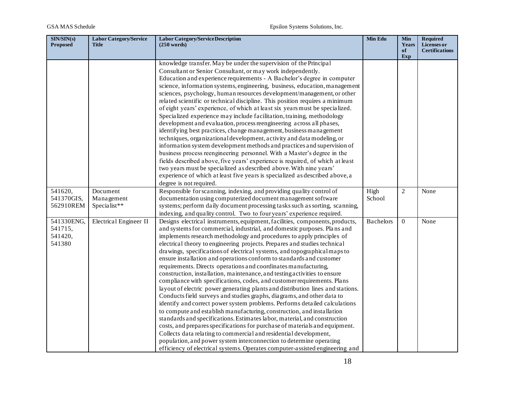| SIN/SIN(s)<br><b>Proposed</b>              | <b>Labor Category/Service</b><br>Title | <b>Labor Category/Service Description</b><br>(250 words)                                                                                                                                                                                                                                                                                                                                                                                                                                                                                                                                                                                                                                                                                                                                                                                                                                                                                                                                                                                                                                                                                                                                                                                                                                                                                                                                                    | Min Edu          | <b>Min</b><br>Years<br>of | <b>Required</b><br>Licenses or<br><b>Certifications</b> |
|--------------------------------------------|----------------------------------------|-------------------------------------------------------------------------------------------------------------------------------------------------------------------------------------------------------------------------------------------------------------------------------------------------------------------------------------------------------------------------------------------------------------------------------------------------------------------------------------------------------------------------------------------------------------------------------------------------------------------------------------------------------------------------------------------------------------------------------------------------------------------------------------------------------------------------------------------------------------------------------------------------------------------------------------------------------------------------------------------------------------------------------------------------------------------------------------------------------------------------------------------------------------------------------------------------------------------------------------------------------------------------------------------------------------------------------------------------------------------------------------------------------------|------------------|---------------------------|---------------------------------------------------------|
|                                            |                                        |                                                                                                                                                                                                                                                                                                                                                                                                                                                                                                                                                                                                                                                                                                                                                                                                                                                                                                                                                                                                                                                                                                                                                                                                                                                                                                                                                                                                             |                  | Exp                       |                                                         |
|                                            |                                        | knowledge transfer. May be under the supervision of the Principal<br>Consultant or Senior Consultant, or may work independently.<br>Education and experience requirements - A Bachelor's degree in computer<br>science, information systems, engineering, business, education, management<br>sciences, psychology, human resources development/management, or other<br>related scientific or technical discipline. This position requires a minimum<br>of eight years' experience, of which at least six years must be specialized.<br>Specialized experience may include facilitation, training, methodology<br>development and evaluation, process reengineering across all phases,<br>identifying best practices, change management, business management<br>techniques, organizational development, activity and data modeling, or<br>information system development methods and practices and supervision of<br>business process reengineering personnel. With a Master's degree in the<br>fields described above, five years' experience is required, of which at least<br>two years must be specialized as described above. With nine years'                                                                                                                                                                                                                                                          |                  |                           |                                                         |
|                                            |                                        | experience of which at least five years is specialized as described above, a<br>degree is not required.                                                                                                                                                                                                                                                                                                                                                                                                                                                                                                                                                                                                                                                                                                                                                                                                                                                                                                                                                                                                                                                                                                                                                                                                                                                                                                     |                  |                           |                                                         |
| 541620,<br>541370GIS,<br>562910REM         | Document<br>Management<br>Specialist** | Responsible for scanning, indexing, and providing quality control of<br>documentation using computerized document management software<br>systems; perform daily document processing tasks such as sorting, scanning,<br>indexing, and quality control. Two to four years' experience required.                                                                                                                                                                                                                                                                                                                                                                                                                                                                                                                                                                                                                                                                                                                                                                                                                                                                                                                                                                                                                                                                                                              | High<br>School   | $\overline{2}$            | None                                                    |
| 541330ENG,<br>541715,<br>541420,<br>541380 | Electrical Engineer II                 | Designs electrical instruments, equipment, facilities, components, products,<br>and systems for commercial, industrial, and domestic purposes. Plans and<br>implements research methodology and procedures to apply principles of<br>electrical theory to engineering projects. Prepares and studies technical<br>drawings, specifications of electrical systems, and topographical maps to<br>ensure installation and operations conform to standards and customer<br>requirements. Directs operations and coordinates manufacturing,<br>construction, installation, maintenance, and testing activities to ensure<br>compliance with specifications, codes, and customer requirements. Plans<br>layout of electric power generating plants and distribution lines and stations.<br>Conducts field surveys and studies graphs, diagrams, and other data to<br>identify and correct power system problems. Performs detailed calculations<br>to compute and establish manufacturing, construction, and installation<br>standards and specifications. Estimates labor, material, and construction<br>costs, and prepares specifications for purchase of materials and equipment.<br>Collects data relating to commercial and residential development,<br>population, and power system interconnection to determine operating<br>efficiency of electrical systems. Operates computer-assisted engineering and | <b>Bachelors</b> | $\mathbf{0}$              | None                                                    |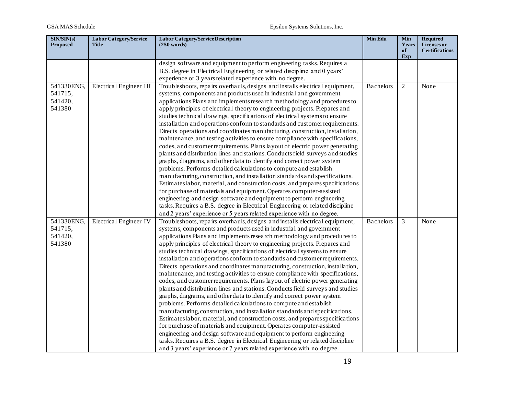| SIN/SIN(s)<br><b>Proposed</b> | <b>Labor Category/Service</b><br><b>Title</b> | <b>Labor Category/Service Description</b><br>$(250 \text{ words})$             | Min Edu          | Min<br>Years<br>of<br>Exp | <b>Required</b><br><b>Licenses or</b><br><b>Certifications</b> |
|-------------------------------|-----------------------------------------------|--------------------------------------------------------------------------------|------------------|---------------------------|----------------------------------------------------------------|
|                               |                                               | design software and equipment to perform engineering tasks. Requires a         |                  |                           |                                                                |
|                               |                                               | B.S. degree in Electrical Engineering or related discipline and 0 years'       |                  |                           |                                                                |
|                               |                                               | experience or 3 years related experience with no degree.                       |                  |                           |                                                                |
| 541330ENG,                    | Electrical Engineer III                       | Troubleshoots, repairs overhauls, designs and installs electrical equipment,   | <b>Bachelors</b> | $\overline{c}$            | None                                                           |
| 541715,                       |                                               | systems, components and products used in industrial and government             |                  |                           |                                                                |
| 541420,                       |                                               | applications Plans and implements research methodology and procedures to       |                  |                           |                                                                |
| 541380                        |                                               | apply principles of electrical theory to engineering projects. Prepares and    |                  |                           |                                                                |
|                               |                                               | studies technical drawings, specifications of electrical systems to ensure     |                  |                           |                                                                |
|                               |                                               | installation and operations conform to standards and customer requirements.    |                  |                           |                                                                |
|                               |                                               | Directs operations and coordinates manufacturing, construction, installation,  |                  |                           |                                                                |
|                               |                                               | maintenance, and testing activities to ensure compliance with specifications,  |                  |                           |                                                                |
|                               |                                               | codes, and customer requirements. Plans layout of electric power generating    |                  |                           |                                                                |
|                               |                                               | plants and distribution lines and stations. Conducts field surveys and studies |                  |                           |                                                                |
|                               |                                               | graphs, diagrams, and other data to identify and correct power system          |                  |                           |                                                                |
|                               |                                               | problems. Performs detailed calculations to compute and establish              |                  |                           |                                                                |
|                               |                                               | manufacturing, construction, and installation standards and specifications.    |                  |                           |                                                                |
|                               |                                               | Estimates labor, material, and construction costs, and prepares specifications |                  |                           |                                                                |
|                               |                                               | for purchase of materials and equipment. Operates computer-assisted            |                  |                           |                                                                |
|                               |                                               | engineering and design software and equipment to perform engineering           |                  |                           |                                                                |
|                               |                                               | tasks. Requires a B.S. degree in Electrical Engineering or related discipline  |                  |                           |                                                                |
|                               |                                               | and 2 years' experience or 5 years related experience with no degree.          |                  |                           |                                                                |
| 541330ENG,                    | Electrical Engineer IV                        | Troubleshoots, repairs overhauls, designs and installs electrical equipment,   | <b>Bachelors</b> | 3                         | None                                                           |
| 541715,                       |                                               | systems, components and products used in industrial and government             |                  |                           |                                                                |
| 541420,                       |                                               | applications Plans and implements research methodology and procedures to       |                  |                           |                                                                |
| 541380                        |                                               | apply principles of electrical theory to engineering projects. Prepares and    |                  |                           |                                                                |
|                               |                                               | studies technical drawings, specifications of electrical systems to ensure     |                  |                           |                                                                |
|                               |                                               | installation and operations conform to standards and customer requirements.    |                  |                           |                                                                |
|                               |                                               | Directs operations and coordinates manufacturing, construction, installation,  |                  |                           |                                                                |
|                               |                                               | maintenance, and testing activities to ensure compliance with specifications,  |                  |                           |                                                                |
|                               |                                               | codes, and customer requirements. Plans layout of electric power generating    |                  |                           |                                                                |
|                               |                                               | plants and distribution lines and stations. Conducts field surveys and studies |                  |                           |                                                                |
|                               |                                               | graphs, diagrams, and other data to identify and correct power system          |                  |                           |                                                                |
|                               |                                               | problems. Performs detailed calculations to compute and establish              |                  |                           |                                                                |
|                               |                                               | manufacturing, construction, and installation standards and specifications.    |                  |                           |                                                                |
|                               |                                               | Estimates labor, material, and construction costs, and prepares specifications |                  |                           |                                                                |
|                               |                                               | for purchase of materials and equipment. Operates computer-assisted            |                  |                           |                                                                |
|                               |                                               | engineering and design software and equipment to perform engineering           |                  |                           |                                                                |
|                               |                                               | tasks. Requires a B.S. degree in Electrical Engineering or related discipline  |                  |                           |                                                                |
|                               |                                               | and 3 years' experience or 7 years related experience with no degree.          |                  |                           |                                                                |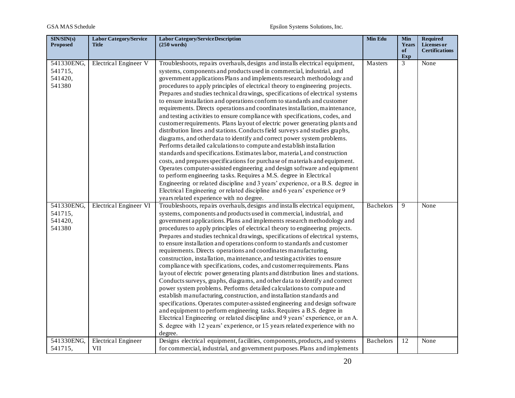| SIN/SIN(s)<br><b>Proposed</b>              | <b>Labor Category/Service</b><br><b>Title</b> | <b>Labor Category/Service Description</b><br>(250 words)                                                                                                                                                                                                                                                                                                                                                                                                                                                                                                                                                                                                                                                                                                                                                                                                                                                                                                                                                                                                                                                                                                                                                                                                                                                                                                                                                                                                                          | Min Edu          | <b>Min</b><br>Years<br>of | <b>Required</b><br>Licenses or<br><b>Certifications</b> |
|--------------------------------------------|-----------------------------------------------|-----------------------------------------------------------------------------------------------------------------------------------------------------------------------------------------------------------------------------------------------------------------------------------------------------------------------------------------------------------------------------------------------------------------------------------------------------------------------------------------------------------------------------------------------------------------------------------------------------------------------------------------------------------------------------------------------------------------------------------------------------------------------------------------------------------------------------------------------------------------------------------------------------------------------------------------------------------------------------------------------------------------------------------------------------------------------------------------------------------------------------------------------------------------------------------------------------------------------------------------------------------------------------------------------------------------------------------------------------------------------------------------------------------------------------------------------------------------------------------|------------------|---------------------------|---------------------------------------------------------|
|                                            |                                               |                                                                                                                                                                                                                                                                                                                                                                                                                                                                                                                                                                                                                                                                                                                                                                                                                                                                                                                                                                                                                                                                                                                                                                                                                                                                                                                                                                                                                                                                                   |                  | Exp                       |                                                         |
| 541330ENG,<br>541715,<br>541420,<br>541380 | Electrical Engineer V                         | Troubleshoots, repairs overhauls, designs and installs electrical equipment,<br>systems, components and products used in commercial, industrial, and<br>government applications Plans and implements research methodology and<br>procedures to apply principles of electrical theory to engineering projects.<br>Prepares and studies technical drawings, specifications of electrical systems<br>to ensure installation and operations conform to standards and customer<br>requirements. Directs operations and coordinates installation, maintenance,<br>and testing activities to ensure compliance with specifications, codes, and<br>customer requirements. Plans layout of electric power generating plants and<br>distribution lines and stations. Conducts field surveys and studies graphs,<br>diagrams, and other data to identify and correct power system problems.<br>Performs detailed calculations to compute and establish installation<br>standards and specifications. Estimates labor, material, and construction<br>costs, and prepares specifications for purchase of materials and equipment.<br>Operates computer-assisted engineering and design software and equipment<br>to perform engineering tasks. Requires a M.S. degree in Electrical<br>Engineering or related discipline and 3 years' experience, or a B.S. degree in<br>Electrical Engineering or related discipline and 6 years' experience or 9<br>years related experience with no degree. | Masters          | 3                         | None                                                    |
| 541330ENG,<br>541715,<br>541420,<br>541380 | <b>Electrical Engineer VI</b>                 | Troubleshoots, repairs overhauls, designs and installs electrical equipment,<br>systems, components and products used in commercial, industrial, and<br>government applications. Plans and implements research methodology and<br>procedures to apply principles of electrical theory to engineering projects.<br>Prepares and studies technical drawings, specifications of electrical systems,<br>to ensure installation and operations conform to standards and customer<br>requirements. Directs operations and coordinates manufacturing,<br>construction, installation, maintenance, and testing activities to ensure<br>compliance with specifications, codes, and customer requirements. Plans<br>layout of electric power generating plants and distribution lines and stations.<br>Conducts surveys, graphs, diagrams, and other data to identify and correct<br>power system problems. Performs detailed calculations to compute and<br>establish manufacturing, construction, and installation standards and<br>specifications. Operates computer-assisted engineering and design software<br>and equipment to perform engineering tasks. Requires a B.S. degree in<br>Electrical Engineering or related discipline and 9 years' experience, or an A.<br>S. degree with 12 years' experience, or 15 years related experience with no<br>degree.                                                                                                                       | <b>Bachelors</b> | 9                         | None                                                    |
| 541330ENG,<br>541715,                      | <b>Electrical Engineer</b><br>VII             | Designs electrical equipment, facilities, components, products, and systems<br>for commercial, industrial, and government purposes. Plans and implements                                                                                                                                                                                                                                                                                                                                                                                                                                                                                                                                                                                                                                                                                                                                                                                                                                                                                                                                                                                                                                                                                                                                                                                                                                                                                                                          | <b>Bachelors</b> | 12                        | None                                                    |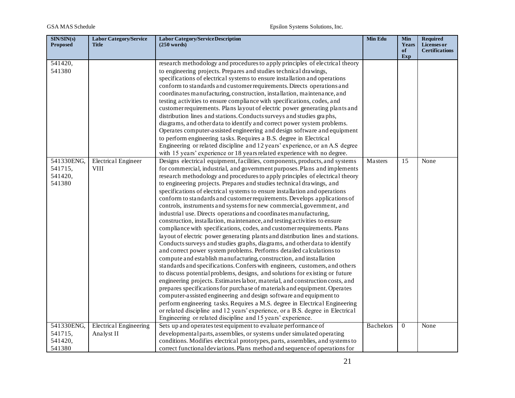| SIN/SIN(s)<br><b>Proposed</b> | <b>Labor Category/Service</b><br><b>Title</b> | <b>Labor Category/Service Description</b><br>$(250 \text{ words})$                                                                             | Min Edu          | <b>Min</b><br>Years | <b>Required</b><br>Licenses or |
|-------------------------------|-----------------------------------------------|------------------------------------------------------------------------------------------------------------------------------------------------|------------------|---------------------|--------------------------------|
|                               |                                               |                                                                                                                                                |                  | of<br>Exp           | <b>Certifications</b>          |
| 541420,                       |                                               | research methodology and procedures to apply principles of electrical theory                                                                   |                  |                     |                                |
| 541380                        |                                               | to engineering projects. Prepares and studies technical drawings,                                                                              |                  |                     |                                |
|                               |                                               | specifications of electrical systems to ensure installation and operations                                                                     |                  |                     |                                |
|                               |                                               | conform to standards and customer requirements. Directs operations and                                                                         |                  |                     |                                |
|                               |                                               | coordinates manufacturing, construction, installation, maintenance, and                                                                        |                  |                     |                                |
|                               |                                               | testing activities to ensure compliance with specifications, codes, and                                                                        |                  |                     |                                |
|                               |                                               | customer requirements. Plans layout of electric power generating plants and                                                                    |                  |                     |                                |
|                               |                                               | distribution lines and stations. Conducts surveys and studies graphs,                                                                          |                  |                     |                                |
|                               |                                               | diagrams, and other data to identify and correct power system problems.                                                                        |                  |                     |                                |
|                               |                                               | Operates computer-assisted engineering and design software and equipment<br>to perform engineering tasks. Requires a B.S. degree in Electrical |                  |                     |                                |
|                               |                                               | Engineering or related discipline and 12 years' experience, or an A.S degree                                                                   |                  |                     |                                |
|                               |                                               | with 15 years' experience or 18 years related experience with no degree.                                                                       |                  |                     |                                |
| 541330ENG,                    | <b>Electrical Engineer</b>                    | Designs electrical equipment, facilities, components, products, and systems                                                                    | Masters          | 15                  | None                           |
| 541715,                       | <b>VIII</b>                                   | for commercial, industrial, and government purposes. Plans and implements                                                                      |                  |                     |                                |
| 541420,                       |                                               | research methodology and procedures to apply principles of electrical theory                                                                   |                  |                     |                                |
| 541380                        |                                               | to engineering projects. Prepares and studies technical drawings, and                                                                          |                  |                     |                                |
|                               |                                               | specifications of electrical systems to ensure installation and operations                                                                     |                  |                     |                                |
|                               |                                               | conform to standards and customer requirements. Develops applications of                                                                       |                  |                     |                                |
|                               |                                               | controls, instruments and systems for new commercial, government, and                                                                          |                  |                     |                                |
|                               |                                               | industrial use. Directs operations and coordinates manufacturing,                                                                              |                  |                     |                                |
|                               |                                               | construction, installation, maintenance, and testing activities to ensure                                                                      |                  |                     |                                |
|                               |                                               | compliance with specifications, codes, and customer requirements. Plans                                                                        |                  |                     |                                |
|                               |                                               | layout of electric power generating plants and distribution lines and stations.                                                                |                  |                     |                                |
|                               |                                               | Conducts surveys and studies graphs, diagrams, and other data to identify                                                                      |                  |                     |                                |
|                               |                                               | and correct power system problems. Performs detailed calculations to                                                                           |                  |                     |                                |
|                               |                                               | compute and establish manufacturing, construction, and installation                                                                            |                  |                     |                                |
|                               |                                               | standards and specifications. Confers with engineers, customers, and others                                                                    |                  |                     |                                |
|                               |                                               | to discuss potential problems, designs, and solutions for existing or future                                                                   |                  |                     |                                |
|                               |                                               | engineering projects. Estimates labor, material, and construction costs, and                                                                   |                  |                     |                                |
|                               |                                               | prepares specifications for purchase of materials and equipment. Operates                                                                      |                  |                     |                                |
|                               |                                               | computer-assisted engineering and design software and equipment to                                                                             |                  |                     |                                |
|                               |                                               | perform engineering tasks. Requires a M.S. degree in Electrical Engineering                                                                    |                  |                     |                                |
|                               |                                               | or related discipline and 12 years' experience, or a B.S. degree in Electrical                                                                 |                  |                     |                                |
|                               |                                               | Engineering or related discipline and 15 years' experience.                                                                                    |                  |                     |                                |
| 541330ENG,                    | <b>Electrical Engineering</b>                 | Sets up and operates test equipment to evaluate performance of                                                                                 | <b>Bachelors</b> | $\overline{0}$      | None                           |
| 541715,                       | Analyst II                                    | developmental parts, assemblies, or systems under simulated operating                                                                          |                  |                     |                                |
| 541420,                       |                                               | conditions. Modifies electrical prototypes, parts, assemblies, and systems to                                                                  |                  |                     |                                |
| 541380                        |                                               | correct functional deviations. Plans method and sequence of operations for                                                                     |                  |                     |                                |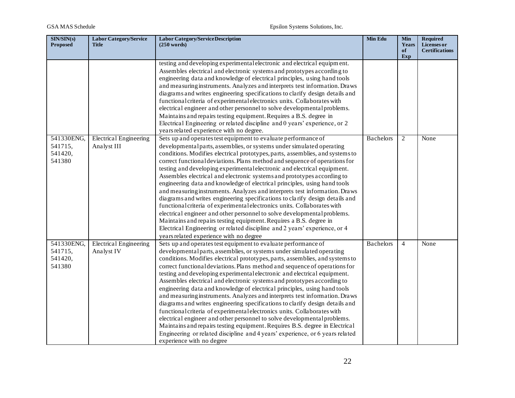| SIN/SIN(s)<br><b>Proposed</b>              | <b>Labor Category/Service</b><br><b>Title</b> | <b>Labor Category/Service Description</b><br>$(250 \text{ words})$                                                                                                                                                                                                                                                                                                                                                                                                                                                                                                                                                                                                                                                                                                                                                                                                                                                                                                                                                                                                                                                                                                                                                                                                                                   | <b>Min Edu</b>   | <b>Min</b><br>Years<br>of | <b>Required</b><br>Licenses or<br><b>Certifications</b> |
|--------------------------------------------|-----------------------------------------------|------------------------------------------------------------------------------------------------------------------------------------------------------------------------------------------------------------------------------------------------------------------------------------------------------------------------------------------------------------------------------------------------------------------------------------------------------------------------------------------------------------------------------------------------------------------------------------------------------------------------------------------------------------------------------------------------------------------------------------------------------------------------------------------------------------------------------------------------------------------------------------------------------------------------------------------------------------------------------------------------------------------------------------------------------------------------------------------------------------------------------------------------------------------------------------------------------------------------------------------------------------------------------------------------------|------------------|---------------------------|---------------------------------------------------------|
| 541330ENG,<br>541715,<br>541420,<br>541380 | <b>Electrical Engineering</b><br>Analyst III  | testing and developing experimental electronic and electrical equipment.<br>Assembles electrical and electronic systems and prototypes according to<br>engineering data and knowledge of electrical principles, using hand tools<br>and measuring instruments. Analyzes and interprets test information. Draws<br>diagrams and writes engineering specifications to clarify design details and<br>functional criteria of experimental electronics units. Collaborates with<br>electrical engineer and other personnel to solve developmental problems.<br>Maintains and repairs testing equipment. Requires a B.S. degree in<br>Electrical Engineering or related discipline and 0 years' experience, or 2<br>years related experience with no degree.<br>Sets up and operates test equipment to evaluate performance of<br>developmental parts, assemblies, or systems under simulated operating<br>conditions. Modifies electrical prototypes, parts, assemblies, and systems to<br>correct functional deviations. Plans method and sequence of operations for<br>testing and developing experimental electronic and electrical equipment.<br>Assembles electrical and electronic systems and prototypes according to<br>engineering data and knowledge of electrical principles, using hand tools | <b>Bachelors</b> | Exp<br>2                  | None                                                    |
|                                            |                                               | and measuring instruments. Analyzes and interprets test information. Draws<br>diagrams and writes engineering specifications to clarify design details and<br>functional criteria of experimental electronics units. Collaborates with<br>electrical engineer and other personnel to solve developmental problems.<br>Maintains and repairs testing equipment. Requires a B.S. degree in<br>Electrical Engineering or related discipline and 2 years' experience, or 4<br>years related experience with no degree                                                                                                                                                                                                                                                                                                                                                                                                                                                                                                                                                                                                                                                                                                                                                                                    |                  |                           |                                                         |
| 541330ENG,<br>541715,<br>541420,<br>541380 | <b>Electrical Engineering</b><br>Analyst IV   | Sets up and operates test equipment to evaluate performance of<br>developmental parts, assemblies, or systems under simulated operating<br>conditions. Modifies electrical prototypes, parts, assemblies, and systems to<br>correct functional deviations. Plans method and sequence of operations for<br>testing and developing experimental electronic and electrical equipment.<br>Assembles electrical and electronic systems and prototypes according to<br>engineering data and knowledge of electrical principles, using hand tools<br>and measuring instruments. Analyzes and interprets test information. Draws<br>diagrams and writes engineering specifications to clarify design details and<br>functional criteria of experimental electronics units. Collaborates with<br>electrical engineer and other personnel to solve developmental problems.<br>Maintains and repairs testing equipment. Requires B.S. degree in Electrical<br>Engineering or related discipline and 4 years' experience, or 6 years related<br>experience with no degree                                                                                                                                                                                                                                        | <b>Bachelors</b> | $\overline{4}$            | None                                                    |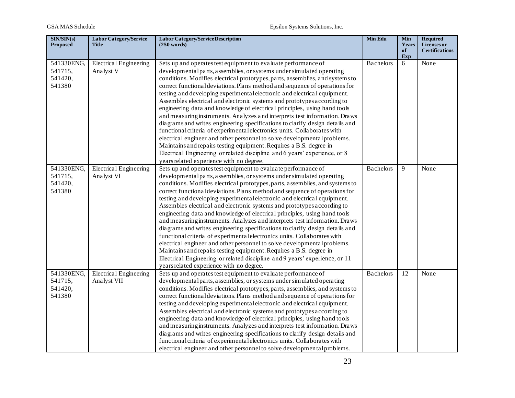| SIN/SIN(s)<br><b>Proposed</b>              | <b>Labor Category/Service</b><br><b>Title</b> | <b>Labor Category/Service Description</b><br>(250 words)                                                                                                                                                                                                                                                                                                                                                                                                                                                                                                                                                                                                                                                                                                                                                                                                                                                                                                                                                                                                          | Min Edu          | Min<br>Years<br>of<br>Exp | <b>Required</b><br>Licenses or<br><b>Certifications</b> |
|--------------------------------------------|-----------------------------------------------|-------------------------------------------------------------------------------------------------------------------------------------------------------------------------------------------------------------------------------------------------------------------------------------------------------------------------------------------------------------------------------------------------------------------------------------------------------------------------------------------------------------------------------------------------------------------------------------------------------------------------------------------------------------------------------------------------------------------------------------------------------------------------------------------------------------------------------------------------------------------------------------------------------------------------------------------------------------------------------------------------------------------------------------------------------------------|------------------|---------------------------|---------------------------------------------------------|
| 541330ENG,<br>541715,<br>541420,<br>541380 | <b>Electrical Engineering</b><br>Analyst V    | Sets up and operates test equipment to evaluate performance of<br>developmental parts, assemblies, or systems under simulated operating<br>conditions. Modifies electrical prototypes, parts, assemblies, and systems to<br>correct functional deviations. Plans method and sequence of operations for<br>testing and developing experimental electronic and electrical equipment.<br>Assembles electrical and electronic systems and prototypes according to<br>engineering data and knowledge of electrical principles, using hand tools<br>and measuring instruments. Analyzes and interprets test information. Draws<br>diagrams and writes engineering specifications to clarify design details and<br>functional criteria of experimental electronics units. Collaborates with<br>electrical engineer and other personnel to solve developmental problems.<br>Maintains and repairs testing equipment. Requires a B.S. degree in<br>Electrical Engineering or related discipline and 6 years' experience, or 8<br>years related experience with no degree.  | <b>Bachelors</b> | 6                         | None                                                    |
| 541330ENG,<br>541715,<br>541420,<br>541380 | <b>Electrical Engineering</b><br>Analyst VI   | Sets up and operates test equipment to evaluate performance of<br>developmental parts, assemblies, or systems under simulated operating<br>conditions. Modifies electrical prototypes, parts, assemblies, and systems to<br>correct functional deviations. Plans method and sequence of operations for<br>testing and developing experimental electronic and electrical equipment.<br>Assembles electrical and electronic systems and prototypes according to<br>engineering data and knowledge of electrical principles, using hand tools<br>and measuring instruments. Analyzes and interprets test information. Draws<br>diagrams and writes engineering specifications to clarify design details and<br>functional criteria of experimental electronics units. Collaborates with<br>electrical engineer and other personnel to solve developmental problems.<br>Maintains and repairs testing equipment. Requires a B.S. degree in<br>Electrical Engineering or related discipline and 9 years' experience, or 11<br>years related experience with no degree. | <b>Bachelors</b> | 9                         | None                                                    |
| 541330ENG,<br>541715,<br>541420,<br>541380 | <b>Electrical Engineering</b><br>Analyst VII  | Sets up and operates test equipment to evaluate performance of<br>developmental parts, assemblies, or systems under simulated operating<br>conditions. Modifies electrical prototypes, parts, assemblies, and systems to<br>correct functional deviations. Plans method and sequence of operations for<br>testing and developing experimental electronic and electrical equipment.<br>Assembles electrical and electronic systems and prototypes according to<br>engineering data and knowledge of electrical principles, using hand tools<br>and measuring instruments. Analyzes and interprets test information. Draws<br>diagrams and writes engineering specifications to clarify design details and<br>functional criteria of experimental electronics units. Collaborates with<br>electrical engineer and other personnel to solve developmental problems.                                                                                                                                                                                                  | <b>Bachelors</b> | 12                        | None                                                    |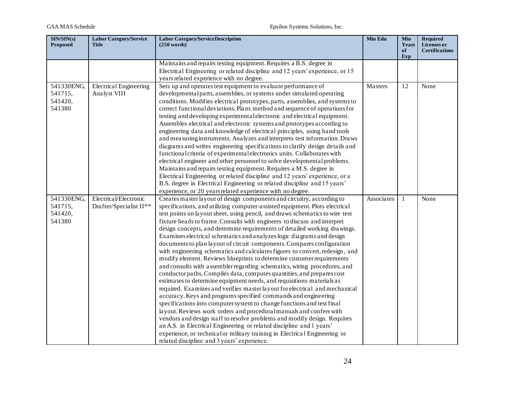| SIN/SIN(s)<br><b>Proposed</b> | <b>Labor Category/Service</b><br><b>Title</b> | <b>Labor Category/Service Description</b><br>$(250 \text{ words})$                                                                                | Min Edu    | <b>Min</b><br>Years<br>of | <b>Required</b><br>Licenses or<br><b>Certifications</b> |
|-------------------------------|-----------------------------------------------|---------------------------------------------------------------------------------------------------------------------------------------------------|------------|---------------------------|---------------------------------------------------------|
|                               |                                               | Maintains and repairs testing equipment. Requires a B.S. degree in                                                                                |            | Exp                       |                                                         |
|                               |                                               | Electrical Engineering or related discipline and 12 years' experience, or 15                                                                      |            |                           |                                                         |
|                               |                                               | years related experience with no degree.                                                                                                          |            |                           |                                                         |
| 541330ENG,                    | <b>Electrical Engineering</b>                 | Sets up and operates test equipment to evaluate performance of                                                                                    | Masters    | 12                        | None                                                    |
| 541715,                       | Analyst VIII                                  | developmental parts, assemblies, or systems under simulated operating                                                                             |            |                           |                                                         |
| 541420,                       |                                               | conditions. Modifies electrical prototypes, parts, assemblies, and systems to                                                                     |            |                           |                                                         |
| 541380                        |                                               | correct functional deviations. Plans method and sequence of operations for                                                                        |            |                           |                                                         |
|                               |                                               | testing and developing experimental electronic and electrical equipment.                                                                          |            |                           |                                                         |
|                               |                                               | Assembles electrical and electronic systems and prototypes according to                                                                           |            |                           |                                                         |
|                               |                                               | engineering data and knowledge of electrical principles, using hand tools                                                                         |            |                           |                                                         |
|                               |                                               | and measuring instruments. Analyzes and interprets test information. Draws                                                                        |            |                           |                                                         |
|                               |                                               | diagrams and writes engineering specifications to clarify design details and                                                                      |            |                           |                                                         |
|                               |                                               | functional criteria of experimental electronics units. Collaborates with                                                                          |            |                           |                                                         |
|                               |                                               | electrical engineer and other personnel to solve developmental problems.                                                                          |            |                           |                                                         |
|                               |                                               | Maintains and repairs testing equipment. Requires a M.S. degree in<br>Electrical Engineering or related discipline and 12 years' experience, or a |            |                           |                                                         |
|                               |                                               | B.S. degree in Electrical Engineering or related discipline and 15 years'                                                                         |            |                           |                                                         |
|                               |                                               | experience, or 20 years related experience with no degree.                                                                                        |            |                           |                                                         |
| 541330ENG,                    | Electrical/Electronic                         | Creates master layout of design components and circuitry, according to                                                                            | Associates | 1                         | None                                                    |
| 541715,                       | Drafter/Specialist II**                       | specifications, and utilizing computer-assisted equipment. Plots electrical                                                                       |            |                           |                                                         |
| 541420,                       |                                               | test points on layout sheet, using pencil, and draws schematics to wire test                                                                      |            |                           |                                                         |
| 541380                        |                                               | fixture heads to frame. Consults with engineers to discuss and interpret                                                                          |            |                           |                                                         |
|                               |                                               | design concepts, and determine requirements of detailed working drawings.                                                                         |            |                           |                                                         |
|                               |                                               | Examines electrical schematics and analyzes logic diagrams and design                                                                             |            |                           |                                                         |
|                               |                                               | documents to plan layout of circuit components. Compares configuration                                                                            |            |                           |                                                         |
|                               |                                               | with engineering schematics and calculates figures to convert, redesign, and                                                                      |            |                           |                                                         |
|                               |                                               | modify element. Reviews blueprints to determine customer requirements                                                                             |            |                           |                                                         |
|                               |                                               | and consults with assembler regarding schematics, wiring procedures, and                                                                          |            |                           |                                                         |
|                               |                                               | conductor paths. Compiles data, computes quantities, and prepares cost                                                                            |            |                           |                                                         |
|                               |                                               | estimates to determine equipment needs, and requisitions materials as                                                                             |            |                           |                                                         |
|                               |                                               | required. Examines and verifies master layout for electrical and mechanical                                                                       |            |                           |                                                         |
|                               |                                               | accuracy. Keys and programs specified commands and engineering<br>specifications into computer system to change functions and test final          |            |                           |                                                         |
|                               |                                               | layout. Reviews work orders and procedural manuals and confers with                                                                               |            |                           |                                                         |
|                               |                                               | vendors and design staff to resolve problems and modify design. Requires                                                                          |            |                           |                                                         |
|                               |                                               | an A.S. in Electrical Engineering or related discipline and 1 years'                                                                              |            |                           |                                                         |
|                               |                                               | experience, or technical or military training in Electrical Engineering or                                                                        |            |                           |                                                         |
|                               |                                               | related discipline and 3 years' experience.                                                                                                       |            |                           |                                                         |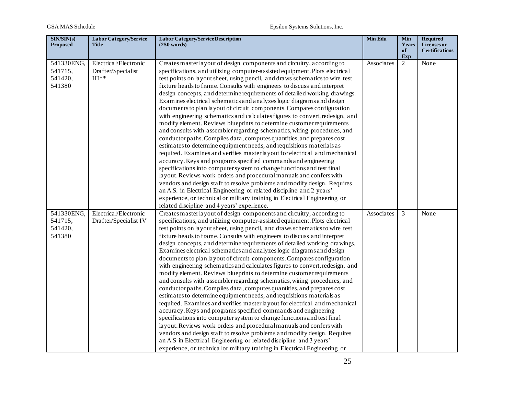| SIN/SIN(s)<br><b>Proposed</b> | <b>Labor Category/Service</b><br><b>Title</b> | <b>Labor Category/Service Description</b><br>(250 words)                     | Min Edu    | Min<br>Years<br>of | <b>Required</b><br>Licenses or<br><b>Certifications</b> |
|-------------------------------|-----------------------------------------------|------------------------------------------------------------------------------|------------|--------------------|---------------------------------------------------------|
|                               |                                               |                                                                              |            | Exp                |                                                         |
| 541330ENG,                    | Electrical/Electronic                         | Creates master layout of design components and circuitry, according to       | Associates | 2                  | None                                                    |
| 541715,                       | Drafter/Specialist                            | specifications, and utilizing computer-assisted equipment. Plots electrical  |            |                    |                                                         |
| 541420,                       | $III**$                                       | test points on layout sheet, using pencil, and draws schematics to wire test |            |                    |                                                         |
| 541380                        |                                               | fixture heads to frame. Consults with engineers to discuss and interpret     |            |                    |                                                         |
|                               |                                               | design concepts, and determine requirements of detailed working drawings.    |            |                    |                                                         |
|                               |                                               | Examines electrical schematics and analyzes logic diagrams and design        |            |                    |                                                         |
|                               |                                               | documents to plan layout of circuit components. Compares configuration       |            |                    |                                                         |
|                               |                                               | with engineering schematics and calculates figures to convert, redesign, and |            |                    |                                                         |
|                               |                                               | modify element. Reviews blueprints to determine customer requirements        |            |                    |                                                         |
|                               |                                               | and consults with assembler regarding schematics, wiring procedures, and     |            |                    |                                                         |
|                               |                                               | conductor paths. Compiles data, computes quantities, and prepares cost       |            |                    |                                                         |
|                               |                                               | estimates to determine equipment needs, and requisitions materials as        |            |                    |                                                         |
|                               |                                               | required. Examines and verifies master layout for electrical and mechanical  |            |                    |                                                         |
|                               |                                               | accuracy. Keys and programs specified commands and engineering               |            |                    |                                                         |
|                               |                                               | specifications into computer system to change functions and test final       |            |                    |                                                         |
|                               |                                               | layout. Reviews work orders and procedural manuals and confers with          |            |                    |                                                         |
|                               |                                               | vendors and design staff to resolve problems and modify design. Requires     |            |                    |                                                         |
|                               |                                               | an A.S. in Electrical Engineering or related discipline and 2 years'         |            |                    |                                                         |
|                               |                                               | experience, or technical or military training in Electrical Engineering or   |            |                    |                                                         |
|                               |                                               | related discipline and 4 years' experience.                                  |            |                    |                                                         |
| 541330ENG,                    | Electrical/Electronic                         | Creates master layout of design components and circuitry, according to       | Associates | 3                  | None                                                    |
| 541715,                       | Drafter/Specialist IV                         | specifications, and utilizing computer-assisted equipment. Plots electrical  |            |                    |                                                         |
| 541420,                       |                                               | test points on layout sheet, using pencil, and draws schematics to wire test |            |                    |                                                         |
| 541380                        |                                               | fixture heads to frame. Consults with engineers to discuss and interpret     |            |                    |                                                         |
|                               |                                               | design concepts, and determine requirements of detailed working drawings.    |            |                    |                                                         |
|                               |                                               | Examines electrical schematics and analyzes logic diagrams and design        |            |                    |                                                         |
|                               |                                               | documents to plan layout of circuit components. Compares configuration       |            |                    |                                                         |
|                               |                                               | with engineering schematics and calculates figures to convert, redesign, and |            |                    |                                                         |
|                               |                                               | modify element. Reviews blueprints to determine customer requirements        |            |                    |                                                         |
|                               |                                               | and consults with assembler regarding schematics, wiring procedures, and     |            |                    |                                                         |
|                               |                                               | conductor paths. Compiles data, computes quantities, and prepares cost       |            |                    |                                                         |
|                               |                                               | estimates to determine equipment needs, and requisitions materials as        |            |                    |                                                         |
|                               |                                               | required. Examines and verifies master layout for electrical and mechanical  |            |                    |                                                         |
|                               |                                               | accuracy. Keys and programs specified commands and engineering               |            |                    |                                                         |
|                               |                                               | specifications into computer system to change functions and test final       |            |                    |                                                         |
|                               |                                               | layout. Reviews work orders and procedural manuals and confers with          |            |                    |                                                         |
|                               |                                               | vendors and design staff to resolve problems and modify design. Requires     |            |                    |                                                         |
|                               |                                               | an A.S in Electrical Engineering or related discipline and 3 years'          |            |                    |                                                         |
|                               |                                               | experience, or technical or military training in Electrical Engineering or   |            |                    |                                                         |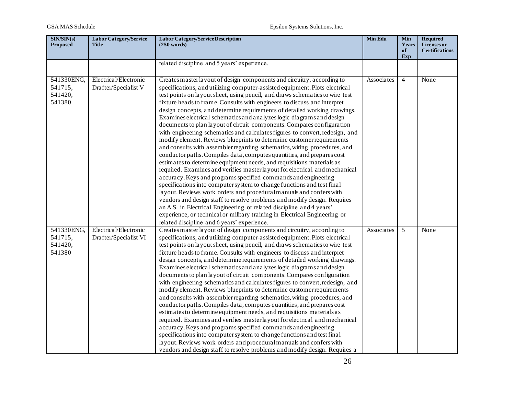| SIN/SIN(s)<br><b>Proposed</b>              | <b>Labor Category/Service</b><br>Title         | <b>Labor Category/Service Description</b><br>$(250 \text{ words})$                                                                                                                                                                                                                                                                                                                                                                                                                                                                                                                                                                                                                                                                                                                                                                                                                                                                                                                                                                                                                                                                                                                                                                                                                                                                                                                                                                                                                                                           | Min Edu    | <b>Min</b><br>Years<br>of<br>Exp | <b>Required</b><br>Licenses or<br><b>Certifications</b> |
|--------------------------------------------|------------------------------------------------|------------------------------------------------------------------------------------------------------------------------------------------------------------------------------------------------------------------------------------------------------------------------------------------------------------------------------------------------------------------------------------------------------------------------------------------------------------------------------------------------------------------------------------------------------------------------------------------------------------------------------------------------------------------------------------------------------------------------------------------------------------------------------------------------------------------------------------------------------------------------------------------------------------------------------------------------------------------------------------------------------------------------------------------------------------------------------------------------------------------------------------------------------------------------------------------------------------------------------------------------------------------------------------------------------------------------------------------------------------------------------------------------------------------------------------------------------------------------------------------------------------------------------|------------|----------------------------------|---------------------------------------------------------|
|                                            |                                                | related discipline and 5 years' experience.                                                                                                                                                                                                                                                                                                                                                                                                                                                                                                                                                                                                                                                                                                                                                                                                                                                                                                                                                                                                                                                                                                                                                                                                                                                                                                                                                                                                                                                                                  |            |                                  |                                                         |
| 541330ENG,<br>541715,<br>541420,<br>541380 | Electrical/Electronic<br>Drafter/Specialist V  | Creates master layout of design components and circuitry, according to<br>specifications, and utilizing computer-assisted equipment. Plots electrical<br>test points on layout sheet, using pencil, and draws schematics to wire test<br>fixture heads to frame. Consults with engineers to discuss and interpret<br>design concepts, and determine requirements of detailed working drawings.<br>Examines electrical schematics and analyzes logic diagrams and design<br>documents to plan layout of circuit components. Compares configuration<br>with engineering schematics and calculates figures to convert, redesign, and<br>modify element. Reviews blueprints to determine customer requirements<br>and consults with assembler regarding schematics, wiring procedures, and<br>conductor paths. Compiles data, computes quantities, and prepares cost<br>estimates to determine equipment needs, and requisitions materials as<br>required. Examines and verifies master layout for electrical and mechanical<br>accuracy. Keys and programs specified commands and engineering<br>specifications into computer system to change functions and test final<br>layout. Reviews work orders and procedural manuals and confers with<br>vendors and design staff to resolve problems and modify design. Requires<br>an A.S. in Electrical Engineering or related discipline and 4 years'<br>experience, or technical or military training in Electrical Engineering or<br>related discipline and 6 years' experience. | Associates | $\overline{4}$                   | None                                                    |
| 541330ENG,<br>541715,<br>541420,<br>541380 | Electrical/Electronic<br>Drafter/Specialist VI | Creates master layout of design components and circuitry, according to<br>specifications, and utilizing computer-assisted equipment. Plots electrical<br>test points on layout sheet, using pencil, and draws schematics to wire test<br>fixture heads to frame. Consults with engineers to discuss and interpret<br>design concepts, and determine requirements of detailed working drawings.<br>Examines electrical schematics and analyzes logic diagrams and design<br>documents to plan layout of circuit components. Compares configuration<br>with engineering schematics and calculates figures to convert, redesign, and<br>modify element. Reviews blueprints to determine customer requirements<br>and consults with assembler regarding schematics, wiring procedures, and<br>conductor paths. Compiles data, computes quantities, and prepares cost<br>estimates to determine equipment needs, and requisitions materials as<br>required. Examines and verifies master layout for electrical and mechanical<br>accuracy. Keys and programs specified commands and engineering<br>specifications into computer system to change functions and test final<br>layout. Reviews work orders and procedural manuals and confers with<br>vendors and design staff to resolve problems and modify design. Requires a                                                                                                                                                                                                    | Associates | 5                                | None                                                    |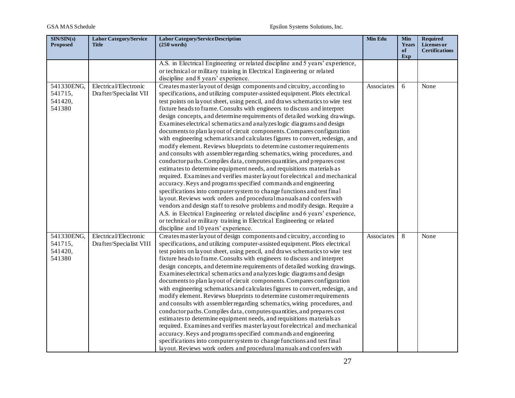| SIN/SIN(s)<br><b>Proposed</b>              | <b>Labor Category/Service</b><br><b>Title</b>    | <b>Labor Category/Service Description</b><br>$(250 \text{ words})$                                                                                                                                                                                                                                                                                                                                                                                                                                                                                                                                                                                                                                                                                                                                                                                                                                                                                                                                                                                                                                                                                                                                                                                                                                                                                                                                                                                                                                                          | Min Edu    | <b>Min</b><br>Years<br>of<br>Exp | <b>Required</b><br>Licenses or<br><b>Certifications</b> |
|--------------------------------------------|--------------------------------------------------|-----------------------------------------------------------------------------------------------------------------------------------------------------------------------------------------------------------------------------------------------------------------------------------------------------------------------------------------------------------------------------------------------------------------------------------------------------------------------------------------------------------------------------------------------------------------------------------------------------------------------------------------------------------------------------------------------------------------------------------------------------------------------------------------------------------------------------------------------------------------------------------------------------------------------------------------------------------------------------------------------------------------------------------------------------------------------------------------------------------------------------------------------------------------------------------------------------------------------------------------------------------------------------------------------------------------------------------------------------------------------------------------------------------------------------------------------------------------------------------------------------------------------------|------------|----------------------------------|---------------------------------------------------------|
|                                            |                                                  | A.S. in Electrical Engineering or related discipline and 5 years' experience,<br>or technical or military training in Electrical Engineering or related<br>discipline and 8 years' experience.                                                                                                                                                                                                                                                                                                                                                                                                                                                                                                                                                                                                                                                                                                                                                                                                                                                                                                                                                                                                                                                                                                                                                                                                                                                                                                                              |            |                                  |                                                         |
| 541330ENG,<br>541715,<br>541420,<br>541380 | Electrical/Electronic<br>Drafter/Specialist VII  | Creates master layout of design components and circuitry, according to<br>specifications, and utilizing computer-assisted equipment. Plots electrical<br>test points on layout sheet, using pencil, and draws schematics to wire test<br>fixture heads to frame. Consults with engineers to discuss and interpret<br>design concepts, and determine requirements of detailed working drawings.<br>Examines electrical schematics and analyzes logic diagrams and design<br>documents to plan layout of circuit components. Compares configuration<br>with engineering schematics and calculates figures to convert, redesign, and<br>modify element. Reviews blueprints to determine customer requirements<br>and consults with assembler regarding schematics, wiring procedures, and<br>conductor paths. Compiles data, computes quantities, and prepares cost<br>estimates to determine equipment needs, and requisitions materials as<br>required. Examines and verifies master layout for electrical and mechanical<br>accuracy. Keys and programs specified commands and engineering<br>specifications into computer system to change functions and test final<br>layout. Reviews work orders and procedural manuals and confers with<br>vendors and design staff to resolve problems and modify design. Require a<br>A.S. in Electrical Engineering or related discipline and 6 years' experience,<br>or technical or military training in Electrical Engineering or related<br>discipline and 10 years' experience. | Associates | 6                                | None                                                    |
| 541330ENG,<br>541715,<br>541420,<br>541380 | Electrical/Electronic<br>Drafter/Specialist VIII | Creates master layout of design components and circuitry, according to<br>specifications, and utilizing computer-assisted equipment. Plots electrical<br>test points on layout sheet, using pencil, and draws schematics to wire test<br>fixture heads to frame. Consults with engineers to discuss and interpret<br>design concepts, and determine requirements of detailed working drawings.<br>Examines electrical schematics and analyzes logic diagrams and design<br>documents to plan layout of circuit components. Compares configuration<br>with engineering schematics and calculates figures to convert, redesign, and<br>modify element. Reviews blueprints to determine customer requirements<br>and consults with assembler regarding schematics, wiring procedures, and<br>conductor paths. Compiles data, computes quantities, and prepares cost<br>estimates to determine equipment needs, and requisitions materials as<br>required. Examines and verifies master layout for electrical and mechanical<br>accuracy. Keys and programs specified commands and engineering<br>specifications into computer system to change functions and test final<br>layout. Reviews work orders and procedural manuals and confers with                                                                                                                                                                                                                                                                                 | Associates | 8                                | None                                                    |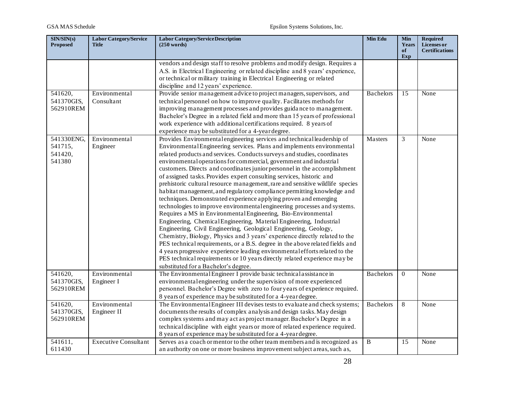| SIN/SIN(s)<br><b>Proposed</b>              | <b>Labor Category/Service</b><br><b>Title</b> | <b>Labor Category/Service Description</b><br>(250 words)                                                                                                                                                                                                                                                                                                                                                                                                                                                                                                                                                                                                                                                                                                                                                                                                                                                                                                                                                                                                                                                                                                                                                                                                                                                                                         | Min Edu          | <b>Min</b><br>Years<br>of | <b>Required</b><br>Licenses or<br><b>Certifications</b> |
|--------------------------------------------|-----------------------------------------------|--------------------------------------------------------------------------------------------------------------------------------------------------------------------------------------------------------------------------------------------------------------------------------------------------------------------------------------------------------------------------------------------------------------------------------------------------------------------------------------------------------------------------------------------------------------------------------------------------------------------------------------------------------------------------------------------------------------------------------------------------------------------------------------------------------------------------------------------------------------------------------------------------------------------------------------------------------------------------------------------------------------------------------------------------------------------------------------------------------------------------------------------------------------------------------------------------------------------------------------------------------------------------------------------------------------------------------------------------|------------------|---------------------------|---------------------------------------------------------|
|                                            |                                               |                                                                                                                                                                                                                                                                                                                                                                                                                                                                                                                                                                                                                                                                                                                                                                                                                                                                                                                                                                                                                                                                                                                                                                                                                                                                                                                                                  |                  | Exp                       |                                                         |
|                                            |                                               | vendors and design staff to resolve problems and modify design. Requires a<br>A.S. in Electrical Engineering or related discipline and 8 years' experience,<br>or technical or military training in Electrical Engineering or related<br>discipline and 12 years' experience.                                                                                                                                                                                                                                                                                                                                                                                                                                                                                                                                                                                                                                                                                                                                                                                                                                                                                                                                                                                                                                                                    |                  |                           |                                                         |
| 541620,                                    | Environmental                                 | Provide senior management advice to project managers, supervisors, and                                                                                                                                                                                                                                                                                                                                                                                                                                                                                                                                                                                                                                                                                                                                                                                                                                                                                                                                                                                                                                                                                                                                                                                                                                                                           | <b>Bachelors</b> | 15                        | None                                                    |
| 541370GIS,<br>562910REM                    | Consultant                                    | technical personnel on how to improve quality. Facilitates methods for<br>improving management processes and provides guidance to management.<br>Bachelor's Degree in a related field and more than 15 years of professional<br>work experience with additional certifications required. 8 years of<br>experience may be substituted for a 4-year degree.                                                                                                                                                                                                                                                                                                                                                                                                                                                                                                                                                                                                                                                                                                                                                                                                                                                                                                                                                                                        |                  |                           |                                                         |
| 541330ENG,<br>541715,<br>541420,<br>541380 | Environmental<br>Engineer                     | Provides Environmental engineering services and technical leadership of<br>Environmental Engineering services. Plans and implements environmental<br>related products and services. Conducts surveys and studies, coordinates<br>environmental operations for commercial, government and industrial<br>customers. Directs and coordinates junior personnel in the accomplishment<br>of assigned tasks. Provides expert consulting services, historic and<br>prehistoric cultural resource management, rare and sensitive wildlife species<br>habitat management, and regulatory compliance permitting knowledge and<br>techniques. Demonstrated experience applying proven and emerging<br>technologies to improve environmental engineering processes and systems.<br>Requires a MS in Environmental Engineering, Bio-Environmental<br>Engineering, ChemicalEngineering, MaterialEngineering, Industrial<br>Engineering, Civil Engineering, Geological Engineering, Geology,<br>Chemistry, Biology, Physics and 3 years' experience directly related to the<br>PES technical requirements, or a B.S. degree in the above related fields and<br>4 years progressive experience leading environmental efforts related to the<br>PES technical requirements or 10 years directly related experience may be<br>substituted for a Bachelor's degree. | Masters          | 3                         | None                                                    |
| 541620,<br>541370GIS,<br>562910REM         | Environmental<br>Engineer I                   | The Environmental Engineer I provide basic technical assistance in<br>environmental engineering under the supervision of more experienced<br>personnel. Bachelor's Degree with zero to four years of experience required.<br>8 years of experience may be substituted for a 4-year degree.                                                                                                                                                                                                                                                                                                                                                                                                                                                                                                                                                                                                                                                                                                                                                                                                                                                                                                                                                                                                                                                       | <b>Bachelors</b> | $\Omega$                  | None                                                    |
| 541620,<br>541370GIS,<br>562910REM         | Environmental<br>Engineer II                  | The Environmental Engineer III devises tests to evaluate and check systems;<br>documents the results of complex analysis and design tasks. May design<br>complex systems and may act as project manager. Bachelor's Degree in a<br>technical discipline with eight years or more of related experience required.<br>8 years of experience may be substituted for a 4-year degree.                                                                                                                                                                                                                                                                                                                                                                                                                                                                                                                                                                                                                                                                                                                                                                                                                                                                                                                                                                | <b>Bachelors</b> | 8                         | None                                                    |
| 541611,<br>611430                          | <b>Executive Consultant</b>                   | Serves as a coach or mentor to the other team members and is recognized as<br>an authority on one or more business improvement subject areas, such as,                                                                                                                                                                                                                                                                                                                                                                                                                                                                                                                                                                                                                                                                                                                                                                                                                                                                                                                                                                                                                                                                                                                                                                                           | B                | 15                        | None                                                    |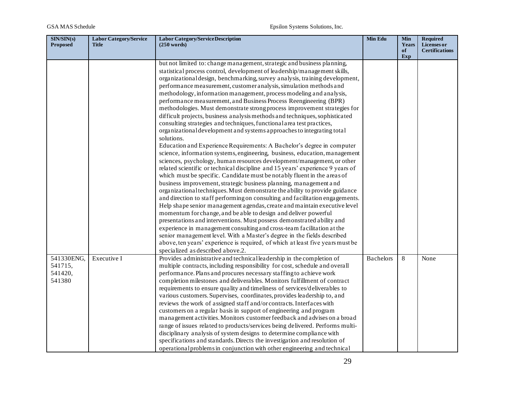| SIN/SIN(s)<br><b>Proposed</b>              | <b>Labor Category/Service</b><br><b>Title</b> | <b>Labor Category/Service Description</b><br>(250 words)                                                                                                                                                                                                                                                                                                                                                                                                                                                                                                                                                                                                                                                                                                                                                                                                                                                                                                                                                                                                                                                                                                                                                                                                                                                                                                                                                                                                                                                                                                                                                                                                                                                                                                                                                                                                                                                                      | Min Edu          | <b>Min</b><br>Years<br>of | <b>Required</b><br>Licenses or<br><b>Certifications</b> |
|--------------------------------------------|-----------------------------------------------|-------------------------------------------------------------------------------------------------------------------------------------------------------------------------------------------------------------------------------------------------------------------------------------------------------------------------------------------------------------------------------------------------------------------------------------------------------------------------------------------------------------------------------------------------------------------------------------------------------------------------------------------------------------------------------------------------------------------------------------------------------------------------------------------------------------------------------------------------------------------------------------------------------------------------------------------------------------------------------------------------------------------------------------------------------------------------------------------------------------------------------------------------------------------------------------------------------------------------------------------------------------------------------------------------------------------------------------------------------------------------------------------------------------------------------------------------------------------------------------------------------------------------------------------------------------------------------------------------------------------------------------------------------------------------------------------------------------------------------------------------------------------------------------------------------------------------------------------------------------------------------------------------------------------------------|------------------|---------------------------|---------------------------------------------------------|
|                                            |                                               | but not limited to: change management, strategic and business planning,<br>statistical process control, development of leadership/management skills,<br>organizational design, benchmarking, survey analysis, training development,<br>performance measurement, customer analysis, simulation methods and<br>methodology, information management, process modeling and analysis,<br>performance measurement, and Business Process Reengineering (BPR)<br>methodologies. Must demonstrate strong process improvement strategies for<br>difficult projects, business analysis methods and techniques, sophisticated<br>consulting strategies and techniques, functional area test practices,<br>organizational development and systems approaches to integrating total<br>solutions.<br>Education and Experience Requirements: A Bachelor's degree in computer<br>science, information systems, engineering, business, education, management<br>sciences, psychology, human resources development/management, or other<br>related scientific or technical discipline and 15 years' experience 9 years of<br>which must be specific. Candidate must be notably fluent in the areas of<br>business improvement, strategic business planning, management and<br>organizational techniques. Must demonstrate the ability to provide guidance<br>and direction to staff performing on consulting and facilitation engagements.<br>Help shape senior management agendas, create and maintain executive level<br>momentum for change, and be able to design and deliver powerful<br>presentations and interventions. Must possess demonstrated ability and<br>experience in management consulting and cross-team facilitation at the<br>senior management level. With a Master's degree in the fields described<br>above, ten years' experience is required, of which at least five years must be<br>specialized as described above.2. |                  | Exp                       |                                                         |
| 541330ENG,<br>541715,<br>541420,<br>541380 | Executive I                                   | Provides administrative and technical leadership in the completion of<br>multiple contracts, including responsibility for cost, schedule and overall<br>performance. Plans and procures necessary staffing to achieve work<br>completion milestones and deliverables. Monitors fulfillment of contract<br>requirements to ensure quality and timeliness of services/deliverables to<br>various customers. Supervises, coordinates, provides leadership to, and<br>reviews the work of assigned staff and/or contracts. Interfaces with<br>customers on a regular basis in support of engineering and program<br>management activities. Monitors customer feedback and advises on a broad<br>range of issues related to products/services being delivered. Performs multi-<br>disciplinary analysis of system designs to determine compliance with<br>specifications and standards. Directs the investigation and resolution of<br>operational problems in conjunction with other engineering and technical                                                                                                                                                                                                                                                                                                                                                                                                                                                                                                                                                                                                                                                                                                                                                                                                                                                                                                                    | <b>Bachelors</b> | 8                         | None                                                    |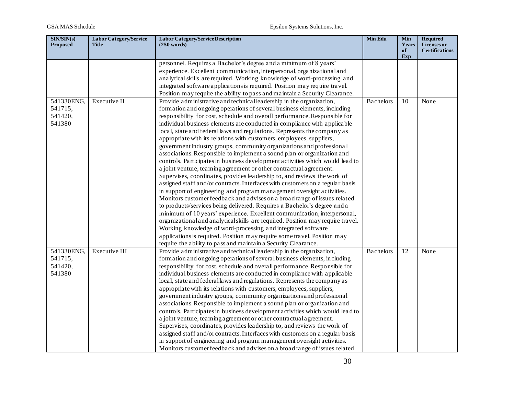| $\overline{\text{SIN/SIN}}(s)$<br><b>Proposed</b> | <b>Labor Category/Service</b><br><b>Title</b> | <b>Labor Category/Service Description</b><br>$(250 \text{ words})$              | Min Edu          | <b>Min</b><br>Years<br>of | <b>Required</b><br>Licenses or<br><b>Certifications</b> |
|---------------------------------------------------|-----------------------------------------------|---------------------------------------------------------------------------------|------------------|---------------------------|---------------------------------------------------------|
|                                                   |                                               | personnel. Requires a Bachelor's degree and a minimum of 8 years'               |                  | Exp                       |                                                         |
|                                                   |                                               | experience. Excellent communication, interpersonal, organizational and          |                  |                           |                                                         |
|                                                   |                                               | analytical skills are required. Working knowledge of word-processing and        |                  |                           |                                                         |
|                                                   |                                               | integrated software applications is required. Position may require travel.      |                  |                           |                                                         |
|                                                   |                                               | Position may require the ability to pass and maintain a Security Clearance.     |                  |                           |                                                         |
| 541330ENG,                                        | Executive II                                  | Provide administrative and technical leadership in the organization,            | <b>Bachelors</b> | 10                        | None                                                    |
| 541715,                                           |                                               | formation and ongoing operations of several business elements, including        |                  |                           |                                                         |
| 541420,                                           |                                               | responsibility for cost, schedule and overall performance. Responsible for      |                  |                           |                                                         |
| 541380                                            |                                               | individual business elements are conducted in compliance with applicable        |                  |                           |                                                         |
|                                                   |                                               | local, state and federal laws and regulations. Represents the company as        |                  |                           |                                                         |
|                                                   |                                               | appropriate with its relations with customers, employees, suppliers,            |                  |                           |                                                         |
|                                                   |                                               | government industry groups, community organizations and professional            |                  |                           |                                                         |
|                                                   |                                               | associations. Responsible to implement a sound plan or organization and         |                  |                           |                                                         |
|                                                   |                                               | controls. Participates in business development activities which would lead to   |                  |                           |                                                         |
|                                                   |                                               | a joint venture, teaming agreement or other contractual agreement.              |                  |                           |                                                         |
|                                                   |                                               | Supervises, coordinates, provides leadership to, and reviews the work of        |                  |                           |                                                         |
|                                                   |                                               | assigned staff and/or contracts. Interfaces with customers on a regular basis   |                  |                           |                                                         |
|                                                   |                                               | in support of engineering and program management oversight activities.          |                  |                           |                                                         |
|                                                   |                                               | Monitors customer feedback and advises on a broad range of issues related       |                  |                           |                                                         |
|                                                   |                                               | to products/services being delivered. Requires a Bachelor's degree and a        |                  |                           |                                                         |
|                                                   |                                               | minimum of 10 years' experience. Excellent communication, interpersonal,        |                  |                           |                                                         |
|                                                   |                                               | organizational and analytical skills are required. Position may require travel. |                  |                           |                                                         |
|                                                   |                                               | Working knowledge of word-processing and integrated software                    |                  |                           |                                                         |
|                                                   |                                               | applications is required. Position may require some travel. Position may        |                  |                           |                                                         |
|                                                   |                                               | require the ability to pass and maintain a Security Clearance.                  |                  |                           |                                                         |
| 541330ENG,                                        | Executive III                                 | Provide administrative and technical leadership in the organization,            | <b>Bachelors</b> | 12                        | None                                                    |
| 541715,                                           |                                               | formation and ongoing operations of several business elements, including        |                  |                           |                                                         |
| 541420,                                           |                                               | responsibility for cost, schedule and overall performance. Responsible for      |                  |                           |                                                         |
| 541380                                            |                                               | individual business elements are conducted in compliance with applicable        |                  |                           |                                                         |
|                                                   |                                               | local, state and federal laws and regulations. Represents the company as        |                  |                           |                                                         |
|                                                   |                                               | appropriate with its relations with customers, employees, suppliers,            |                  |                           |                                                         |
|                                                   |                                               | government industry groups, community organizations and professional            |                  |                           |                                                         |
|                                                   |                                               | associations. Responsible to implement a sound plan or organization and         |                  |                           |                                                         |
|                                                   |                                               | controls. Participates in business development activities which would lead to   |                  |                           |                                                         |
|                                                   |                                               | a joint venture, teaming a greement or other contractual a greement.            |                  |                           |                                                         |
|                                                   |                                               | Supervises, coordinates, provides leadership to, and reviews the work of        |                  |                           |                                                         |
|                                                   |                                               | assigned staff and/or contracts. Interfaces with customers on a regular basis   |                  |                           |                                                         |
|                                                   |                                               | in support of engineering and program management oversight activities.          |                  |                           |                                                         |
|                                                   |                                               | Monitors customer feedback and advises on a broad range of issues related       |                  |                           |                                                         |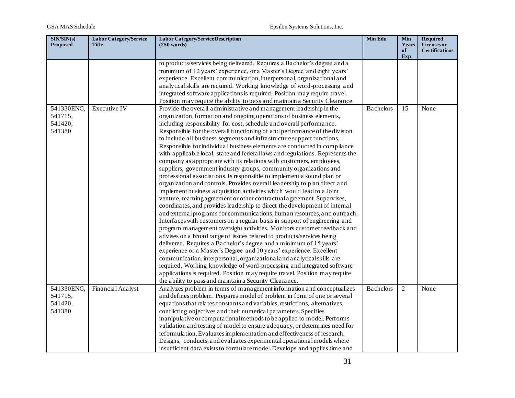| SIN/SIN(s)<br><b>Proposed</b> | <b>Labor Category/Service</b><br><b>Title</b> | Labor Category/Service Description<br>$(250 \text{ words})$                   | Min Edu          | <b>Min</b><br>Years | <b>Required</b><br>Licenses or |
|-------------------------------|-----------------------------------------------|-------------------------------------------------------------------------------|------------------|---------------------|--------------------------------|
|                               |                                               |                                                                               |                  | of<br>Exp           | <b>Certifications</b>          |
|                               |                                               | to products/services being delivered. Requires a Bachelor's degree and a      |                  |                     |                                |
|                               |                                               | minimum of 12 years' experience, or a Master's Degree and eight years'        |                  |                     |                                |
|                               |                                               | experience. Excellent communication, interpersonal, organizational and        |                  |                     |                                |
|                               |                                               | analytical skills are required. Working knowledge of word-processing and      |                  |                     |                                |
|                               |                                               | integrated software applications is required. Position may require travel.    |                  |                     |                                |
|                               |                                               | Position may require the ability to pass and maintain a Security Clearance.   |                  |                     |                                |
| 541330ENG,                    | Executive IV                                  | Provide the overall administrative and management leadership in the           | <b>Bachelors</b> | 15                  | None                           |
| 541715,                       |                                               | organization, formation and ongoing operations of business elements,          |                  |                     |                                |
| 541420,                       |                                               | including responsibility for cost, schedule and overall performance.          |                  |                     |                                |
| 541380                        |                                               | Responsible for the overall functioning of and performance of the division    |                  |                     |                                |
|                               |                                               | to include all business segments and infrastructure support functions.        |                  |                     |                                |
|                               |                                               | Responsible for individual business elements are conducted in compliance      |                  |                     |                                |
|                               |                                               | with applicable local, state and federal laws and regulations. Represents the |                  |                     |                                |
|                               |                                               | company as appropriate with its relations with customers, employees,          |                  |                     |                                |
|                               |                                               | suppliers, government industry groups, community organizations and            |                  |                     |                                |
|                               |                                               | professional associations. Is responsible to implement a sound plan or        |                  |                     |                                |
|                               |                                               | organization and controls. Provides overall leadership to plan direct and     |                  |                     |                                |
|                               |                                               | implement business acquisition activities which would lead to a Joint         |                  |                     |                                |
|                               |                                               | venture, teaming a greement or other contractual a greement. Supervises,      |                  |                     |                                |
|                               |                                               | coordinates, and provides leadership to direct the development of internal    |                  |                     |                                |
|                               |                                               | and external programs for communications, human resources, and outreach.      |                  |                     |                                |
|                               |                                               | Interfaces with customers on a regular basis in support of engineering and    |                  |                     |                                |
|                               |                                               | program management oversight activities. Monitors customer feedback and       |                  |                     |                                |
|                               |                                               | advises on a broad range of issues related to products/services being         |                  |                     |                                |
|                               |                                               | delivered. Requires a Bachelor's degree and a minimum of 15 years'            |                  |                     |                                |
|                               |                                               | experience or a Master's Degree and 10 years' experience. Excellent           |                  |                     |                                |
|                               |                                               | communication, interpersonal, organizational and analytical skills are        |                  |                     |                                |
|                               |                                               | required. Working knowledge of word-processing and integrated software        |                  |                     |                                |
|                               |                                               | applications is required. Position may require travel. Position may require   |                  |                     |                                |
|                               |                                               | the ability to pass and maintain a Security Clearance.                        |                  |                     |                                |
| 541330ENG,                    | Financial Analyst                             | Analyzes problem in terms of management information and conceptualizes        | <b>Bachelors</b> | $\mathbf{2}$        | None                           |
| 541715,                       |                                               | and defines problem. Prepares model of problem in form of one or several      |                  |                     |                                |
| 541420,                       |                                               | equations that relates constants and variables, restrictions, alternatives,   |                  |                     |                                |
| 541380                        |                                               | conflicting objectives and their numerical parameters. Specifies              |                  |                     |                                |
|                               |                                               | manipulative or computational methods to be applied to model. Performs        |                  |                     |                                |
|                               |                                               | validation and testing of model to ensure adequacy, or determines need for    |                  |                     |                                |
|                               |                                               | reformulation. Evaluates implementation and effectiveness of research.        |                  |                     |                                |
|                               |                                               | Designs, conducts, and evaluates experimental operational models where        |                  |                     |                                |
|                               |                                               | insufficient data exists to formulate model. Develops and applies time and    |                  |                     |                                |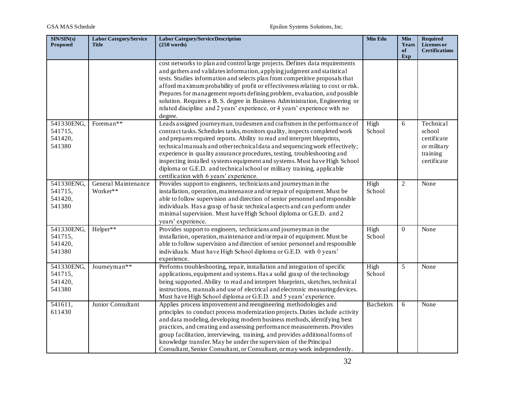| SIN/SIN(s)<br><b>Proposed</b>              | <b>Labor Category/Service</b><br><b>Title</b> | <b>Labor Category/Service Description</b><br>$(250 \text{ words})$                                                                                                                                                                                                                                                                                                                                                                                                                                                                                                                               | Min Edu          | <b>Min</b><br>Years<br>of<br>Exp | <b>Required</b><br><b>Licenses</b> or<br><b>Certifications</b>               |
|--------------------------------------------|-----------------------------------------------|--------------------------------------------------------------------------------------------------------------------------------------------------------------------------------------------------------------------------------------------------------------------------------------------------------------------------------------------------------------------------------------------------------------------------------------------------------------------------------------------------------------------------------------------------------------------------------------------------|------------------|----------------------------------|------------------------------------------------------------------------------|
|                                            |                                               | cost networks to plan and control large projects. Defines data requirements<br>and gathers and validates information, applying judgment and statistical<br>tests. Studies information and selects plan from competitive proposals that<br>afford maximum probability of profit or effectiveness relating to cost or risk.<br>Prepares for management reports defining problem, evaluation, and possible<br>solution. Requires a B. S. degree in Business Administration, Engineering or<br>related discipline and 2 years' experience, or 4 years' experience with no<br>degree.                 |                  |                                  |                                                                              |
| 541330ENG,<br>541715,<br>541420,<br>541380 | Foreman**                                     | Leads assigned journeyman, tradesmen and craftsmen in the performance of<br>contract tasks. Schedules tasks, monitors quality, inspects completed work<br>and prepares required reports. Ability to read and interpret blueprints,<br>technical manuals and other technical data and sequencing work effectively;<br>experience in quality assurance procedures, testing, troubleshooting and<br>inspecting installed systems equipment and systems. Must have High School<br>diploma or G.E.D. and technical school or military training, applicable<br>certification with 6 years' experience. | High<br>School   | 6                                | Technical<br>school<br>certificate<br>or military<br>training<br>certificate |
| 541330ENG,<br>541715,<br>541420,<br>541380 | General Maintenance<br>Worker**               | Provides support to engineers, technicians and journeyman in the<br>installation, operation, maintenance and/or repair of equipment. Must be<br>able to follow supervision and direction of senior personnel and responsible<br>individuals. Has a grasp of basic technical aspects and can perform under<br>minimal supervision. Must have High School diploma or G.E.D. and 2<br>years' experience.                                                                                                                                                                                            | High<br>School   | $\overline{2}$                   | None                                                                         |
| 541330ENG,<br>541715,<br>541420,<br>541380 | Helper**                                      | Provides support to engineers, technicians and journeyman in the<br>installation, operation, maintenance and/or repair of equipment. Must be<br>able to follow supervision and direction of senior personnel and responsible<br>individuals. Must have High School diploma or G.E.D. with 0 years'<br>experience.                                                                                                                                                                                                                                                                                | High<br>School   | $\Omega$                         | None                                                                         |
| 541330ENG,<br>541715,<br>541420,<br>541380 | Journeyman**                                  | Performs troubleshooting, repair, installation and integration of specific<br>applications, equipment and systems. Has a solid grasp of the technology<br>being supported. Ability to read and interpret blueprints, sketches, technical<br>instructions, manuals and use of electrical and electronic measuring devices.<br>Must have High School diploma or G.E.D. and 5 years' experience.                                                                                                                                                                                                    | High<br>School   | 5                                | None                                                                         |
| 541611,<br>611430                          | Junior Consultant                             | Applies process improvement and reengineering methodologies and<br>principles to conduct process modernization projects. Duties include activity<br>and data modeling, developing modern business methods, identifying best<br>practices, and creating and assessing performance measurements. Provides<br>group facilitation, interviewing, training, and provides additional forms of<br>knowledge transfer. May be under the supervision of the Principal<br>Consultant, Senior Consultant, or Consultant, or may work independently.                                                         | <b>Bachelors</b> | 6                                | None                                                                         |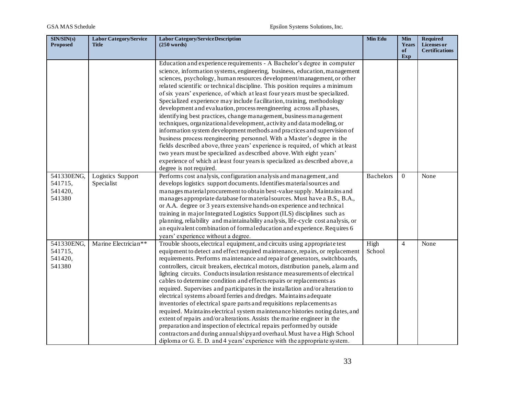| SIN/SIN(s)<br><b>Proposed</b>              | <b>Labor Category/Service</b><br><b>Title</b> | <b>Labor Category/Service Description</b><br>$(250 \text{ words})$                                                                                                                                                                                                                                                                                                                                                                                                                                                                                                                                                                                                                                                                                                                                                                                                                                                                                                                                                                                                                                                 | <b>Min Edu</b>   | <b>Min</b><br>Years | <b>Required</b><br>Licenses or |
|--------------------------------------------|-----------------------------------------------|--------------------------------------------------------------------------------------------------------------------------------------------------------------------------------------------------------------------------------------------------------------------------------------------------------------------------------------------------------------------------------------------------------------------------------------------------------------------------------------------------------------------------------------------------------------------------------------------------------------------------------------------------------------------------------------------------------------------------------------------------------------------------------------------------------------------------------------------------------------------------------------------------------------------------------------------------------------------------------------------------------------------------------------------------------------------------------------------------------------------|------------------|---------------------|--------------------------------|
|                                            |                                               |                                                                                                                                                                                                                                                                                                                                                                                                                                                                                                                                                                                                                                                                                                                                                                                                                                                                                                                                                                                                                                                                                                                    |                  | of<br>Exp           | <b>Certifications</b>          |
|                                            |                                               | Education and experience requirements - A Bachelor's degree in computer<br>science, information systems, engineering, business, education, management<br>sciences, psychology, human resources development/management, or other<br>related scientific or technical discipline. This position requires a minimum<br>of six years' experience, of which at least four years must be specialized.<br>Specialized experience may include facilitation, training, methodology<br>development and evaluation, process reengineering across all phases,<br>identifying best practices, change management, business management<br>techniques, organizational development, activity and data modeling, or<br>information system development methods and practices and supervision of<br>business process reengineering personnel. With a Master's degree in the<br>fields described above, three years' experience is required, of which at least<br>two years must be specialized as described above. With eight years'<br>experience of which at least four years is specialized as described above, a                    |                  |                     |                                |
| 541330ENG,<br>541715,<br>541420,<br>541380 | Logistics Support<br>Specialist               | degree is not required.<br>Performs cost analysis, configuration analysis and management, and<br>develops logistics support documents. Identifies material sources and<br>manages material procurement to obtain best-value supply. Maintains and<br>manages appropriate database for material sources. Must have a B.S., B.A.,<br>or A.A. degree or 3 years extensive hands-on experience and technical<br>training in major Integrated Logistics Support (ILS) disciplines such as<br>planning, reliability and maintainability analysis, life-cycle cost analysis, or<br>an equivalent combination of formal education and experience. Requires 6<br>years' experience without a degree.                                                                                                                                                                                                                                                                                                                                                                                                                        | <b>Bachelors</b> | $\theta$            | None                           |
| 541330ENG,<br>541715,<br>541420,<br>541380 | Marine Electrician**                          | Trouble shoots, electrical equipment, and circuits using appropriate test<br>equipment to detect and effect required maintenance, repairs, or replacement<br>requirements. Performs maintenance and repair of generators, switchboards,<br>controllers, circuit breakers, electrical motors, distribution panels, alarm and<br>lighting circuits. Conducts insulation resistance measurements of electrical<br>cables to determine condition and effects repairs or replacements as<br>required. Supervises and participates in the installation and/or alteration to<br>electrical systems aboard ferries and dredges. Maintains adequate<br>inventories of electrical spare parts and requisitions replacements as<br>required. Maintains electrical system maintenance histories noting dates, and<br>extent of repairs and/or alterations. Assists the marine engineer in the<br>preparation and inspection of electrical repairs performed by outside<br>contractors and during annual shipyard overhaul. Must have a High School<br>diploma or G. E. D. and 4 years' experience with the appropriate system. | High<br>School   | $\overline{4}$      | None                           |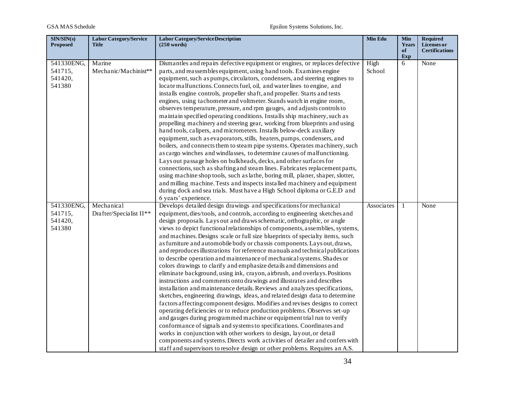| SIN/SIN(s)<br><b>Proposed</b>              | <b>Labor Category/Service</b><br><b>Title</b> | <b>Labor Category/Service Description</b><br>$(250 \text{ words})$                                                                                                                                                                                                                                                                                                                                                                                                                                                                                                                                                                                                                                                                                                                                                                                                                                                                                                                                                                                                                                                                                                                                                                                                                                                                                                                                                                                                                                                                                                                 | Min Edu        | <b>Min</b><br>Years<br>of | <b>Required</b><br>Licenses or<br><b>Certifications</b> |
|--------------------------------------------|-----------------------------------------------|------------------------------------------------------------------------------------------------------------------------------------------------------------------------------------------------------------------------------------------------------------------------------------------------------------------------------------------------------------------------------------------------------------------------------------------------------------------------------------------------------------------------------------------------------------------------------------------------------------------------------------------------------------------------------------------------------------------------------------------------------------------------------------------------------------------------------------------------------------------------------------------------------------------------------------------------------------------------------------------------------------------------------------------------------------------------------------------------------------------------------------------------------------------------------------------------------------------------------------------------------------------------------------------------------------------------------------------------------------------------------------------------------------------------------------------------------------------------------------------------------------------------------------------------------------------------------------|----------------|---------------------------|---------------------------------------------------------|
|                                            |                                               |                                                                                                                                                                                                                                                                                                                                                                                                                                                                                                                                                                                                                                                                                                                                                                                                                                                                                                                                                                                                                                                                                                                                                                                                                                                                                                                                                                                                                                                                                                                                                                                    |                | Exp                       |                                                         |
| 541330ENG,<br>541715,<br>541420,<br>541380 | Marine<br>Mechanic/Machinist**                | Dismantles and repairs defective equipment or engines, or replaces defective<br>parts, and reassembles equipment, using hand tools. Examines engine<br>equipment, such as pumps, circulators, condensers, and steering engines to<br>locate malfunctions. Connects fuel, oil, and water lines to engine, and<br>installs engine controls, propeller shaft, and propeller. Starts and tests<br>engines, using tachometer and voltmeter. Stands watch in engine room,<br>observes temperature, pressure, and rpm gauges, and adjusts controls to<br>maintain specified operating conditions. Installs ship machinery, such as<br>propelling machinery and steering gear, working from blueprints and using<br>hand tools, calipers, and micrometers. Installs below-deck auxiliary<br>equipment, such as evaporators, stills, heaters, pumps, condensers, and<br>boilers, and connects them to steam pipe systems. Operates machinery, such<br>as cargo winches and windlasses, to determine causes of malfunctioning.<br>Lays out passage holes on bulkheads, decks, and other surfaces for<br>connections, such as shafting and steam lines. Fabricates replacement parts,<br>using machine shop tools, such as lathe, boring mill, planer, shaper, slotter,<br>and milling machine. Tests and inspects installed machinery and equipment<br>during dock and sea trials. Must have a High School diploma or G.E.D and<br>6 years' experience.                                                                                                                                      | High<br>School | 6                         | None                                                    |
| 541330ENG,<br>541715,<br>541420,<br>541380 | Mechanical<br>Drafter/Specialist II**         | Develops detailed design drawings and specifications for mechanical<br>equipment, dies/tools, and controls, according to engineering sketches and<br>design proposals. Lays out and draws schematic, orthographic, or angle<br>views to depict functional relationships of components, assemblies, systems,<br>and machines. Designs scale or full size blueprints of specialty items, such<br>as furniture and automobile body or chassis components. Lays out, draws,<br>and reproduces illustrations for reference manuals and technical publications<br>to describe operation and maintenance of mechanical systems. Shades or<br>colors drawings to clarify and emphasize details and dimensions and<br>eliminate background, using ink, crayon, airbrush, and overlays. Positions<br>instructions and comments onto drawings and illustrates and describes<br>installation and maintenance details. Reviews and analyzes specifications,<br>sketches, engineering drawings, ideas, and related design data to determine<br>factors affecting component designs. Modifies and revises designs to correct<br>operating deficiencies or to reduce production problems. Observes set-up<br>and gauges during programmed machine or equipment trial run to verify<br>conformance of signals and systems to specifications. Coordinates and<br>works in conjunction with other workers to design, layout, or detail<br>components and systems. Directs work activities of detailer and confers with<br>staff and supervisors to resolve design or other problems. Requires an A.S. | Associates     | 1                         | None                                                    |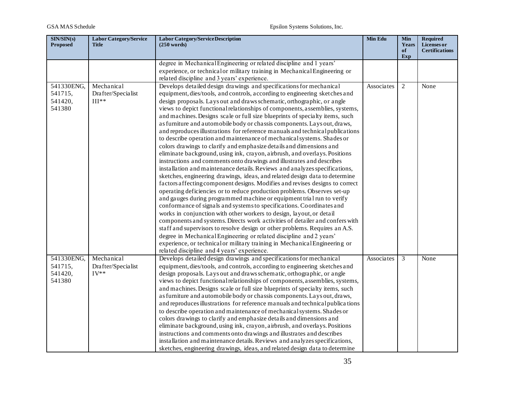| SIN/SIN(s)<br><b>Proposed</b>              | <b>Labor Category/Service</b><br><b>Title</b> | <b>Labor Category/Service Description</b><br>$(250 \text{ words})$                                                                                                                                                                                                                                                                                                                                                                                                                                                                                                                                                                                                                                                                                                                                                                                                                                                                                                                                                                                                                                                                                                                                                                                                                                                                                                                                                                                                                                                                                                                                                                                                                                                                                                                     | <b>Min Edu</b> | <b>Min</b><br>Years<br>of<br>Exp | <b>Required</b><br>Licenses or<br><b>Certifications</b> |
|--------------------------------------------|-----------------------------------------------|----------------------------------------------------------------------------------------------------------------------------------------------------------------------------------------------------------------------------------------------------------------------------------------------------------------------------------------------------------------------------------------------------------------------------------------------------------------------------------------------------------------------------------------------------------------------------------------------------------------------------------------------------------------------------------------------------------------------------------------------------------------------------------------------------------------------------------------------------------------------------------------------------------------------------------------------------------------------------------------------------------------------------------------------------------------------------------------------------------------------------------------------------------------------------------------------------------------------------------------------------------------------------------------------------------------------------------------------------------------------------------------------------------------------------------------------------------------------------------------------------------------------------------------------------------------------------------------------------------------------------------------------------------------------------------------------------------------------------------------------------------------------------------------|----------------|----------------------------------|---------------------------------------------------------|
|                                            |                                               | degree in Mechanical Engineering or related discipline and 1 years'<br>experience, or technical or military training in Mechanical Engineering or<br>related discipline and 3 years' experience.                                                                                                                                                                                                                                                                                                                                                                                                                                                                                                                                                                                                                                                                                                                                                                                                                                                                                                                                                                                                                                                                                                                                                                                                                                                                                                                                                                                                                                                                                                                                                                                       |                |                                  |                                                         |
| 541330ENG,<br>541715,<br>541420,<br>541380 | Mechanical<br>Drafter/Specialist<br>$III**$   | Develops detailed design drawings and specifications for mechanical<br>equipment, dies/tools, and controls, according to engineering sketches and<br>design proposals. Lays out and draws schematic, orthographic, or angle<br>views to depict functional relationships of components, assemblies, systems,<br>and machines. Designs scale or full size blueprints of specialty items, such<br>as furniture and automobile body or chassis components. Lays out, draws,<br>and reproduces illustrations for reference manuals and technical publications<br>to describe operation and maintenance of mechanical systems. Shades or<br>colors drawings to clarify and emphasize details and dimensions and<br>eliminate background, using ink, crayon, airbrush, and overlays. Positions<br>instructions and comments onto drawings and illustrates and describes<br>installation and maintenance details. Reviews and analyzes specifications,<br>sketches, engineering drawings, ideas, and related design data to determine<br>factors affecting component designs. Modifies and revises designs to correct<br>operating deficiencies or to reduce production problems. Observes set-up<br>and gauges during programmed machine or equipment trial run to verify<br>conformance of signals and systems to specifications. Coordinates and<br>works in conjunction with other workers to design, layout, or detail<br>components and systems. Directs work activities of detailer and confers with<br>staff and supervisors to resolve design or other problems. Requires an A.S.<br>degree in Mechanical Engineering or related discipline and 2 years'<br>experience, or technical or military training in Mechanical Engineering or<br>related discipline and 4 years' experience. | Associates     | 2                                | None                                                    |
| 541330ENG,<br>541715,<br>541420,<br>541380 | Mechanical<br>Drafter/Specialist<br>$IV**$    | Develops detailed design drawings and specifications for mechanical<br>equipment, dies/tools, and controls, according to engineering sketches and<br>design proposals. Lays out and draws schematic, orthographic, or angle<br>views to depict functional relationships of components, assemblies, systems,<br>and machines. Designs scale or full size blueprints of specialty items, such<br>as furniture and automobile body or chassis components. Lays out, draws,<br>and reproduces illustrations for reference manuals and technical publications<br>to describe operation and maintenance of mechanical systems. Shades or<br>colors drawings to clarify and emphasize details and dimensions and<br>eliminate background, using ink, crayon, airbrush, and overlays. Positions<br>instructions and comments onto drawings and illustrates and describes<br>installation and maintenance details. Reviews and analyzes specifications,<br>sketches, engineering drawings, ideas, and related design data to determine                                                                                                                                                                                                                                                                                                                                                                                                                                                                                                                                                                                                                                                                                                                                                          | Associates     | 3                                | None                                                    |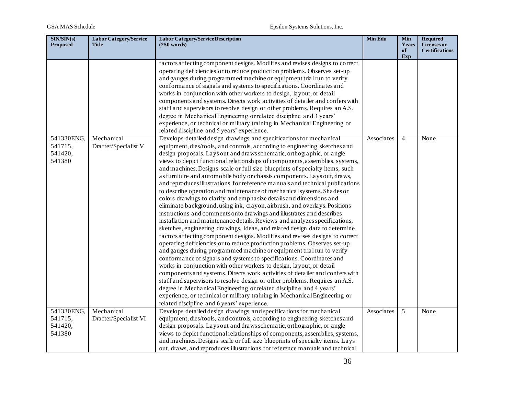| SIN/SIN(s)<br><b>Proposed</b> | Labor Category/Service<br><b>Title</b> | <b>Labor Category/Service Description</b><br>(250 words)                      | Min Edu    | <b>Min</b><br>Years | <b>Required</b><br><b>Licenses</b> or |
|-------------------------------|----------------------------------------|-------------------------------------------------------------------------------|------------|---------------------|---------------------------------------|
|                               |                                        |                                                                               |            | of<br>Exp           | <b>Certifications</b>                 |
|                               |                                        | factors affecting component designs. Modifies and revises designs to correct  |            |                     |                                       |
|                               |                                        | operating deficiencies or to reduce production problems. Observes set-up      |            |                     |                                       |
|                               |                                        | and gauges during programmed machine or equipment trial run to verify         |            |                     |                                       |
|                               |                                        | conformance of signals and systems to specifications. Coordinates and         |            |                     |                                       |
|                               |                                        | works in conjunction with other workers to design, layout, or detail          |            |                     |                                       |
|                               |                                        | components and systems. Directs work activities of detailer and confers with  |            |                     |                                       |
|                               |                                        | staff and supervisors to resolve design or other problems. Requires an A.S.   |            |                     |                                       |
|                               |                                        | degree in Mechanical Engineering or related discipline and 3 years'           |            |                     |                                       |
|                               |                                        | experience, or technical or military training in Mechanical Engineering or    |            |                     |                                       |
|                               |                                        | related discipline and 5 years' experience.                                   |            |                     |                                       |
| 541330ENG,                    | Mechanical                             | Develops detailed design drawings and specifications for mechanical           | Associates | $\overline{4}$      | None                                  |
| 541715,                       | Drafter/Specialist V                   | equipment, dies/tools, and controls, according to engineering sketches and    |            |                     |                                       |
| 541420,                       |                                        | design proposals. Lays out and draws schematic, orthographic, or angle        |            |                     |                                       |
| 541380                        |                                        | views to depict functional relationships of components, assemblies, systems,  |            |                     |                                       |
|                               |                                        | and machines. Designs scale or full size blueprints of specialty items, such  |            |                     |                                       |
|                               |                                        | as furniture and automobile body or chassis components. Lays out, draws,      |            |                     |                                       |
|                               |                                        | and reproduces illustrations for reference manuals and technical publications |            |                     |                                       |
|                               |                                        | to describe operation and maintenance of mechanical systems. Shades or        |            |                     |                                       |
|                               |                                        | colors drawings to clarify and emphasize details and dimensions and           |            |                     |                                       |
|                               |                                        | eliminate background, using ink, crayon, airbrush, and overlays. Positions    |            |                     |                                       |
|                               |                                        | instructions and comments onto drawings and illustrates and describes         |            |                     |                                       |
|                               |                                        | installation and maintenance details. Reviews and analyzes specifications,    |            |                     |                                       |
|                               |                                        | sketches, engineering drawings, ideas, and related design data to determine   |            |                     |                                       |
|                               |                                        | factors affecting component designs. Modifies and revises designs to correct  |            |                     |                                       |
|                               |                                        | operating deficiencies or to reduce production problems. Observes set-up      |            |                     |                                       |
|                               |                                        | and gauges during programmed machine or equipment trial run to verify         |            |                     |                                       |
|                               |                                        | conformance of signals and systems to specifications. Coordinates and         |            |                     |                                       |
|                               |                                        | works in conjunction with other workers to design, layout, or detail          |            |                     |                                       |
|                               |                                        | components and systems. Directs work activities of detailer and confers with  |            |                     |                                       |
|                               |                                        | staff and supervisors to resolve design or other problems. Requires an A.S.   |            |                     |                                       |
|                               |                                        | degree in Mechanical Engineering or related discipline and 4 years'           |            |                     |                                       |
|                               |                                        | experience, or technical or military training in Mechanical Engineering or    |            |                     |                                       |
|                               |                                        | related discipline and 6 years' experience.                                   |            |                     |                                       |
| 541330ENG,                    | Mechanical                             | Develops detailed design drawings and specifications for mechanical           | Associates | 5                   | None                                  |
| 541715,                       | Drafter/Specialist VI                  | equipment, dies/tools, and controls, according to engineering sketches and    |            |                     |                                       |
| 541420,                       |                                        | design proposals. Lays out and draws schematic, orthographic, or angle        |            |                     |                                       |
| 541380                        |                                        | views to depict functional relationships of components, assemblies, systems,  |            |                     |                                       |
|                               |                                        | and machines. Designs scale or full size blueprints of specialty items. Lays  |            |                     |                                       |
|                               |                                        | out, draws, and reproduces illustrations for reference manuals and technical  |            |                     |                                       |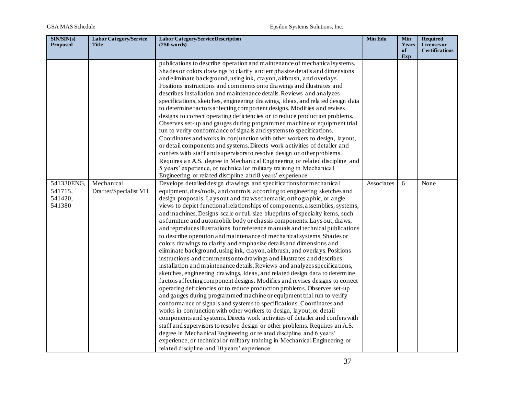| SIN/SIN(s)<br><b>Proposed</b> | <b>Labor Category/Service</b><br><b>Title</b> | <b>Labor Category/Service Description</b><br>(250 words)                                                                                                  | Min Edu    | <b>Min</b><br>Years<br>of | <b>Required</b><br>Licenses or<br><b>Certifications</b> |
|-------------------------------|-----------------------------------------------|-----------------------------------------------------------------------------------------------------------------------------------------------------------|------------|---------------------------|---------------------------------------------------------|
|                               |                                               |                                                                                                                                                           |            | Exp                       |                                                         |
|                               |                                               | publications to describe operation and maintenance of mechanical systems.                                                                                 |            |                           |                                                         |
|                               |                                               | Shades or colors drawings to clarify and emphasize details and dimensions                                                                                 |            |                           |                                                         |
|                               |                                               | and eliminate background, using ink, crayon, airbrush, and overlays.                                                                                      |            |                           |                                                         |
|                               |                                               | Positions instructions and comments onto drawings and illustrates and                                                                                     |            |                           |                                                         |
|                               |                                               | describes installation and maintenance details. Reviews and analyzes                                                                                      |            |                           |                                                         |
|                               |                                               | specifications, sketches, engineering drawings, ideas, and related design data                                                                            |            |                           |                                                         |
|                               |                                               | to determine factors affecting component designs. Modifies and revises                                                                                    |            |                           |                                                         |
|                               |                                               | designs to correct operating deficiencies or to reduce production problems.                                                                               |            |                           |                                                         |
|                               |                                               | Observes set-up and gauges during programmed machine or equipment trial                                                                                   |            |                           |                                                         |
|                               |                                               | run to verify conformance of signals and systems to specifications.                                                                                       |            |                           |                                                         |
|                               |                                               | Coordinates and works in conjunction with other workers to design, layout,                                                                                |            |                           |                                                         |
|                               |                                               | or detail components and systems. Directs work activities of detailer and                                                                                 |            |                           |                                                         |
|                               |                                               | confers with staff and supervisors to resolve design or other problems.                                                                                   |            |                           |                                                         |
|                               |                                               | Requires an A.S. degree in Mechanical Engineering or related discipline and                                                                               |            |                           |                                                         |
|                               |                                               | 5 years' experience, or technical or military training in Mechanical                                                                                      |            |                           |                                                         |
|                               |                                               | Engineering or related discipline and 8 years' experience                                                                                                 |            |                           |                                                         |
| 541330ENG,                    | Mechanical                                    | Develops detailed design drawings and specifications for mechanical                                                                                       | Associates | 6                         | None                                                    |
| 541715,                       | Drafter/Specialist VII                        | equipment, dies/tools, and controls, according to engineering sketches and                                                                                |            |                           |                                                         |
| 541420,                       |                                               | design proposals. Lays out and draws schematic, orthographic, or angle                                                                                    |            |                           |                                                         |
| 541380                        |                                               | views to depict functional relationships of components, assemblies, systems,                                                                              |            |                           |                                                         |
|                               |                                               | and machines. Designs scale or full size blueprints of specialty items, such                                                                              |            |                           |                                                         |
|                               |                                               | as furniture and automobile body or chassis components. Lays out, draws,                                                                                  |            |                           |                                                         |
|                               |                                               | and reproduces illustrations for reference manuals and technical publications                                                                             |            |                           |                                                         |
|                               |                                               | to describe operation and maintenance of mechanical systems. Shades or                                                                                    |            |                           |                                                         |
|                               |                                               | colors drawings to clarify and emphasize details and dimensions and                                                                                       |            |                           |                                                         |
|                               |                                               | eliminate background, using ink, crayon, airbrush, and overlays. Positions                                                                                |            |                           |                                                         |
|                               |                                               | instructions and comments onto drawings and illustrates and describes                                                                                     |            |                           |                                                         |
|                               |                                               | installation and maintenance details. Reviews and analyzes specifications,<br>sketches, engineering drawings, ideas, and related design data to determine |            |                           |                                                         |
|                               |                                               | factors affecting component designs. Modifies and revises designs to correct                                                                              |            |                           |                                                         |
|                               |                                               | operating deficiencies or to reduce production problems. Observes set-up                                                                                  |            |                           |                                                         |
|                               |                                               | and gauges during programmed machine or equipment trial run to verify                                                                                     |            |                           |                                                         |
|                               |                                               | conformance of signals and systems to specifications. Coordinates and                                                                                     |            |                           |                                                         |
|                               |                                               | works in conjunction with other workers to design, layout, or detail                                                                                      |            |                           |                                                         |
|                               |                                               | components and systems. Directs work activities of detailer and confers with                                                                              |            |                           |                                                         |
|                               |                                               | staff and supervisors to resolve design or other problems. Requires an A.S.                                                                               |            |                           |                                                         |
|                               |                                               | degree in Mechanical Engineering or related discipline and 6 years'                                                                                       |            |                           |                                                         |
|                               |                                               | experience, or technical or military training in Mechanical Engineering or                                                                                |            |                           |                                                         |
|                               |                                               | related discipline and 10 years' experience.                                                                                                              |            |                           |                                                         |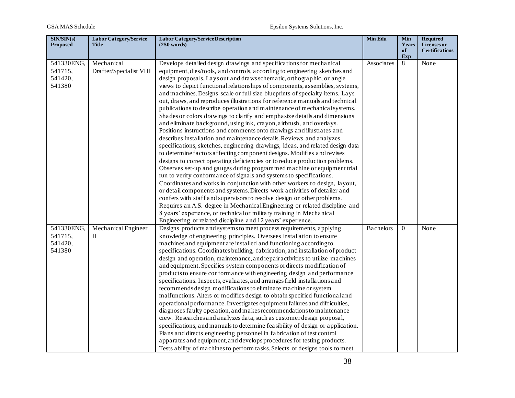| SIN/SIN(s)<br><b>Proposed</b>              | <b>Labor Category/Service</b><br><b>Title</b> | <b>Labor Category/Service Description</b><br>$(250 \text{ words})$                                                                                                                                                                                                                                                                                                                                                                                                                                                                                                                                                                                                                                                                                                                                                                                                                                                                                                                                                                                                                                                                                                                                                                                                                                                                                                                                                                                                                                                                                                                                                                                                                                                      | Min Edu          | Min<br>Years<br>of | <b>Required</b><br>Licenses or<br><b>Certifications</b> |
|--------------------------------------------|-----------------------------------------------|-------------------------------------------------------------------------------------------------------------------------------------------------------------------------------------------------------------------------------------------------------------------------------------------------------------------------------------------------------------------------------------------------------------------------------------------------------------------------------------------------------------------------------------------------------------------------------------------------------------------------------------------------------------------------------------------------------------------------------------------------------------------------------------------------------------------------------------------------------------------------------------------------------------------------------------------------------------------------------------------------------------------------------------------------------------------------------------------------------------------------------------------------------------------------------------------------------------------------------------------------------------------------------------------------------------------------------------------------------------------------------------------------------------------------------------------------------------------------------------------------------------------------------------------------------------------------------------------------------------------------------------------------------------------------------------------------------------------------|------------------|--------------------|---------------------------------------------------------|
|                                            |                                               |                                                                                                                                                                                                                                                                                                                                                                                                                                                                                                                                                                                                                                                                                                                                                                                                                                                                                                                                                                                                                                                                                                                                                                                                                                                                                                                                                                                                                                                                                                                                                                                                                                                                                                                         |                  | Exp                |                                                         |
| 541330ENG,<br>541715,<br>541420,<br>541380 | Mechanical<br>Drafter/Specialist VIII         | Develops detailed design drawings and specifications for mechanical<br>equipment, dies/tools, and controls, according to engineering sketches and<br>design proposals. Lays out and draws schematic, orthographic, or angle<br>views to depict functional relationships of components, assemblies, systems,<br>and machines. Designs scale or full size blueprints of specialty items. Lays<br>out, draws, and reproduces illustrations for reference manuals and technical<br>publications to describe operation and maintenance of mechanical systems.<br>Shades or colors drawings to clarify and emphasize details and dimensions<br>and eliminate background, using ink, crayon, airbrush, and overlays.<br>Positions instructions and comments onto drawings and illustrates and<br>describes installation and maintenance details. Reviews and analyzes<br>specifications, sketches, engineering drawings, ideas, and related design data<br>to determine factors affecting component designs. Modifies and revises<br>designs to correct operating deficiencies or to reduce production problems.<br>Observes set-up and gauges during programmed machine or equipment trial<br>run to verify conformance of signals and systems to specifications.<br>Coordinates and works in conjunction with other workers to design, layout,<br>or detail components and systems. Directs work activities of detailer and<br>confers with staff and supervisors to resolve design or other problems.<br>Requires an A.S. degree in Mechanical Engineering or related discipline and<br>8 years' experience, or technical or military training in Mechanical<br>Engineering or related discipline and 12 years' experience. | Associates       | 8                  | None                                                    |
| 541330ENG,<br>541715,<br>541420,<br>541380 | MechanicalEngineer<br>П                       | Designs products and systems to meet process requirements, applying<br>knowledge of engineering principles. Oversees installation to ensure<br>machines and equipment are installed and functioning according to<br>specifications. Coordinates building, fabrication, and installation of product<br>design and operation, maintenance, and repair activities to utilize machines<br>and equipment. Specifies system components or directs modification of<br>products to ensure conformance with engineering design and performance<br>specifications. Inspects, evaluates, and arranges field installations and<br>recommends design modifications to eliminate machine or system<br>malfunctions. Alters or modifies design to obtain specified functional and<br>operational performance. Investigates equipment failures and difficulties,<br>diagnoses faulty operation, and makes recommendations to maintenance<br>crew. Researches and analyzes data, such as customer design proposal,<br>specifications, and manuals to determine feasibility of design or application.<br>Plans and directs engineering personnel in fabrication of test control<br>apparatus and equipment, and develops procedures for testing products.<br>Tests ability of machines to perform tasks. Selects or designs tools to meet                                                                                                                                                                                                                                                                                                                                                                                                 | <b>Bachelors</b> | $\Omega$           | None                                                    |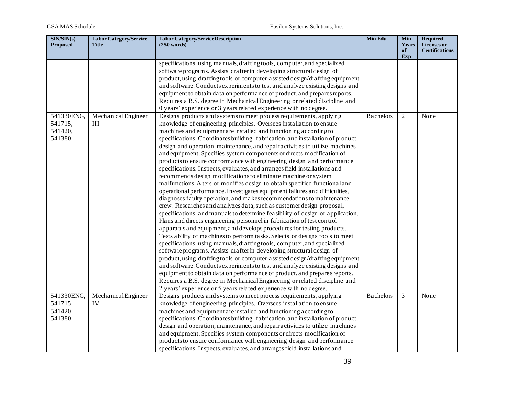| SIN/SIN(s)<br><b>Proposed</b> | <b>Labor Category/Service</b><br><b>Title</b> | <b>Labor Category/Service Description</b><br>$(250 \text{ words})$                                                                                    | Min Edu          | Min<br>Years<br>of | <b>Required</b><br>Licenses or<br><b>Certifications</b> |
|-------------------------------|-----------------------------------------------|-------------------------------------------------------------------------------------------------------------------------------------------------------|------------------|--------------------|---------------------------------------------------------|
|                               |                                               |                                                                                                                                                       |                  | Exp                |                                                         |
|                               |                                               | specifications, using manuals, drafting tools, computer, and specialized                                                                              |                  |                    |                                                         |
|                               |                                               | software programs. Assists drafter in developing structural design of<br>product, using drafting tools or computer-assisted design/drafting equipment |                  |                    |                                                         |
|                               |                                               | and software. Conducts experiments to test and analyze existing designs and                                                                           |                  |                    |                                                         |
|                               |                                               | equipment to obtain data on performance of product, and prepares reports.                                                                             |                  |                    |                                                         |
|                               |                                               | Requires a B.S. degree in Mechanical Engineering or related discipline and                                                                            |                  |                    |                                                         |
|                               |                                               | 0 years' experience or 3 years related experience with no degree.                                                                                     |                  |                    |                                                         |
| 541330ENG,                    | MechanicalEngineer                            | Designs products and systems to meet process requirements, applying                                                                                   | <b>Bachelors</b> | $\overline{c}$     | None                                                    |
| 541715,                       | Ш                                             | knowledge of engineering principles. Oversees installation to ensure                                                                                  |                  |                    |                                                         |
| 541420,                       |                                               | machines and equipment are installed and functioning according to                                                                                     |                  |                    |                                                         |
| 541380                        |                                               | specifications. Coordinates building, fabrication, and installation of product                                                                        |                  |                    |                                                         |
|                               |                                               | design and operation, maintenance, and repair activities to utilize machines                                                                          |                  |                    |                                                         |
|                               |                                               | and equipment. Specifies system components or directs modification of                                                                                 |                  |                    |                                                         |
|                               |                                               | products to ensure conformance with engineering design and performance                                                                                |                  |                    |                                                         |
|                               |                                               | specifications. Inspects, evaluates, and arranges field installations and                                                                             |                  |                    |                                                         |
|                               |                                               | recommends design modifications to eliminate machine or system                                                                                        |                  |                    |                                                         |
|                               |                                               | malfunctions. Alters or modifies design to obtain specified functional and                                                                            |                  |                    |                                                         |
|                               |                                               | operational performance. Investigates equipment failures and difficulties,                                                                            |                  |                    |                                                         |
|                               |                                               | diagnoses faulty operation, and makes recommendations to maintenance                                                                                  |                  |                    |                                                         |
|                               |                                               | crew. Researches and analyzes data, such as customer design proposal,                                                                                 |                  |                    |                                                         |
|                               |                                               | specifications, and manuals to determine feasibility of design or application.                                                                        |                  |                    |                                                         |
|                               |                                               | Plans and directs engineering personnel in fabrication of test control                                                                                |                  |                    |                                                         |
|                               |                                               | apparatus and equipment, and develops procedures for testing products.                                                                                |                  |                    |                                                         |
|                               |                                               | Tests ability of machines to perform tasks. Selects or designs tools to meet                                                                          |                  |                    |                                                         |
|                               |                                               | specifications, using manuals, drafting tools, computer, and specialized                                                                              |                  |                    |                                                         |
|                               |                                               | software programs. Assists drafter in developing structural design of                                                                                 |                  |                    |                                                         |
|                               |                                               | product, using drafting tools or computer-assisted design/drafting equipment                                                                          |                  |                    |                                                         |
|                               |                                               | and software. Conducts experiments to test and analyze existing designs and                                                                           |                  |                    |                                                         |
|                               |                                               | equipment to obtain data on performance of product, and prepares reports.                                                                             |                  |                    |                                                         |
|                               |                                               | Requires a B.S. degree in Mechanical Engineering or related discipline and                                                                            |                  |                    |                                                         |
|                               |                                               | 2 years' experience or 5 years related experience with no degree.                                                                                     |                  |                    |                                                         |
| 541330ENG,                    | MechanicalEngineer                            | Designs products and systems to meet process requirements, applying                                                                                   | <b>Bachelors</b> | 3                  | None                                                    |
| 541715,                       | IV                                            | knowledge of engineering principles. Oversees installation to ensure                                                                                  |                  |                    |                                                         |
| 541420,                       |                                               | machines and equipment are installed and functioning according to                                                                                     |                  |                    |                                                         |
| 541380                        |                                               | specifications. Coordinates building, fabrication, and installation of product                                                                        |                  |                    |                                                         |
|                               |                                               | design and operation, maintenance, and repair activities to utilize machines                                                                          |                  |                    |                                                         |
|                               |                                               | and equipment. Specifies system components or directs modification of                                                                                 |                  |                    |                                                         |
|                               |                                               | products to ensure conformance with engineering design and performance                                                                                |                  |                    |                                                         |
|                               |                                               | specifications. Inspects, evaluates, and arranges field installations and                                                                             |                  |                    |                                                         |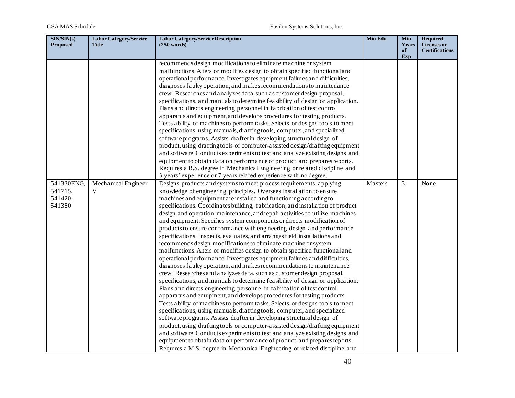| SIN/SIN(s)<br><b>Proposed</b> | <b>Labor Category/Service</b><br><b>Title</b> | <b>Labor Category/Service Description</b><br>(250 words)                                                                                           | Min Edu | <b>Min</b><br>Years | <b>Required</b><br>Licenses or |
|-------------------------------|-----------------------------------------------|----------------------------------------------------------------------------------------------------------------------------------------------------|---------|---------------------|--------------------------------|
|                               |                                               |                                                                                                                                                    |         | of<br>Exp           | <b>Certifications</b>          |
|                               |                                               | recommends design modifications to eliminate machine or system                                                                                     |         |                     |                                |
|                               |                                               | malfunctions. Alters or modifies design to obtain specified functional and                                                                         |         |                     |                                |
|                               |                                               | operational performance. Investigates equipment failures and difficulties,<br>diagnoses faulty operation, and makes recommendations to maintenance |         |                     |                                |
|                               |                                               | crew. Researches and analyzes data, such as customer design proposal,                                                                              |         |                     |                                |
|                               |                                               | specifications, and manuals to determine feasibility of design or application.                                                                     |         |                     |                                |
|                               |                                               | Plans and directs engineering personnel in fabrication of test control                                                                             |         |                     |                                |
|                               |                                               | apparatus and equipment, and develops procedures for testing products.                                                                             |         |                     |                                |
|                               |                                               | Tests ability of machines to perform tasks. Selects or designs tools to meet                                                                       |         |                     |                                |
|                               |                                               | specifications, using manuals, drafting tools, computer, and specialized                                                                           |         |                     |                                |
|                               |                                               | software programs. Assists drafter in developing structural design of                                                                              |         |                     |                                |
|                               |                                               | product, using drafting tools or computer-assisted design/drafting equipment                                                                       |         |                     |                                |
|                               |                                               | and software. Conducts experiments to test and analyze existing designs and                                                                        |         |                     |                                |
|                               |                                               | equipment to obtain data on performance of product, and prepares reports.                                                                          |         |                     |                                |
|                               |                                               | Requires a B.S. degree in Mechanical Engineering or related discipline and                                                                         |         |                     |                                |
|                               |                                               | 3 years' experience or 7 years related experience with no degree.                                                                                  |         |                     |                                |
| 541330ENG,                    | MechanicalEngineer                            | Designs products and systems to meet process requirements, applying                                                                                | Masters | 3                   | None                           |
| 541715,                       | V                                             | knowledge of engineering principles. Oversees installation to ensure                                                                               |         |                     |                                |
| 541420,                       |                                               | machines and equipment are installed and functioning according to                                                                                  |         |                     |                                |
| 541380                        |                                               | specifications. Coordinates building, fabrication, and installation of product                                                                     |         |                     |                                |
|                               |                                               | design and operation, maintenance, and repair activities to utilize machines                                                                       |         |                     |                                |
|                               |                                               | and equipment. Specifies system components or directs modification of                                                                              |         |                     |                                |
|                               |                                               | products to ensure conformance with engineering design and performance                                                                             |         |                     |                                |
|                               |                                               | specifications. Inspects, evaluates, and arranges field installations and<br>recommends design modifications to eliminate machine or system        |         |                     |                                |
|                               |                                               | malfunctions. Alters or modifies design to obtain specified functional and                                                                         |         |                     |                                |
|                               |                                               | operational performance. Investigates equipment failures and difficulties,                                                                         |         |                     |                                |
|                               |                                               | diagnoses faulty operation, and makes recommendations to maintenance                                                                               |         |                     |                                |
|                               |                                               | crew. Researches and analyzes data, such as customer design proposal,                                                                              |         |                     |                                |
|                               |                                               | specifications, and manuals to determine feasibility of design or application.                                                                     |         |                     |                                |
|                               |                                               | Plans and directs engineering personnel in fabrication of test control                                                                             |         |                     |                                |
|                               |                                               | apparatus and equipment, and develops procedures for testing products.                                                                             |         |                     |                                |
|                               |                                               | Tests ability of machines to perform tasks. Selects or designs tools to meet                                                                       |         |                     |                                |
|                               |                                               | specifications, using manuals, drafting tools, computer, and specialized                                                                           |         |                     |                                |
|                               |                                               | software programs. Assists drafter in developing structural design of                                                                              |         |                     |                                |
|                               |                                               | product, using drafting tools or computer-assisted design/drafting equipment                                                                       |         |                     |                                |
|                               |                                               | and software. Conducts experiments to test and analyze existing designs and                                                                        |         |                     |                                |
|                               |                                               | equipment to obtain data on performance of product, and prepares reports.                                                                          |         |                     |                                |
|                               |                                               | Requires a M.S. degree in Mechanical Engineering or related discipline and                                                                         |         |                     |                                |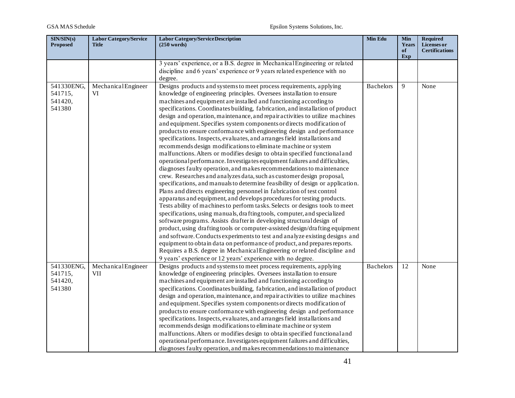| SIN/SIN(s)<br><b>Proposed</b>              | <b>Labor Category/Service</b><br><b>Title</b> | <b>Labor Category/Service Description</b><br>$(250 \text{ words})$                                                                                                                                                                                                                                                                                                                                                                                                                                                                                                                                                                                                                                                                                                                                                                                                                                                                                                                                                                                                                                                                                                                                                                                                                                                                                                                                                                                                                                                                                                                                                                                                                                                                                                                                                                                                    | Min Edu          | <b>Min</b><br>Years<br>of<br>Exp | Required<br>Licenses or<br><b>Certifications</b> |
|--------------------------------------------|-----------------------------------------------|-----------------------------------------------------------------------------------------------------------------------------------------------------------------------------------------------------------------------------------------------------------------------------------------------------------------------------------------------------------------------------------------------------------------------------------------------------------------------------------------------------------------------------------------------------------------------------------------------------------------------------------------------------------------------------------------------------------------------------------------------------------------------------------------------------------------------------------------------------------------------------------------------------------------------------------------------------------------------------------------------------------------------------------------------------------------------------------------------------------------------------------------------------------------------------------------------------------------------------------------------------------------------------------------------------------------------------------------------------------------------------------------------------------------------------------------------------------------------------------------------------------------------------------------------------------------------------------------------------------------------------------------------------------------------------------------------------------------------------------------------------------------------------------------------------------------------------------------------------------------------|------------------|----------------------------------|--------------------------------------------------|
|                                            |                                               | 3 years' experience, or a B.S. degree in Mechanical Engineering or related<br>discipline and 6 years' experience or 9 years related experience with no<br>degree.                                                                                                                                                                                                                                                                                                                                                                                                                                                                                                                                                                                                                                                                                                                                                                                                                                                                                                                                                                                                                                                                                                                                                                                                                                                                                                                                                                                                                                                                                                                                                                                                                                                                                                     |                  |                                  |                                                  |
| 541330ENG,<br>541715,<br>541420,<br>541380 | MechanicalEngineer<br>VI                      | Designs products and systems to meet process requirements, applying<br>knowledge of engineering principles. Oversees installation to ensure<br>machines and equipment are installed and functioning according to<br>specifications. Coordinates building, fabrication, and installation of product<br>design and operation, maintenance, and repair activities to utilize machines<br>and equipment. Specifies system components or directs modification of<br>products to ensure conformance with engineering design and performance<br>specifications. Inspects, evaluates, and arranges field installations and<br>recommends design modifications to eliminate machine or system<br>malfunctions. Alters or modifies design to obtain specified functional and<br>operational performance. Investigates equipment failures and difficulties,<br>diagnoses faulty operation, and makes recommendations to maintenance<br>crew. Researches and analyzes data, such as customer design proposal,<br>specifications, and manuals to determine feasibility of design or application.<br>Plans and directs engineering personnel in fabrication of test control<br>apparatus and equipment, and develops procedures for testing products.<br>Tests ability of machines to perform tasks. Selects or designs tools to meet<br>specifications, using manuals, drafting tools, computer, and specialized<br>software programs. Assists drafter in developing structural design of<br>product, using drafting tools or computer-assisted design/drafting equipment<br>and software. Conducts experiments to test and analyze existing designs and<br>equipment to obtain data on performance of product, and prepares reports.<br>Requires a B.S. degree in Mechanical Engineering or related discipline and<br>9 years' experience or 12 years' experience with no degree. | <b>Bachelors</b> | 9                                | None                                             |
| 541330ENG,<br>541715,<br>541420,<br>541380 | MechanicalEngineer<br><b>VII</b>              | Designs products and systems to meet process requirements, applying<br>knowledge of engineering principles. Oversees installation to ensure<br>machines and equipment are installed and functioning according to<br>specifications. Coordinates building, fabrication, and installation of product<br>design and operation, maintenance, and repair activities to utilize machines<br>and equipment. Specifies system components or directs modification of<br>products to ensure conformance with engineering design and performance<br>specifications. Inspects, evaluates, and arranges field installations and<br>recommends design modifications to eliminate machine or system<br>malfunctions. Alters or modifies design to obtain specified functional and<br>operational performance. Investigates equipment failures and difficulties,<br>diagnoses faulty operation, and makes recommendations to maintenance                                                                                                                                                                                                                                                                                                                                                                                                                                                                                                                                                                                                                                                                                                                                                                                                                                                                                                                                              | <b>Bachelors</b> | 12                               | None                                             |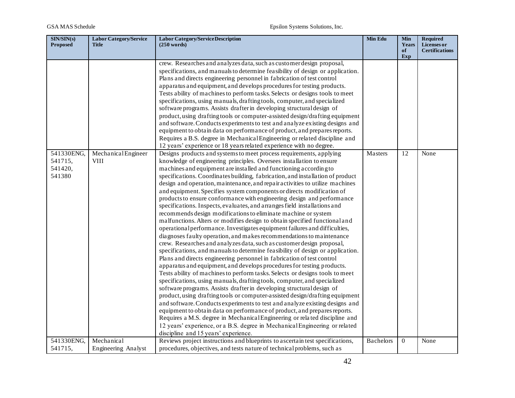| SIN/SIN(s)<br><b>Proposed</b>              | <b>Labor Category/Service</b><br><b>Title</b> | <b>Labor Category/Service Description</b><br>$(250 \text{ words})$                                                                                                                                                                                                                                                                                                                                                                                                                                                                                                                                                                                                                                                                                                                                                                                                                                                                                                                                                                                                                                                                                                                                                                                                                                                                                                                                                                                                                                                                                                                                                                                                                                                                                                                                                                                                                                                            | Min Edu          | <b>Min</b><br>Years | <b>Required</b><br>Licenses or |
|--------------------------------------------|-----------------------------------------------|-------------------------------------------------------------------------------------------------------------------------------------------------------------------------------------------------------------------------------------------------------------------------------------------------------------------------------------------------------------------------------------------------------------------------------------------------------------------------------------------------------------------------------------------------------------------------------------------------------------------------------------------------------------------------------------------------------------------------------------------------------------------------------------------------------------------------------------------------------------------------------------------------------------------------------------------------------------------------------------------------------------------------------------------------------------------------------------------------------------------------------------------------------------------------------------------------------------------------------------------------------------------------------------------------------------------------------------------------------------------------------------------------------------------------------------------------------------------------------------------------------------------------------------------------------------------------------------------------------------------------------------------------------------------------------------------------------------------------------------------------------------------------------------------------------------------------------------------------------------------------------------------------------------------------------|------------------|---------------------|--------------------------------|
|                                            |                                               |                                                                                                                                                                                                                                                                                                                                                                                                                                                                                                                                                                                                                                                                                                                                                                                                                                                                                                                                                                                                                                                                                                                                                                                                                                                                                                                                                                                                                                                                                                                                                                                                                                                                                                                                                                                                                                                                                                                               |                  | of<br>Exp           | <b>Certifications</b>          |
|                                            |                                               | crew. Researches and analyzes data, such as customer design proposal,<br>specifications, and manuals to determine feasibility of design or application.<br>Plans and directs engineering personnel in fabrication of test control<br>apparatus and equipment, and develops procedures for testing products.<br>Tests ability of machines to perform tasks. Selects or designs tools to meet<br>specifications, using manuals, drafting tools, computer, and specialized<br>software programs. Assists drafter in developing structural design of<br>product, using drafting tools or computer-assisted design/drafting equipment<br>and software. Conducts experiments to test and analyze existing designs and<br>equipment to obtain data on performance of product, and prepares reports.<br>Requires a B.S. degree in Mechanical Engineering or related discipline and<br>12 years' experience or 18 years related experience with no degree.                                                                                                                                                                                                                                                                                                                                                                                                                                                                                                                                                                                                                                                                                                                                                                                                                                                                                                                                                                             |                  |                     |                                |
| 541330ENG,<br>541715,<br>541420,<br>541380 | MechanicalEngineer<br>VIII                    | Designs products and systems to meet process requirements, applying<br>knowledge of engineering principles. Oversees installation to ensure<br>machines and equipment are installed and functioning according to<br>specifications. Coordinates building, fabrication, and installation of product<br>design and operation, maintenance, and repair activities to utilize machines<br>and equipment. Specifies system components or directs modification of<br>products to ensure conformance with engineering design and performance<br>specifications. Inspects, evaluates, and arranges field installations and<br>recommends design modifications to eliminate machine or system<br>malfunctions. Alters or modifies design to obtain specified functional and<br>operational performance. Investigates equipment failures and difficulties,<br>diagnoses faulty operation, and makes recommendations to maintenance<br>crew. Researches and analyzes data, such as customer design proposal,<br>specifications, and manuals to determine feasibility of design or application.<br>Plans and directs engineering personnel in fabrication of test control<br>apparatus and equipment, and develops procedures for testing products.<br>Tests ability of machines to perform tasks. Selects or designs tools to meet<br>specifications, using manuals, drafting tools, computer, and specialized<br>software programs. Assists drafter in developing structural design of<br>product, using drafting tools or computer-assisted design/drafting equipment<br>and software. Conducts experiments to test and analyze existing designs and<br>equipment to obtain data on performance of product, and prepares reports.<br>Requires a M.S. degree in Mechanical Engineering or related discipline and<br>12 years' experience, or a B.S. degree in Mechanical Engineering or related<br>discipline and 15 years' experience. | Masters          | 12                  | None                           |
| 541330ENG,<br>541715,                      | Mechanical<br>Engineering Analyst             | Reviews project instructions and blueprints to ascertain test specifications,<br>procedures, objectives, and tests nature of technical problems, such as                                                                                                                                                                                                                                                                                                                                                                                                                                                                                                                                                                                                                                                                                                                                                                                                                                                                                                                                                                                                                                                                                                                                                                                                                                                                                                                                                                                                                                                                                                                                                                                                                                                                                                                                                                      | <b>Bachelors</b> | $\Omega$            | None                           |
|                                            |                                               |                                                                                                                                                                                                                                                                                                                                                                                                                                                                                                                                                                                                                                                                                                                                                                                                                                                                                                                                                                                                                                                                                                                                                                                                                                                                                                                                                                                                                                                                                                                                                                                                                                                                                                                                                                                                                                                                                                                               |                  |                     |                                |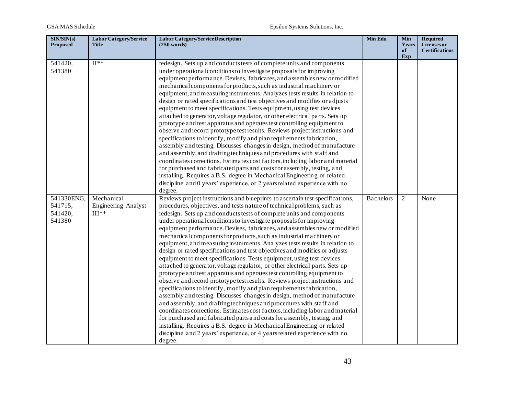| SIN/SIN(s)<br><b>Proposed</b> | <b>Labor Category/Service</b><br><b>Title</b> | <b>Labor Category/Service Description</b><br>$(250 \text{ words})$            | <b>Min Edu</b>   | <b>Min</b><br>Years | <b>Required</b><br>Licenses or |
|-------------------------------|-----------------------------------------------|-------------------------------------------------------------------------------|------------------|---------------------|--------------------------------|
|                               |                                               |                                                                               |                  | of<br>Exp           | <b>Certifications</b>          |
| 541420,                       | $II**$                                        | redesign. Sets up and conducts tests of complete units and components         |                  |                     |                                |
| 541380                        |                                               | under operational conditions to investigate proposals for improving           |                  |                     |                                |
|                               |                                               | equipment performance. Devises, fabricates, and assembles new or modified     |                  |                     |                                |
|                               |                                               | mechanical components for products, such as industrial machinery or           |                  |                     |                                |
|                               |                                               | equipment, and measuring instruments. Analyzes tests results in relation to   |                  |                     |                                |
|                               |                                               | design or rated specifications and test objectives and modifies or adjusts    |                  |                     |                                |
|                               |                                               | equipment to meet specifications. Tests equipment, using test devices         |                  |                     |                                |
|                               |                                               | attached to generator, voltage regulator, or other electrical parts. Sets up  |                  |                     |                                |
|                               |                                               | prototype and test apparatus and operates test controlling equipment to       |                  |                     |                                |
|                               |                                               | observe and record prototype test results. Reviews project instructions and   |                  |                     |                                |
|                               |                                               | specifications to identify, modify and plan requirements fabrication,         |                  |                     |                                |
|                               |                                               | assembly and testing. Discusses changes in design, method of manufacture      |                  |                     |                                |
|                               |                                               | and assembly, and drafting techniques and procedures with staff and           |                  |                     |                                |
|                               |                                               | coordinates corrections. Estimates cost factors, including labor and material |                  |                     |                                |
|                               |                                               | for purchased and fabricated parts and costs for assembly, testing, and       |                  |                     |                                |
|                               |                                               | installing. Requires a B.S. degree in Mechanical Engineering or related       |                  |                     |                                |
|                               |                                               | discipline and 0 years' experience, or 2 years related experience with no     |                  |                     |                                |
|                               |                                               | degree.                                                                       |                  |                     |                                |
| 541330ENG,                    | Mechanical                                    | Reviews project instructions and blueprints to ascertain test specifications, | <b>Bachelors</b> | 2                   | None                           |
| 541715,                       | <b>Engineering Analyst</b>                    | procedures, objectives, and tests nature of technical problems, such as       |                  |                     |                                |
| 541420,                       | $III**$                                       | redesign. Sets up and conducts tests of complete units and components         |                  |                     |                                |
| 541380                        |                                               | under operational conditions to investigate proposals for improving           |                  |                     |                                |
|                               |                                               | equipment performance. Devises, fabricates, and assembles new or modified     |                  |                     |                                |
|                               |                                               | mechanical components for products, such as industrial machinery or           |                  |                     |                                |
|                               |                                               | equipment, and measuring instruments. Analyzes tests results in relation to   |                  |                     |                                |
|                               |                                               | design or rated specifications and test objectives and modifies or adjusts    |                  |                     |                                |
|                               |                                               | equipment to meet specifications. Tests equipment, using test devices         |                  |                     |                                |
|                               |                                               | attached to generator, voltage regulator, or other electrical parts. Sets up  |                  |                     |                                |
|                               |                                               | prototype and test apparatus and operates test controlling equipment to       |                  |                     |                                |
|                               |                                               | observe and record prototype test results. Reviews project instructions and   |                  |                     |                                |
|                               |                                               | specifications to identify, modify and plan requirements fabrication,         |                  |                     |                                |
|                               |                                               | assembly and testing. Discusses changes in design, method of manufacture      |                  |                     |                                |
|                               |                                               | and assembly, and drafting techniques and procedures with staff and           |                  |                     |                                |
|                               |                                               | coordinates corrections. Estimates cost factors, including labor and material |                  |                     |                                |
|                               |                                               | for purchased and fabricated parts and costs for assembly, testing, and       |                  |                     |                                |
|                               |                                               | installing. Requires a B.S. degree in Mechanical Engineering or related       |                  |                     |                                |
|                               |                                               | discipline and 2 years' experience, or 4 years related experience with no     |                  |                     |                                |
|                               |                                               | degree.                                                                       |                  |                     |                                |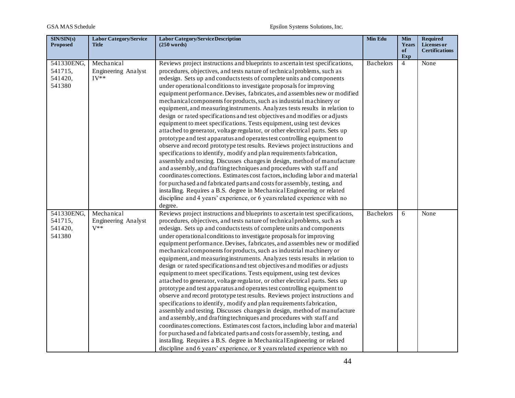| SIN/SIN(s)<br><b>Proposed</b>              | <b>Labor Category/Service</b><br>Title      | <b>Labor Category/Service Description</b><br>(250 words)                                                                                                                                                                                                                                                                                                                                                                                                                                                                                                                                                                                                                                                                                                                                                                                                                                                                                                                                                                                                                                                                                                                                                                                                                                                                                                                                                                                                                                     | Min Edu          | Min<br>Years<br>of | <b>Required</b><br>Licenses or<br><b>Certifications</b> |
|--------------------------------------------|---------------------------------------------|----------------------------------------------------------------------------------------------------------------------------------------------------------------------------------------------------------------------------------------------------------------------------------------------------------------------------------------------------------------------------------------------------------------------------------------------------------------------------------------------------------------------------------------------------------------------------------------------------------------------------------------------------------------------------------------------------------------------------------------------------------------------------------------------------------------------------------------------------------------------------------------------------------------------------------------------------------------------------------------------------------------------------------------------------------------------------------------------------------------------------------------------------------------------------------------------------------------------------------------------------------------------------------------------------------------------------------------------------------------------------------------------------------------------------------------------------------------------------------------------|------------------|--------------------|---------------------------------------------------------|
|                                            |                                             |                                                                                                                                                                                                                                                                                                                                                                                                                                                                                                                                                                                                                                                                                                                                                                                                                                                                                                                                                                                                                                                                                                                                                                                                                                                                                                                                                                                                                                                                                              |                  | Exp                |                                                         |
| 541330ENG,<br>541715,<br>541420,<br>541380 | Mechanical<br>Engineering Analyst<br>$IV**$ | Reviews project instructions and blueprints to ascertain test specifications,<br>procedures, objectives, and tests nature of technical problems, such as<br>redesign. Sets up and conducts tests of complete units and components<br>under operational conditions to investigate proposals for improving<br>equipment performance. Devises, fabricates, and assembles new or modified<br>mechanical components for products, such as industrial machinery or<br>equipment, and measuring instruments. Analyzes tests results in relation to<br>design or rated specifications and test objectives and modifies or adjusts<br>equipment to meet specifications. Tests equipment, using test devices<br>attached to generator, voltage regulator, or other electrical parts. Sets up<br>prototype and test apparatus and operates test controlling equipment to<br>observe and record prototype test results. Reviews project instructions and<br>specifications to identify, modify and plan requirements fabrication,<br>assembly and testing. Discusses changes in design, method of manufacture<br>and assembly, and drafting techniques and procedures with staff and<br>coordinates corrections. Estimates cost factors, including labor and material                                                                                                                                                                                                                                    | <b>Bachelors</b> | $\overline{4}$     | None                                                    |
|                                            |                                             | for purchased and fabricated parts and costs for assembly, testing, and<br>installing. Requires a B.S. degree in Mechanical Engineering or related<br>discipline and 4 years' experience, or 6 years related experience with no<br>degree.                                                                                                                                                                                                                                                                                                                                                                                                                                                                                                                                                                                                                                                                                                                                                                                                                                                                                                                                                                                                                                                                                                                                                                                                                                                   |                  |                    |                                                         |
| 541330ENG,<br>541715,<br>541420,<br>541380 | Mechanical<br>Engineering Analyst<br>$V^**$ | Reviews project instructions and blueprints to ascertain test specifications,<br>procedures, objectives, and tests nature of technical problems, such as<br>redesign. Sets up and conducts tests of complete units and components<br>under operational conditions to investigate proposals for improving<br>equipment performance. Devises, fabricates, and assembles new or modified<br>mechanical components for products, such as industrial machinery or<br>equipment, and measuring instruments. Analyzes tests results in relation to<br>design or rated specifications and test objectives and modifies or adjusts<br>equipment to meet specifications. Tests equipment, using test devices<br>attached to generator, voltage regulator, or other electrical parts. Sets up<br>prototype and test apparatus and operates test controlling equipment to<br>observe and record prototype test results. Reviews project instructions and<br>specifications to identify, modify and plan requirements fabrication,<br>assembly and testing. Discusses changes in design, method of manufacture<br>and assembly, and drafting techniques and procedures with staff and<br>coordinates corrections. Estimates cost factors, including labor and material<br>for purchased and fabricated parts and costs for assembly, testing, and<br>installing. Requires a B.S. degree in Mechanical Engineering or related<br>discipline and 6 years' experience, or 8 years related experience with no | <b>Bachelors</b> | 6                  | None                                                    |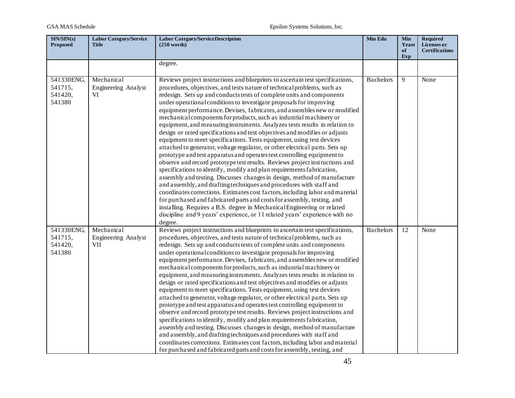| SIN/SIN(s)<br><b>Proposed</b>              | <b>Labor Category/Service</b><br><b>Title</b> | <b>Labor Category/Service Description</b><br>$(250 \text{ words})$                                                                                                                                                                                                                                                                                                                                                                                                                                                                                                                                                                                                                                                                                                                                                                                                                                                                                                                                                                                                                                                                                                                                                                                                                                                                                                                                                                                                                                        | Min Edu          | <b>Min</b><br>Years | <b>Required</b><br>Licenses or |
|--------------------------------------------|-----------------------------------------------|-----------------------------------------------------------------------------------------------------------------------------------------------------------------------------------------------------------------------------------------------------------------------------------------------------------------------------------------------------------------------------------------------------------------------------------------------------------------------------------------------------------------------------------------------------------------------------------------------------------------------------------------------------------------------------------------------------------------------------------------------------------------------------------------------------------------------------------------------------------------------------------------------------------------------------------------------------------------------------------------------------------------------------------------------------------------------------------------------------------------------------------------------------------------------------------------------------------------------------------------------------------------------------------------------------------------------------------------------------------------------------------------------------------------------------------------------------------------------------------------------------------|------------------|---------------------|--------------------------------|
|                                            |                                               |                                                                                                                                                                                                                                                                                                                                                                                                                                                                                                                                                                                                                                                                                                                                                                                                                                                                                                                                                                                                                                                                                                                                                                                                                                                                                                                                                                                                                                                                                                           |                  | of<br>Exp           | <b>Certifications</b>          |
|                                            |                                               | degree.                                                                                                                                                                                                                                                                                                                                                                                                                                                                                                                                                                                                                                                                                                                                                                                                                                                                                                                                                                                                                                                                                                                                                                                                                                                                                                                                                                                                                                                                                                   |                  |                     |                                |
| 541330ENG,<br>541715,<br>541420,<br>541380 | Mechanical<br>Engineering Analyst<br>VI       | Reviews project instructions and blueprints to ascertain test specifications,<br>procedures, objectives, and tests nature of technical problems, such as<br>redesign. Sets up and conducts tests of complete units and components<br>under operational conditions to investigate proposals for improving<br>equipment performance. Devises, fabricates, and assembles new or modified<br>mechanical components for products, such as industrial machinery or<br>equipment, and measuring instruments. Analyzes tests results in relation to<br>design or rated specifications and test objectives and modifies or adjusts<br>equipment to meet specifications. Tests equipment, using test devices<br>attached to generator, voltage regulator, or other electrical parts. Sets up<br>prototype and test apparatus and operates test controlling equipment to<br>observe and record prototype test results. Reviews project instructions and<br>specifications to identify, modify and plan requirements fabrication,<br>assembly and testing. Discusses changes in design, method of manufacture<br>and assembly, and drafting techniques and procedures with staff and<br>coordinates corrections. Estimates cost factors, including labor and material<br>for purchased and fabricated parts and costs for assembly, testing, and<br>installing. Requires a B.S. degree in Mechanical Engineering or related<br>discipline and 9 years' experience, or 11 related years' experience with no<br>degree. | <b>Bachelors</b> | 9                   | None                           |
| 541330ENG,<br>541715,<br>541420,<br>541380 | Mechanical<br>Engineering Analyst<br>VII      | Reviews project instructions and blueprints to ascertain test specifications,<br>procedures, objectives, and tests nature of technical problems, such as<br>redesign. Sets up and conducts tests of complete units and components<br>under operational conditions to investigate proposals for improving<br>equipment performance. Devises, fabricates, and assembles new or modified<br>mechanical components for products, such as industrial machinery or<br>equipment, and measuring instruments. Analyzes tests results in relation to<br>design or rated specifications and test objectives and modifies or adjusts<br>equipment to meet specifications. Tests equipment, using test devices<br>attached to generator, voltage regulator, or other electrical parts. Sets up<br>prototype and test apparatus and operates test controlling equipment to<br>observe and record prototype test results. Reviews project instructions and<br>specifications to identify, modify and plan requirements fabrication,<br>assembly and testing. Discusses changes in design, method of manufacture<br>and assembly, and drafting techniques and procedures with staff and<br>coordinates corrections. Estimates cost factors, including labor and material<br>for purchased and fabricated parts and costs for assembly, testing, and                                                                                                                                                                      | <b>Bachelors</b> | 12                  | None                           |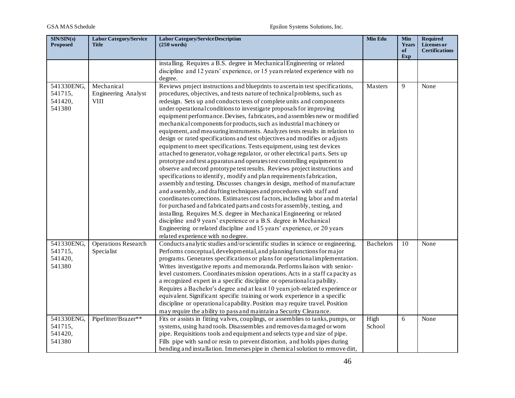| SIN/SIN(s)<br><b>Proposed</b>              | <b>Labor Category/Service</b><br><b>Title</b> | <b>Labor Category/Service Description</b><br>(250 words)                                                                                                                                                                                                                                                                                                                                                                                                                                                                                                                                                                                                                                                                                                                                                                                                                                                                                                                                                                                                                                                                                                                                                                                                                                                                                                                                                                                                                                                                                                                                            | Min Edu          | <b>Min</b><br>Years<br>of<br>Exp | <b>Required</b><br>Licenses or<br><b>Certifications</b> |
|--------------------------------------------|-----------------------------------------------|-----------------------------------------------------------------------------------------------------------------------------------------------------------------------------------------------------------------------------------------------------------------------------------------------------------------------------------------------------------------------------------------------------------------------------------------------------------------------------------------------------------------------------------------------------------------------------------------------------------------------------------------------------------------------------------------------------------------------------------------------------------------------------------------------------------------------------------------------------------------------------------------------------------------------------------------------------------------------------------------------------------------------------------------------------------------------------------------------------------------------------------------------------------------------------------------------------------------------------------------------------------------------------------------------------------------------------------------------------------------------------------------------------------------------------------------------------------------------------------------------------------------------------------------------------------------------------------------------------|------------------|----------------------------------|---------------------------------------------------------|
|                                            |                                               | installing. Requires a B.S. degree in Mechanical Engineering or related<br>discipline and 12 years' experience, or 15 years related experience with no<br>degree.                                                                                                                                                                                                                                                                                                                                                                                                                                                                                                                                                                                                                                                                                                                                                                                                                                                                                                                                                                                                                                                                                                                                                                                                                                                                                                                                                                                                                                   |                  |                                  |                                                         |
| 541330ENG,<br>541715,<br>541420,<br>541380 | Mechanical<br>Engineering Analyst<br>VIII     | Reviews project instructions and blueprints to ascertain test specifications,<br>procedures, objectives, and tests nature of technical problems, such as<br>redesign. Sets up and conducts tests of complete units and components<br>under operational conditions to investigate proposals for improving<br>equipment performance. Devises, fabricates, and assembles new or modified<br>mechanical components for products, such as industrial machinery or<br>equipment, and measuring instruments. Analyzes tests results in relation to<br>design or rated specifications and test objectives and modifies or adjusts<br>equipment to meet specifications. Tests equipment, using test devices<br>attached to generator, voltage regulator, or other electrical parts. Sets up<br>prototype and test apparatus and operates test controlling equipment to<br>observe and record prototype test results. Reviews project instructions and<br>specifications to identify, modify and plan requirements fabrication,<br>assembly and testing. Discusses changes in design, method of manufacture<br>and assembly, and drafting techniques and procedures with staff and<br>coordinates corrections. Estimates cost factors, including labor and material<br>for purchased and fabricated parts and costs for assembly, testing, and<br>installing. Requires M.S. degree in Mechanical Engineering or related<br>discipline and 9 years' experience or a B.S. degree in Mechanical<br>Engineering or related discipline and 15 years' experience, or 20 years<br>related experience with no degree. | Masters          | 9                                | None                                                    |
| 541330ENG,<br>541715,<br>541420,<br>541380 | <b>Operations Research</b><br>Specialist      | Conducts analytic studies and/or scientific studies in science or engineering.<br>Performs conceptual, developmental, and planning functions for major<br>programs. Generates specifications or plans for operational implementation.<br>Writes investigative reports and memoranda. Performs liaison with senior-<br>level customers. Coordinates mission operations. Acts in a staff capacity as<br>a recognized expert in a specific discipline or operational capability.<br>Requires a Bachelor's degree and at least 10 years job-related experience or<br>equivalent. Significant specific training or work experience in a specific<br>discipline or operational capability. Position may require travel. Position<br>may require the ability to pass and maintain a Security Clearance.                                                                                                                                                                                                                                                                                                                                                                                                                                                                                                                                                                                                                                                                                                                                                                                                    | <b>Bachelors</b> | 10                               | None                                                    |
| 541330ENG,<br>541715,<br>541420,<br>541380 | Pipefitter/Brazer**                           | Fits or assists in fitting valves, couplings, or assemblies to tanks, pumps, or<br>systems, using hand tools. Disassembles and removes damaged or worn<br>pipe. Requisitions tools and equipment and selects type and size of pipe.<br>Fills pipe with sand or resin to prevent distortion, and holds pipes during<br>bending and installation. Immerses pipe in chemical solution to remove dirt,                                                                                                                                                                                                                                                                                                                                                                                                                                                                                                                                                                                                                                                                                                                                                                                                                                                                                                                                                                                                                                                                                                                                                                                                  | High<br>School   | 6                                | None                                                    |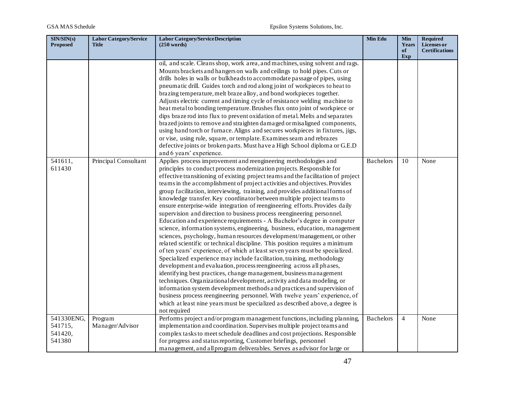| SIN/SIN(s)<br><b>Proposed</b>              | <b>Labor Category/Service</b><br><b>Title</b> | <b>Labor Category/Service Description</b><br>(250 words)                                                                                                                                                                                                                                                                                                                                                                                                                                                                                                                                                                                                                                                                                                                                                                                                                                                                                                                                                                                                                                                                                                                                                                                                                                                                                                                                                                                                                                                                                                                                      | Min Edu          | <b>Min</b><br>Years | <b>Required</b><br><b>Licenses</b> or |
|--------------------------------------------|-----------------------------------------------|-----------------------------------------------------------------------------------------------------------------------------------------------------------------------------------------------------------------------------------------------------------------------------------------------------------------------------------------------------------------------------------------------------------------------------------------------------------------------------------------------------------------------------------------------------------------------------------------------------------------------------------------------------------------------------------------------------------------------------------------------------------------------------------------------------------------------------------------------------------------------------------------------------------------------------------------------------------------------------------------------------------------------------------------------------------------------------------------------------------------------------------------------------------------------------------------------------------------------------------------------------------------------------------------------------------------------------------------------------------------------------------------------------------------------------------------------------------------------------------------------------------------------------------------------------------------------------------------------|------------------|---------------------|---------------------------------------|
|                                            |                                               |                                                                                                                                                                                                                                                                                                                                                                                                                                                                                                                                                                                                                                                                                                                                                                                                                                                                                                                                                                                                                                                                                                                                                                                                                                                                                                                                                                                                                                                                                                                                                                                               |                  | of<br>Exp           | <b>Certifications</b>                 |
|                                            |                                               | oil, and scale. Cleans shop, work area, and machines, using solvent and rags.<br>Mounts brackets and hangers on walls and ceilings to hold pipes. Cuts or<br>drills holes in walls or bulkheads to accommodate passage of pipes, using<br>pneumatic drill. Guides torch and rod along joint of workpieces to heat to<br>brazing temperature, melt braze alloy, and bond workpieces together.<br>Adjusts electric current and timing cycle of resistance welding machine to<br>heat metal to bonding temperature. Brushes flux onto joint of workpiece or<br>dips braze rod into flux to prevent oxidation of metal. Melts and separates<br>brazed joints to remove and straighten damaged or misaligned components,<br>using hand torch or furnace. Aligns and secures workpieces in fixtures, jigs,<br>or vise, using rule, square, or template. Examines seam and rebrazes                                                                                                                                                                                                                                                                                                                                                                                                                                                                                                                                                                                                                                                                                                                  |                  |                     |                                       |
|                                            |                                               | defective joints or broken parts. Must have a High School diploma or G.E.D<br>and 6 years' experience.                                                                                                                                                                                                                                                                                                                                                                                                                                                                                                                                                                                                                                                                                                                                                                                                                                                                                                                                                                                                                                                                                                                                                                                                                                                                                                                                                                                                                                                                                        |                  |                     |                                       |
| 541611,<br>611430                          | Principal Consultant                          | Applies process improvement and reengineering methodologies and<br>principles to conduct process modernization projects. Responsible for<br>effective transitioning of existing project teams and the facilitation of project<br>teams in the accomplishment of project activities and objectives. Provides<br>group facilitation, interviewing, training, and provides additional forms of<br>knowledge transfer. Key coordinator between multiple project teams to<br>ensure enterprise-wide integration of reengineering efforts. Provides daily<br>supervision and direction to business process reengineering personnel.<br>Education and experience requirements - A Bachelor's degree in computer<br>science, information systems, engineering, business, education, management<br>sciences, psychology, human resources development/management, or other<br>related scientific or technical discipline. This position requires a minimum<br>of ten years' experience, of which at least seven years must be specialized.<br>Specialized experience may include facilitation, training, methodology<br>development and evaluation, process reengineering across all phases,<br>identifying best practices, change management, business management<br>techniques. Organizational development, activity and data modeling, or<br>information system development methods and practices and supervision of<br>business process reengineering personnel. With twelve years' experience, of<br>which at least nine years must be specialized as described above, a degree is<br>not required | <b>Bachelors</b> | 10                  | None                                  |
| 541330ENG,<br>541715,<br>541420,<br>541380 | Program<br>Manager/Advisor                    | Performs project and/or program management functions, including planning,<br>implementation and coordination. Supervises multiple project teams and<br>complex tasks to meet schedule deadlines and cost projections. Responsible<br>for progress and status reporting, Customer briefings, personnel<br>management, and all program deliverables. Serves as advisor for large or                                                                                                                                                                                                                                                                                                                                                                                                                                                                                                                                                                                                                                                                                                                                                                                                                                                                                                                                                                                                                                                                                                                                                                                                             | <b>Bachelors</b> | $\overline{4}$      | None                                  |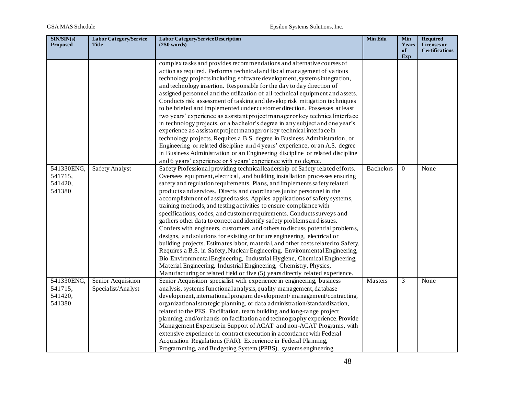| SIN/SIN(s)<br><b>Proposed</b>              | <b>Labor Category/Service</b><br><b>Title</b> | <b>Labor Category/Service Description</b><br>$(250 \text{ words})$                                                                                                                                                                                                                                                                                                                                                                                                                                                                                                                                                                                                                                                                                                                                                                                                                                                                                                                                                                                                                                                                                                                                                                                           | Min Edu          | <b>Min</b><br>Years<br>of | <b>Required</b><br>Licenses or<br><b>Certifications</b> |
|--------------------------------------------|-----------------------------------------------|--------------------------------------------------------------------------------------------------------------------------------------------------------------------------------------------------------------------------------------------------------------------------------------------------------------------------------------------------------------------------------------------------------------------------------------------------------------------------------------------------------------------------------------------------------------------------------------------------------------------------------------------------------------------------------------------------------------------------------------------------------------------------------------------------------------------------------------------------------------------------------------------------------------------------------------------------------------------------------------------------------------------------------------------------------------------------------------------------------------------------------------------------------------------------------------------------------------------------------------------------------------|------------------|---------------------------|---------------------------------------------------------|
|                                            |                                               |                                                                                                                                                                                                                                                                                                                                                                                                                                                                                                                                                                                                                                                                                                                                                                                                                                                                                                                                                                                                                                                                                                                                                                                                                                                              |                  | Exp                       |                                                         |
|                                            |                                               | complex tasks and provides recommendations and alternative courses of<br>action as required. Performs technical and fiscal management of various<br>technology projects including software development, systems integration,<br>and technology insertion. Responsible for the day to day direction of<br>assigned personnel and the utilization of all-technical equipment and assets.<br>Conducts risk assessment of tasking and develop risk mitigation techniques<br>to be briefed and implemented under customer direction. Possesses at least<br>two years' experience as assistant project manager or key technical interface<br>in technology projects, or a bachelor's degree in any subject and one year's<br>experience as assistant project manager or key technical interface in<br>technology projects. Requires a B.S. degree in Business Administration, or<br>Engineering or related discipline and 4 years' experience, or an A.S. degree                                                                                                                                                                                                                                                                                                   |                  |                           |                                                         |
|                                            |                                               | in Business Administration or an Engineering discipline or related discipline                                                                                                                                                                                                                                                                                                                                                                                                                                                                                                                                                                                                                                                                                                                                                                                                                                                                                                                                                                                                                                                                                                                                                                                |                  |                           |                                                         |
| 541330ENG,<br>541715,<br>541420,<br>541380 | Safety Analyst                                | and 6 years' experience or 8 years' experience with no degree.<br>Safety Professional providing technical leadership of Safety related efforts.<br>Oversees equipment, electrical, and building installation processes ensuring<br>safety and regulation requirements. Plans, and implements safety related<br>products and services. Directs and coordinates junior personnel in the<br>accomplishment of assigned tasks. Applies applications of safety systems,<br>training methods, and testing activities to ensure compliance with<br>specifications, codes, and customer requirements. Conducts surveys and<br>gathers other data to correct and identify safety problems and issues.<br>Confers with engineers, customers, and others to discuss potential problems,<br>designs, and solutions for existing or future engineering, electrical or<br>building projects. Estimates labor, material, and other costs related to Safety.<br>Requires a B.S. in Safety, Nuclear Engineering, Environmental Engineering,<br>Bio-Environmental Engineering, Industrial Hygiene, Chemical Engineering,<br>Material Engineering, Industrial Engineering, Chemistry, Physics,<br>Manufacturing or related field or five (5) years directly related experience. | <b>Bachelors</b> | $\Omega$                  | None                                                    |
| 541330ENG,<br>541715,<br>541420,<br>541380 | Senior Acquisition<br>Specialist/Analyst      | Senior Acquisition specialist with experience in engineering, business<br>analysis, systems functional analysis, quality management, database<br>development, international program development/management/contracting,<br>organizational strategic planning, or data administration/standardization,<br>related to the PES. Facilitation, team building and long-range project<br>planning, and/or hands-on facilitation and technography experience. Provide<br>Management Expertise in Support of ACAT and non-ACAT Programs, with<br>extensive experience in contract execution in accordance with Federal<br>Acquisition Regulations (FAR). Experience in Federal Planning,<br>Programming, and Budgeting System (PPBS), systems engineering                                                                                                                                                                                                                                                                                                                                                                                                                                                                                                            | Masters          | 3                         | None                                                    |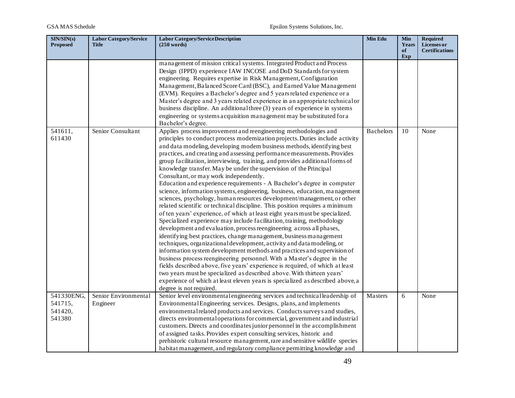| SIN/SIN(s)<br><b>Proposed</b>              | <b>Labor Category/Service</b><br>Title | <b>Labor Category/Service Description</b><br>(250 words)                                                                                                                                                                                                                                                                                                                                                                                                                                                                                                                                                                                                                                                                                                                                                                                                                                                                                                                                                                                                                                                                                                                                                                                                                                                                                                                                                                                                                                                                                                                                                                                 | Min Edu          | <b>Min</b><br>Years<br>of<br>Exp | <b>Required</b><br>Licenses or<br><b>Certifications</b> |
|--------------------------------------------|----------------------------------------|------------------------------------------------------------------------------------------------------------------------------------------------------------------------------------------------------------------------------------------------------------------------------------------------------------------------------------------------------------------------------------------------------------------------------------------------------------------------------------------------------------------------------------------------------------------------------------------------------------------------------------------------------------------------------------------------------------------------------------------------------------------------------------------------------------------------------------------------------------------------------------------------------------------------------------------------------------------------------------------------------------------------------------------------------------------------------------------------------------------------------------------------------------------------------------------------------------------------------------------------------------------------------------------------------------------------------------------------------------------------------------------------------------------------------------------------------------------------------------------------------------------------------------------------------------------------------------------------------------------------------------------|------------------|----------------------------------|---------------------------------------------------------|
|                                            |                                        | management of mission critical systems. Integrated Product and Process<br>Design (IPPD) experience IAW INCOSE and DoD Standards for system<br>engineering. Requires expertise in Risk Management, Configuration<br>Management, Balanced Score Card (BSC), and Earned Value Management<br>(EVM). Requires a Bachelor's degree and 5 years related experience or a<br>Master's degree and 3 years related experience in an appropriate technical or<br>business discipline. An additional three (3) years of experience in systems<br>engineering or systems acquisition management may be substituted for a<br>Bachelor's degree.                                                                                                                                                                                                                                                                                                                                                                                                                                                                                                                                                                                                                                                                                                                                                                                                                                                                                                                                                                                                         |                  |                                  |                                                         |
| 541611,<br>611430                          | Senior Consultant                      | Applies process improvement and reengineering methodologies and<br>principles to conduct process modernization projects. Duties include activity<br>and data modeling, developing modem business methods, identifying best<br>practices, and creating and assessing performance measurements. Provides<br>group facilitation, interviewing, training, and provides additional forms of<br>knowledge transfer. May be under the supervision of the Principal<br>Consultant, or may work independently.<br>Education and experience requirements - A Bachelor's degree in computer<br>science, information systems, engineering, business, education, management<br>sciences, psychology, human resources development/management, or other<br>related scientific or technical discipline. This position requires a minimum<br>of ten years' experience, of which at least eight years must be specialized.<br>Specialized experience may include facilitation, training, methodology<br>development and evaluation, process reengineering across all phases,<br>identifying best practices, change management, business management<br>techniques, organizational development, activity and data modeling, or<br>information system development methods and practices and supervision of<br>business process reengineering personnel. With a Master's degree in the<br>fields described above, five years' experience is required, of which at least<br>two years must be specialized as described above. With thirteen years'<br>experience of which at least eleven years is specialized as described above, a<br>degree is not required. | <b>Bachelors</b> | 10                               | None                                                    |
| 541330ENG,<br>541715,<br>541420,<br>541380 | Senior Environmental<br>Engineer       | Senior level environmental engineering services and technical leadership of<br>Environmental Engineering services. Designs, plans, and implements<br>environmental related products and services. Conducts surveys and studies,<br>directs environmental operations for commercial, government and industrial<br>customers. Directs and coordinates junior personnel in the accomplishment<br>of assigned tasks. Provides expert consulting services, historic and<br>prehistoric cultural resource management, rare and sensitive wildlife species<br>habitat management, and regulatory compliance permitting knowledge and                                                                                                                                                                                                                                                                                                                                                                                                                                                                                                                                                                                                                                                                                                                                                                                                                                                                                                                                                                                                            | Masters          | 6                                | None                                                    |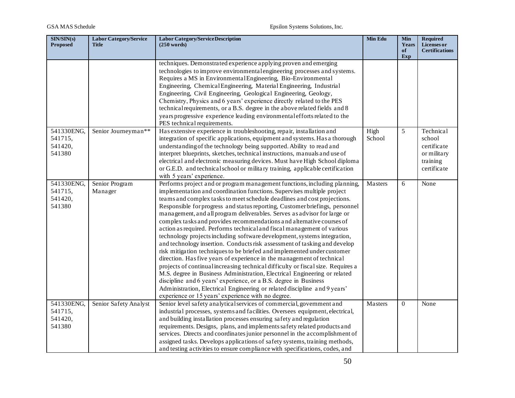| SIN/SIN(s)<br><b>Proposed</b>              | <b>Labor Category/Service</b><br><b>Title</b> | Labor Category/Service Description<br>$(250 \text{ words})$                                                                                                                                                                                                                                                                                                                                                                                                                                                                                                                                                                                                                                                                                                                                                                                                                                                                                                                                                                                                                                                                                                                                                                           | Min Edu        | <b>Min</b><br>Years<br>of<br>Exp | <b>Required</b><br><b>Licenses</b> or<br><b>Certifications</b>               |
|--------------------------------------------|-----------------------------------------------|---------------------------------------------------------------------------------------------------------------------------------------------------------------------------------------------------------------------------------------------------------------------------------------------------------------------------------------------------------------------------------------------------------------------------------------------------------------------------------------------------------------------------------------------------------------------------------------------------------------------------------------------------------------------------------------------------------------------------------------------------------------------------------------------------------------------------------------------------------------------------------------------------------------------------------------------------------------------------------------------------------------------------------------------------------------------------------------------------------------------------------------------------------------------------------------------------------------------------------------|----------------|----------------------------------|------------------------------------------------------------------------------|
|                                            |                                               | techniques. Demonstrated experience applying proven and emerging<br>technologies to improve environmental engineering processes and systems.<br>Requires a MS in Environmental Engineering, Bio-Environmental<br>Engineering, ChemicalEngineering, MaterialEngineering, Industrial<br>Engineering, Civil Engineering, Geological Engineering, Geology,<br>Chemistry, Physics and 6 years' experience directly related to the PES<br>technical requirements, or a B.S. degree in the above related fields and 8<br>years progressive experience leading environmental efforts related to the<br>PES technical requirements.                                                                                                                                                                                                                                                                                                                                                                                                                                                                                                                                                                                                            |                |                                  |                                                                              |
| 541330ENG,<br>541715,<br>541420,<br>541380 | Senior Journeyman**                           | Has extensive experience in troubleshooting, repair, installation and<br>integration of specific applications, equipment and systems. Has a thorough<br>understanding of the technology being supported. Ability to read and<br>interpret blueprints, sketches, technical instructions, manuals and use of<br>electrical and electronic measuring devices. Must have High School diploma<br>or G.E.D. and technical school or military training, applicable certification<br>with 5 years' experience.                                                                                                                                                                                                                                                                                                                                                                                                                                                                                                                                                                                                                                                                                                                                | High<br>School | 5                                | Technical<br>school<br>certificate<br>or military<br>training<br>certificate |
| 541330ENG,<br>541715,<br>541420,<br>541380 | Senior Program<br>Manager                     | Performs project and or program management functions, including planning,<br>implementation and coordination functions. Supervises multiple project<br>teams and complex tasks to meet schedule deadlines and cost projections.<br>Responsible for progress and status reporting, Customer briefings, personnel<br>management, and all program deliverables. Serves as advisor for large or<br>complex tasks and provides recommendations and alternative courses of<br>action as required. Performs technical and fiscal management of various<br>technology projects including software development, systems integration,<br>and technology insertion. Conducts risk assessment of tasking and develop<br>risk mitigation techniques to be briefed and implemented under customer<br>direction. Has five years of experience in the management of technical<br>projects of continual increasing technical difficulty or fiscal size. Requires a<br>M.S. degree in Business Administration, Electrical Engineering or related<br>discipline and 6 years' experience, or a B.S. degree in Business<br>Administration, Electrical Engineering or related discipline and 9 years'<br>experience or 15 years' experience with no degree. | Masters        | 6                                | None                                                                         |
| 541330ENG,<br>541715,<br>541420,<br>541380 | Senior Safety Analyst                         | Senior level safety analytical services of commercial, government and<br>industrial processes, systems and facilities. Oversees equipment, electrical,<br>and building installation processes ensuring safety and regulation<br>requirements. Designs, plans, and implements safety related products and<br>services. Directs and coordinates junior personnel in the accomplishment of<br>assigned tasks. Develops applications of safety systems, training methods,<br>and testing activities to ensure compliance with specifications, codes, and                                                                                                                                                                                                                                                                                                                                                                                                                                                                                                                                                                                                                                                                                  | Masters        | $\Omega$                         | None                                                                         |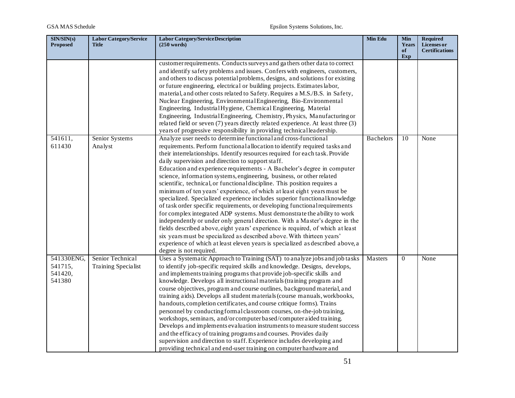| SIN/SIN(s)<br><b>Proposed</b>              | <b>Labor Category/Service</b><br>Title  | <b>Labor Category/Service Description</b><br>$(250 \text{ words})$                                                                                                                                                                                                                                                                                                                                                                                                                                                                                                                                                                                                                                                                                                                                                                                                                                                                                                                                                                                                                                                                                                                              | Min Edu          | Min<br>Years<br>of | <b>Required</b><br><b>Licenses or</b><br><b>Certifications</b> |
|--------------------------------------------|-----------------------------------------|-------------------------------------------------------------------------------------------------------------------------------------------------------------------------------------------------------------------------------------------------------------------------------------------------------------------------------------------------------------------------------------------------------------------------------------------------------------------------------------------------------------------------------------------------------------------------------------------------------------------------------------------------------------------------------------------------------------------------------------------------------------------------------------------------------------------------------------------------------------------------------------------------------------------------------------------------------------------------------------------------------------------------------------------------------------------------------------------------------------------------------------------------------------------------------------------------|------------------|--------------------|----------------------------------------------------------------|
|                                            |                                         | customer requirements. Conducts surveys and gathers other data to correct<br>and identify safety problems and issues. Confers with engineers, customers,<br>and others to discuss potential problems, designs, and solutions for existing<br>or future engineering, electrical or building projects. Estimates labor,<br>material, and other costs related to Safety. Requires a M.S./B.S. in Safety,<br>Nuclear Engineering, Environmental Engineering, Bio-Environmental<br>Engineering, Industrial Hygiene, Chemical Engineering, Material<br>Engineering, Industrial Engineering, Chemistry, Physics, Manufacturing or<br>related field or seven (7) years directly related experience. At least three (3)<br>years of progressive responsibility in providing technical leadership.                                                                                                                                                                                                                                                                                                                                                                                                        |                  | Exp                |                                                                |
| 541611,<br>611430                          | Senior Systems<br>Analyst               | Analyze user needs to determine functional and cross-functional<br>requirements. Perform functional allocation to identify required tasks and<br>their interrelationships. Identify resources required for each task. Provide<br>daily supervision and direction to support staff.<br>Education and experience requirements - A Bachelor's degree in computer<br>science, information systems, engineering, business, or other related<br>scientific, technical, or functional discipline. This position requires a<br>minimum of ten years' experience, of which at least eight years must be<br>specialized. Specialized experience includes superior functional knowledge<br>of task order specific requirements, or developing functional requirements<br>for complex integrated ADP systems. Must demonstrate the ability to work<br>independently or under only general direction. With a Master's degree in the<br>fields described above, eight years' experience is required, of which at least<br>six years must be specialized as described above. With thirteen years'<br>experience of which at least eleven years is specialized as described above, a<br>degree is not required. | <b>Bachelors</b> | 10                 | None                                                           |
| 541330ENG,<br>541715,<br>541420,<br>541380 | Senior Technical<br>Training Specialist | Uses a Systematic Approach to Training (SAT) to analyze jobs and job tasks<br>to identify job-specific required skills and knowledge. Designs, develops,<br>and implements training programs that provide job-specific skills and<br>knowledge. Develops all instructional materials (training program and<br>course objectives, program and course outlines, background material, and<br>training aids). Develops all student materials (course manuals, workbooks,<br>handouts, completion certificates, and course critique forms). Trains<br>personnel by conducting formal classroom courses, on-the-job training,<br>workshops, seminars, and/or computer based/computer aided training.<br>Develops and implements evaluation instruments to measure student success<br>and the efficacy of training programs and courses. Provides daily<br>supervision and direction to staff. Experience includes developing and<br>providing technical and end-user training on computer hardware and                                                                                                                                                                                                | Masters          | $\theta$           | None                                                           |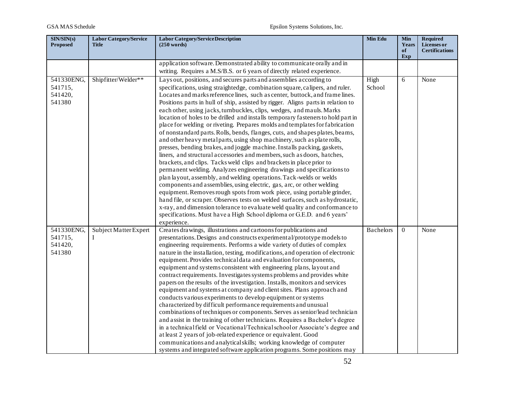| SIN/SIN(s)<br><b>Proposed</b>              | <b>Labor Category/Service</b><br><b>Title</b> | <b>Labor Category/Service Description</b><br>$(250 \text{ words})$                                                                                                                                                                                                                                                                                                                                                                                                                                                                                                                                                                                                                                                                                                                                                                                                                                                                                                                                                                                                                                                                                                                                                                                                                                                                                                                                                                                                                                                       | Min Edu          | Min<br>Years<br>of<br>Exp | <b>Required</b><br>Licenses or<br><b>Certifications</b> |
|--------------------------------------------|-----------------------------------------------|--------------------------------------------------------------------------------------------------------------------------------------------------------------------------------------------------------------------------------------------------------------------------------------------------------------------------------------------------------------------------------------------------------------------------------------------------------------------------------------------------------------------------------------------------------------------------------------------------------------------------------------------------------------------------------------------------------------------------------------------------------------------------------------------------------------------------------------------------------------------------------------------------------------------------------------------------------------------------------------------------------------------------------------------------------------------------------------------------------------------------------------------------------------------------------------------------------------------------------------------------------------------------------------------------------------------------------------------------------------------------------------------------------------------------------------------------------------------------------------------------------------------------|------------------|---------------------------|---------------------------------------------------------|
|                                            |                                               | application software. Demonstrated ability to communicate orally and in<br>writing. Requires a M.S/B.S. or 6 years of directly related experience.                                                                                                                                                                                                                                                                                                                                                                                                                                                                                                                                                                                                                                                                                                                                                                                                                                                                                                                                                                                                                                                                                                                                                                                                                                                                                                                                                                       |                  |                           |                                                         |
|                                            |                                               |                                                                                                                                                                                                                                                                                                                                                                                                                                                                                                                                                                                                                                                                                                                                                                                                                                                                                                                                                                                                                                                                                                                                                                                                                                                                                                                                                                                                                                                                                                                          |                  |                           |                                                         |
| 541330ENG,<br>541715,<br>541420,<br>541380 | Shipfitter/Welder**                           | Lays out, positions, and secures parts and assemblies according to<br>specifications, using straightedge, combination square, calipers, and ruler.<br>Locates and marks reference lines, such as center, buttock, and frame lines.<br>Positions parts in hull of ship, assisted by rigger. Aligns parts in relation to<br>each other, using jacks, turnbuckles, clips, wedges, and mauls. Marks<br>location of holes to be drilled and installs temporary fasteners to hold part in<br>place for welding or riveting. Prepares molds and templates for fabrication<br>of nonstandard parts. Rolls, bends, flanges, cuts, and shapes plates, beams,<br>and other heavy metal parts, using shop machinery, such as plate rolls,<br>presses, bending brakes, and joggle machine. Installs packing, gaskets,<br>liners, and structural accessories and members, such as doors, hatches,<br>brackets, and clips. Tacks weld clips and brackets in place prior to<br>permanent welding. Analyzes engineering drawings and specifications to<br>plan layout, assembly, and welding operations. Tack-welds or welds<br>components and assemblies, using electric, gas, arc, or other welding<br>equipment. Removes rough spots from work piece, using portable grinder,<br>hand file, or scraper. Observes tests on welded surfaces, such as hydrostatic,<br>x-ray, and dimension tolerance to evaluate weld quality and conformance to<br>specifications. Must have a High School diploma or G.E.D. and 6 years'<br>experience. | High<br>School   | 6                         | None                                                    |
| 541330ENG,                                 | Subject Matter Expert                         | Creates drawings, illustrations and cartoons for publications and                                                                                                                                                                                                                                                                                                                                                                                                                                                                                                                                                                                                                                                                                                                                                                                                                                                                                                                                                                                                                                                                                                                                                                                                                                                                                                                                                                                                                                                        | <b>Bachelors</b> | $\overline{0}$            | None                                                    |
| 541715,<br>541420,<br>541380               | Ι                                             | presentations. Designs and constructs experimental/prototype models to<br>engineering requirements. Performs a wide variety of duties of complex<br>nature in the installation, testing, modifications, and operation of electronic<br>equipment. Provides technical data and evaluation for components,<br>equipment and systems consistent with engineering plans, layout and<br>contract requirements. Investigates systems problems and provides white<br>papers on the results of the investigation. Installs, monitors and services<br>equipment and systems at company and client sites. Plans approach and<br>conducts various experiments to develop equipment or systems<br>characterized by difficult performance requirements and unusual<br>combinations of techniques or components. Serves as senior/lead technician<br>and assist in the training of other technicians. Requires a Bachelor's degree<br>in a technical field or Vocational/Technical school or Associate's degree and<br>at least 2 years of job-related experience or equivalent. Good<br>communications and analytical skills; working knowledge of computer<br>systems and integrated software application programs. Some positions may                                                                                                                                                                                                                                                                                               |                  |                           |                                                         |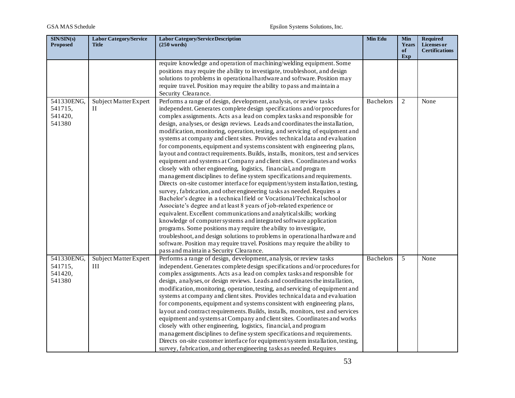| SIN/SIN(s)<br><b>Proposed</b>              | <b>Labor Category/Service</b><br><b>Title</b> | Labor Category/Service Description<br>(250 words)                                                                                                                                                                                                                                                                                                                                                                                                                                                                                                                                                                                                                                                                                                                                                                                                                                                                                                                                                                                                                                                                                                                                                                                                                                                                                                                                                                                                                                                                                                                                                                | Min Edu          | <b>Min</b><br>Years<br>of<br>Exp | <b>Required</b><br>Licenses or<br><b>Certifications</b> |
|--------------------------------------------|-----------------------------------------------|------------------------------------------------------------------------------------------------------------------------------------------------------------------------------------------------------------------------------------------------------------------------------------------------------------------------------------------------------------------------------------------------------------------------------------------------------------------------------------------------------------------------------------------------------------------------------------------------------------------------------------------------------------------------------------------------------------------------------------------------------------------------------------------------------------------------------------------------------------------------------------------------------------------------------------------------------------------------------------------------------------------------------------------------------------------------------------------------------------------------------------------------------------------------------------------------------------------------------------------------------------------------------------------------------------------------------------------------------------------------------------------------------------------------------------------------------------------------------------------------------------------------------------------------------------------------------------------------------------------|------------------|----------------------------------|---------------------------------------------------------|
|                                            |                                               | require knowledge and operation of machining/welding equipment. Some<br>positions may require the ability to investigate, troubleshoot, and design<br>solutions to problems in operational hardware and software. Position may<br>require travel. Position may require the ability to pass and maintain a<br>Security Clearance.                                                                                                                                                                                                                                                                                                                                                                                                                                                                                                                                                                                                                                                                                                                                                                                                                                                                                                                                                                                                                                                                                                                                                                                                                                                                                 |                  |                                  |                                                         |
| 541330ENG,<br>541715,<br>541420,<br>541380 | Subject Matter Expert<br>Н                    | Performs a range of design, development, analysis, or review tasks<br>independent. Generates complete design specifications and/or procedures for<br>complex assignments. Acts as a lead on complex tasks and responsible for<br>design, analyses, or design reviews. Leads and coordinates the installation,<br>modification, monitoring, operation, testing, and servicing of equipment and<br>systems at company and client sites. Provides technical data and evaluation<br>for components, equipment and systems consistent with engineering plans,<br>layout and contract requirements. Builds, installs, monitors, test and services<br>equipment and systems at Company and client sites. Coordinates and works<br>closely with other engineering, logistics, financial, and program<br>management disciplines to define system specifications and requirements.<br>Directs on-site customer interface for equipment/system installation, testing,<br>survey, fabrication, and other engineering tasks as needed. Requires a<br>Bachelor's degree in a technical field or Vocational/Technical school or<br>Associate's degree and at least 8 years of job-related experience or<br>equivalent. Excellent communications and analytical skills; working<br>knowledge of computer systems and integrated software application<br>programs. Some positions may require the ability to investigate,<br>troubleshoot, and design solutions to problems in operational hardware and<br>software. Position may require travel. Positions may require the ability to<br>pass and maintain a Security Clearance. | <b>Bachelors</b> | 2                                | None                                                    |
| 541330ENG,<br>541715,<br>541420,<br>541380 | Subject Matter Expert<br>Ш                    | Performs a range of design, development, analysis, or review tasks<br>independent. Generates complete design specifications and/or procedures for<br>complex assignments. Acts as a lead on complex tasks and responsible for<br>design, analyses, or design reviews. Leads and coordinates the installation,<br>modification, monitoring, operation, testing, and servicing of equipment and<br>systems at company and client sites. Provides technical data and evaluation<br>for components, equipment and systems consistent with engineering plans,<br>layout and contract requirements. Builds, installs, monitors, test and services<br>equipment and systems at Company and client sites. Coordinates and works<br>closely with other engineering, logistics, financial, and program<br>management disciplines to define system specifications and requirements.<br>Directs on-site customer interface for equipment/system installation, testing,<br>survey, fabrication, and other engineering tasks as needed. Requires                                                                                                                                                                                                                                                                                                                                                                                                                                                                                                                                                                               | <b>Bachelors</b> | 5                                | None                                                    |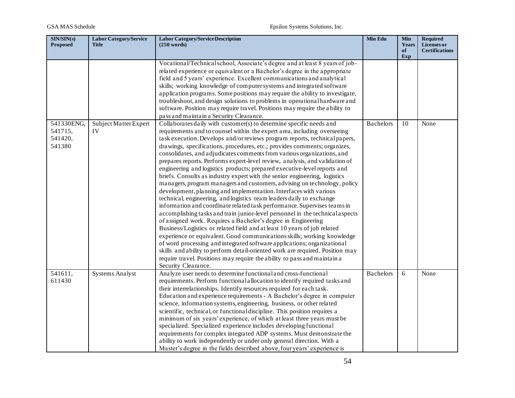| SIN/SIN(s)<br><b>Proposed</b>              | <b>Labor Category/Service</b><br><b>Title</b> | <b>Labor Category/Service Description</b><br>(250 words)                                                                                                                                                                                                                                                                                                                                                                                                                                                                                                                                                                                                                                                                                                                                                                                                                                                                                                                                                                                                                                                                                                                                                                                                                                                                                                                                                                                                                                                   | Min Edu          | Min<br>Years<br>of<br>Exp | <b>Required</b><br>Licenses or<br><b>Certifications</b> |
|--------------------------------------------|-----------------------------------------------|------------------------------------------------------------------------------------------------------------------------------------------------------------------------------------------------------------------------------------------------------------------------------------------------------------------------------------------------------------------------------------------------------------------------------------------------------------------------------------------------------------------------------------------------------------------------------------------------------------------------------------------------------------------------------------------------------------------------------------------------------------------------------------------------------------------------------------------------------------------------------------------------------------------------------------------------------------------------------------------------------------------------------------------------------------------------------------------------------------------------------------------------------------------------------------------------------------------------------------------------------------------------------------------------------------------------------------------------------------------------------------------------------------------------------------------------------------------------------------------------------------|------------------|---------------------------|---------------------------------------------------------|
|                                            |                                               | Vocational/Technicalschool, Associate's degree and at least 8 years of job-<br>related experience or equivalent or a Bachelor's degree in the appropriate<br>field and 5 years' experience. Excellent communications and analytical<br>skills; working knowledge of computer systems and integrated software<br>application programs. Some positions may require the ability to investigate,<br>troubleshoot, and design solutions to problems in operational hardware and<br>software. Position may require travel. Positions may require the ability to<br>pass and maintain a Security Clearance.                                                                                                                                                                                                                                                                                                                                                                                                                                                                                                                                                                                                                                                                                                                                                                                                                                                                                                       |                  |                           |                                                         |
| 541330ENG,<br>541715,<br>541420,<br>541380 | Subject Matter Expert<br>IV                   | Collaborates daily with customer(s) to determine specific needs and<br>requirements and to counsel within the expert area, including overseeing<br>task execution. Develops and/or reviews program reports, technical papers,<br>drawings, specifications, procedures, etc.; provides comments; organizes,<br>consolidates, and adjudicates comments from various organizations, and<br>prepares reports. Performs expert-level review, analysis, and validation of<br>engineering and logistics products; prepared executive-level reports and<br>briefs. Consults as industry expert with the senior engineering, logistics<br>managers, program managers and customers, advising on technology, policy<br>development, planning and implementation. Interfaces with various<br>technical, engineering, and logistics team leaders daily to exchange<br>information and coordinate related task performance. Supervises teams in<br>accomplishing tasks and train junior-level personnel in the technical aspects<br>of assigned work. Requires a Bachelor's degree in Engineering<br>Business/Logistics or related field and at least 10 years of job related<br>experience or equivalent. Good communications skills; working knowledge<br>of word processing and integrated software applications; organizational<br>skills and ability to perform detail-oriented work are required. Position may<br>require travel. Positions may require the ability to pass and maintain a<br>Security Clearance. | <b>Bachelors</b> | 10                        | None                                                    |
| 541611,<br>611430                          | <b>Systems Analyst</b>                        | Analyze user needs to determine functional and cross-functional<br>requirements. Perform functional allocation to identify required tasks and<br>their interrelationships. Identify resources required for each task.<br>Education and experience requirements - A Bachelor's degree in computer<br>science, information systems, engineering, business, or other related<br>scientific, technical, or functional discipline. This position requires a<br>minimum of six years' experience, of which at least three years must be<br>specialized. Specialized experience includes developing functional<br>requirements for complex integrated ADP systems. Must demonstrate the<br>ability to work independently or under only general direction. With a<br>Master's degree in the fields described above, four years' experience is                                                                                                                                                                                                                                                                                                                                                                                                                                                                                                                                                                                                                                                                      | <b>Bachelors</b> | 6                         | None                                                    |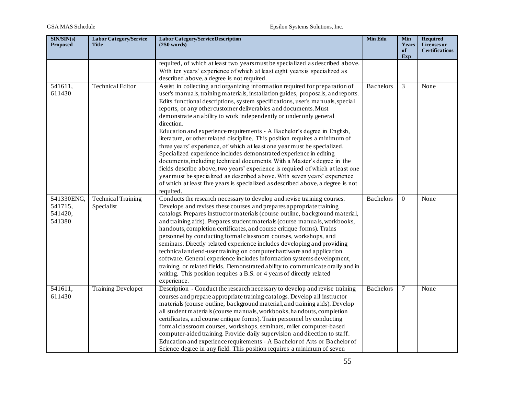| SIN/SIN(s)<br><b>Proposed</b>              | <b>Labor Category/Service</b><br><b>Title</b> | <b>Labor Category/Service Description</b><br>$(250 \text{ words})$                                                                                                                                                                                                                                                                                                                                                                                                                                                                                                                                                                                                                                                                                                                                                                                                                                                                                                                                                                                           | Min Edu          | <b>Min</b><br>Years<br>of<br>Exp | <b>Required</b><br>Licenses or<br><b>Certifications</b> |
|--------------------------------------------|-----------------------------------------------|--------------------------------------------------------------------------------------------------------------------------------------------------------------------------------------------------------------------------------------------------------------------------------------------------------------------------------------------------------------------------------------------------------------------------------------------------------------------------------------------------------------------------------------------------------------------------------------------------------------------------------------------------------------------------------------------------------------------------------------------------------------------------------------------------------------------------------------------------------------------------------------------------------------------------------------------------------------------------------------------------------------------------------------------------------------|------------------|----------------------------------|---------------------------------------------------------|
|                                            |                                               | required, of which at least two years must be specialized as described above.<br>With ten years' experience of which at least eight years is specialized as<br>described above, a degree is not required.                                                                                                                                                                                                                                                                                                                                                                                                                                                                                                                                                                                                                                                                                                                                                                                                                                                    |                  |                                  |                                                         |
| 541611,<br>611430                          | Technical Editor                              | Assist in collecting and organizing information required for preparation of<br>user's manuals, training materials, installation guides, proposals, and reports.<br>Edits functional descriptions, system specifications, user's manuals, special<br>reports, or any other customer deliverables and documents. Must<br>demonstrate an ability to work independently or under only general<br>direction.<br>Education and experience requirements - A Bachelor's degree in English,<br>literature, or other related discipline. This position requires a minimum of<br>three years' experience, of which at least one yearmust be specialized.<br>Specialized experience includes demonstrated experience in editing<br>documents, including technical documents. With a Master's degree in the<br>fields describe above, two years' experience is required of which at least one<br>yearmust be specialized as described above. With seven years' experience<br>of which at least five years is specialized as described above, a degree is not<br>required. | <b>Bachelors</b> | 3                                | None                                                    |
| 541330ENG,<br>541715,<br>541420,<br>541380 | Technical Training<br>Specialist              | Conducts the research necessary to develop and revise training courses.<br>Develops and revises these courses and prepares appropriate training<br>catalogs. Prepares instructor materials (course outline, background material,<br>and training aids). Prepares student materials (course manuals, workbooks,<br>handouts, completion certificates, and course critique forms). Trains<br>personnel by conducting formal classroom courses, workshops, and<br>seminars. Directly related experience includes developing and providing<br>technical and end-user training on computer hardware and application<br>software. General experience includes information systems development,<br>training, or related fields. Demonstrated ability to communicate orally and in<br>writing. This position requires a B.S. or 4 years of directly related<br>experience.                                                                                                                                                                                           | <b>Bachelors</b> | $\Omega$                         | None                                                    |
| 541611,<br>611430                          | <b>Training Developer</b>                     | Description - Conduct the research necessary to develop and revise training<br>courses and prepare appropriate training catalogs. Develop all instructor<br>materials (course outline, background material, and training aids). Develop<br>all student materials (course manuals, workbooks, handouts, completion<br>certificates, and course critique forms). Train personnel by conducting<br>formalclassroom courses, workshops, seminars, miler computer-based<br>computer-aided training. Provide daily supervision and direction to staff.<br>Education and experience requirements - A Bachelor of Arts or Bachelor of<br>Science degree in any field. This position requires a minimum of seven                                                                                                                                                                                                                                                                                                                                                      | <b>Bachelors</b> | 7                                | None                                                    |